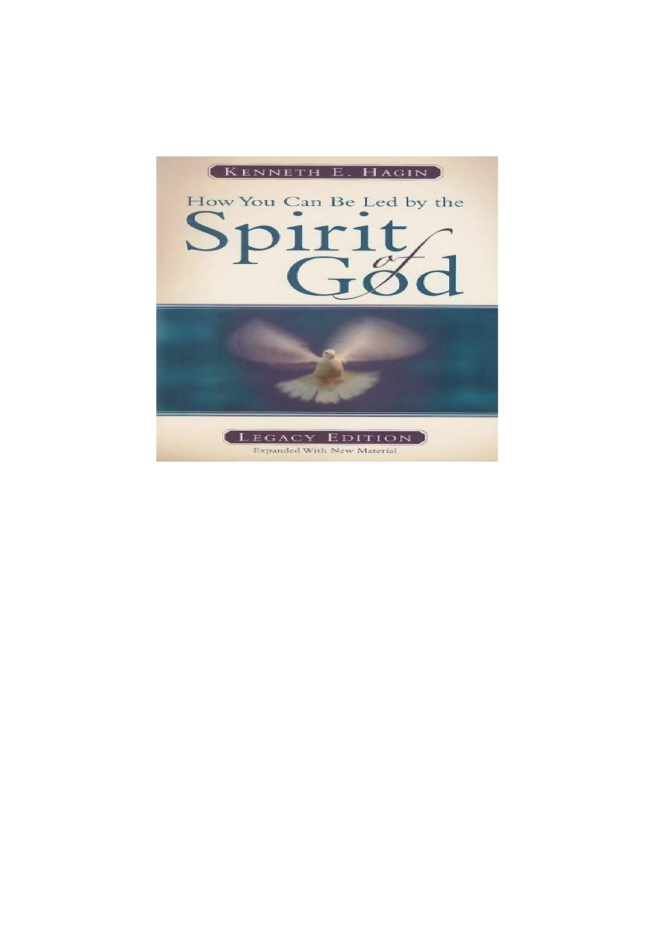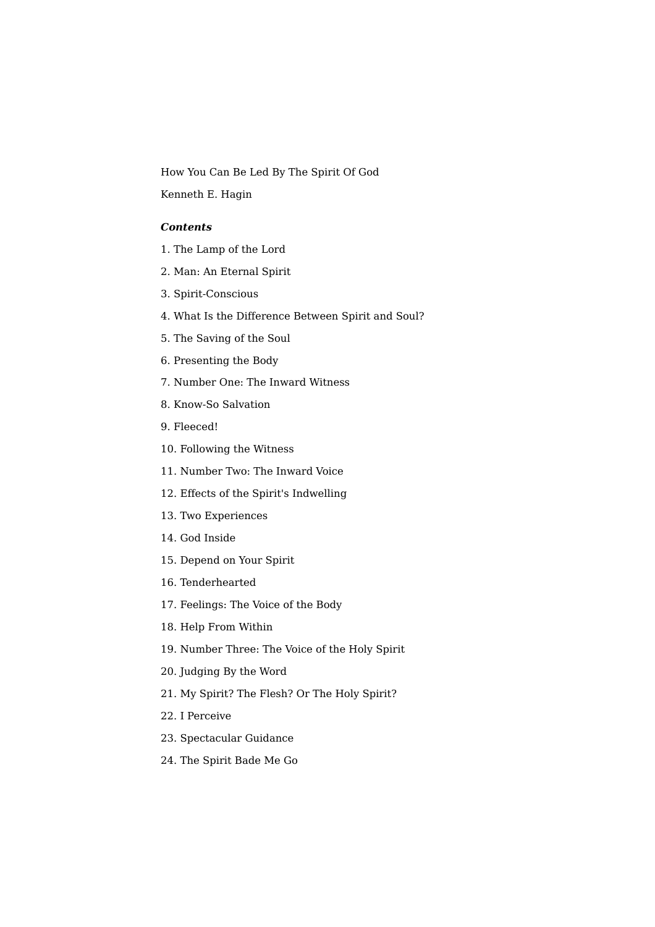How You Can Be Led By The Spirit Of God Kenneth E. Hagin

### *Contents*

- 1. The Lamp of the Lord
- 2. Man: An Eternal Spirit
- 3. Spirit-Conscious
- 4. What Is the Difference Between Spirit and Soul?
- 5. The Saving of the Soul
- 6. Presenting the Body
- 7. Number One: The Inward Witness
- 8. Know-So Salvation
- 9. Fleeced!
- 10. Following the Witness
- 11. Number Two: The Inward Voice
- 12. Effects of the Spirit's Indwelling
- 13. Two Experiences
- 14. God Inside
- 15. Depend on Your Spirit
- 16. Tenderhearted
- 17. Feelings: The Voice of the Body
- 18. Help From Within
- 19. Number Three: The Voice of the Holy Spirit
- 20. Judging By the Word
- 21. My Spirit? The Flesh? Or The Holy Spirit?
- 22. I Perceive
- 23. Spectacular Guidance
- 24. The Spirit Bade Me Go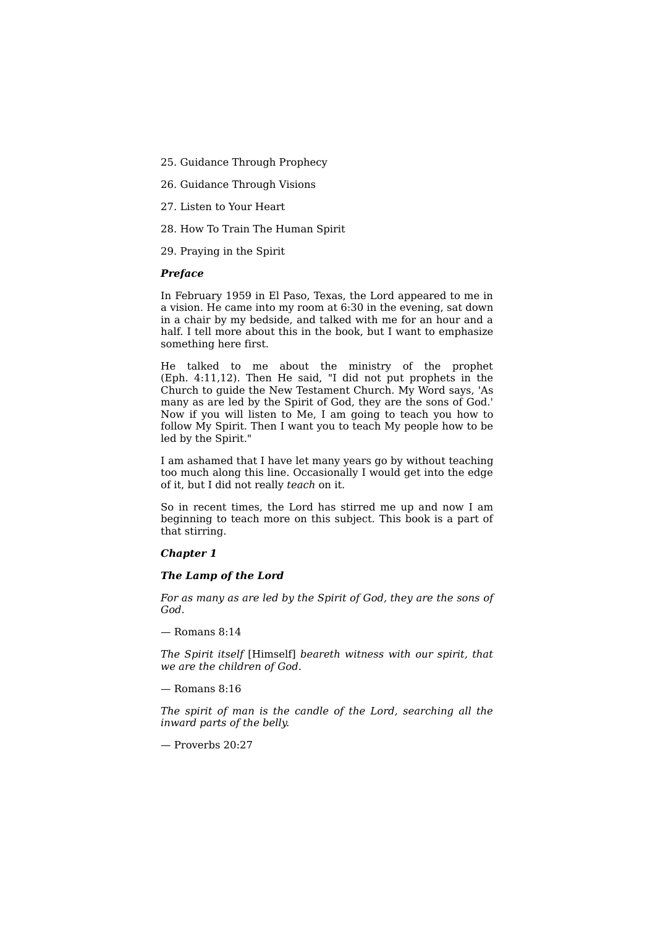- 25. Guidance Through Prophecy
- 26. Guidance Through Visions
- 27. Listen to Your Heart
- 28. How To Train The Human Spirit
- 29. Praying in the Spirit

# *Preface*

In February 1959 in El Paso, Texas, the Lord appeared to me in a vision. He came into my room at 6:30 in the evening, sat down in a chair by my bedside, and talked with me for an hour and a half. I tell more about this in the book, but I want to emphasize something here first.

He talked to me about the ministry of the prophet (Eph. 4:11,12). Then He said, "I did not put prophets in the Church to guide the New Testament Church. My Word says, 'As many as are led by the Spirit of God, they are the sons of God.' Now if you will listen to Me, I am going to teach you how to follow My Spirit. Then I want you to teach My people how to be led by the Spirit."

I am ashamed that I have let many years go by without teaching too much along this line. Occasionally I would get into the edge of it, but I did not really *teach* on it.

So in recent times, the Lord has stirred me up and now I am beginning to teach more on this subject. This book is a part of that stirring.

# *Chapter 1*

# *The Lamp of the Lord*

*For as many as are led by the Spirit of God, they are the sons of God.*

*—* Romans 8:14

*The Spirit itself* [Himself] *beareth witness with our spirit, that we are the children of God.*

*—* Romans 8:16

*The spirit of man is the candle of the Lord, searching all the inward parts of the belly.*

*—* Proverbs 20:27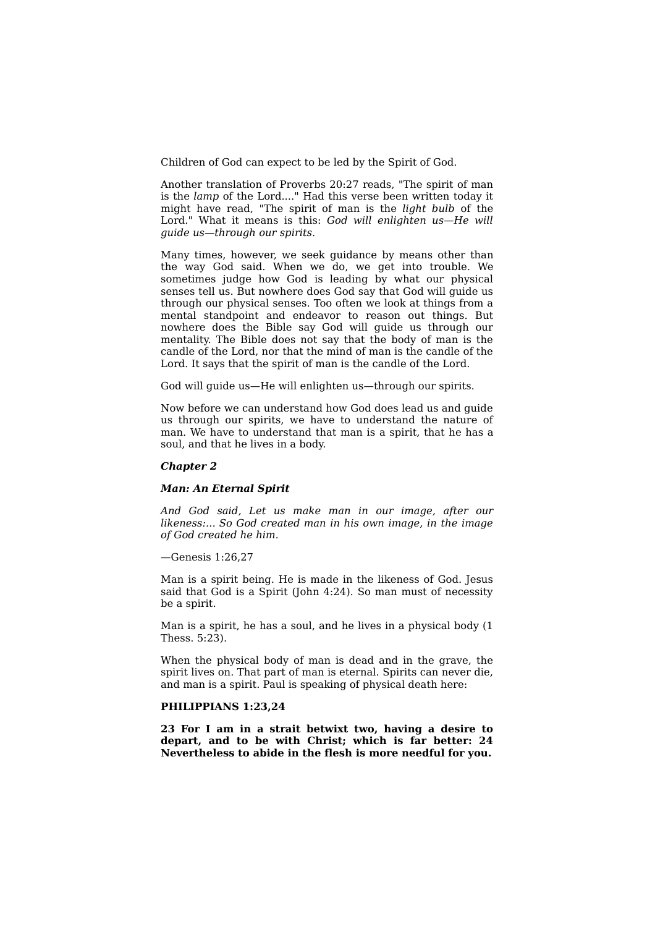Children of God can expect to be led by the Spirit of God.

Another translation of Proverbs 20:27 reads, "The spirit of man is the *lamp* of the Lord...." Had this verse been written today it might have read, "The spirit of man is the *light bulb* of the Lord." What it means is this: *God will enlighten us—He will guide us—through our spirits.*

Many times, however, we seek guidance by means other than the way God said. When we do, we get into trouble. We sometimes judge how God is leading by what our physical senses tell us. But nowhere does God say that God will guide us through our physical senses. Too often we look at things from a mental standpoint and endeavor to reason out things. But nowhere does the Bible say God will guide us through our mentality. The Bible does not say that the body of man is the candle of the Lord, nor that the mind of man is the candle of the Lord. It says that the spirit of man is the candle of the Lord.

God will guide us—He will enlighten us—through our spirits.

Now before we can understand how God does lead us and guide us through our spirits, we have to understand the nature of man. We have to understand that man is a spirit, that he has a soul, and that he lives in a body.

## *Chapter 2*

### *Man: An Eternal Spirit*

*And God said, Let us make man in our image, after our likeness:... So God created man in his own image, in the image of God created he him.*

—Genesis 1:26,27

Man is a spirit being. He is made in the likeness of God. Jesus said that God is a Spirit (John 4:24). So man must of necessity be a spirit.

Man is a spirit, he has a soul, and he lives in a physical body (1 Thess. 5:23).

When the physical body of man is dead and in the grave, the spirit lives on. That part of man is eternal. Spirits can never die, and man is a spirit. Paul is speaking of physical death here:

## **PHILIPPIANS 1:23,24**

**23 For I am in a strait betwixt two, having a desire to depart, and to be with Christ; which is far better: 24 Nevertheless to abide in the flesh is more needful for you.**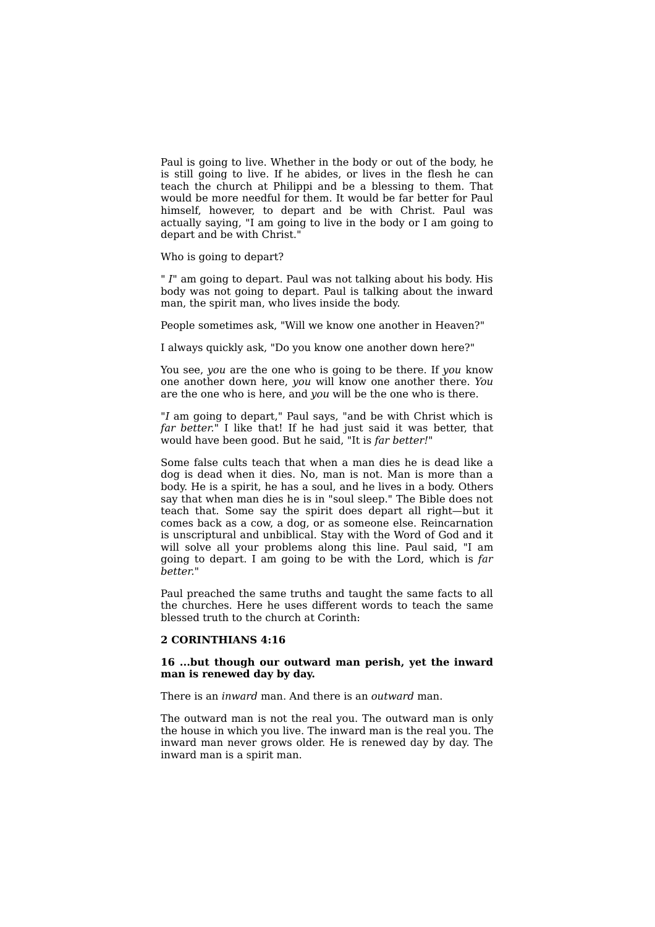Paul is going to live. Whether in the body or out of the body, he is still going to live. If he abides, or lives in the flesh he can teach the church at Philippi and be a blessing to them. That would be more needful for them. It would be far better for Paul himself, however, to depart and be with Christ. Paul was actually saying, "I am going to live in the body or I am going to depart and be with Christ."

Who is going to depart?

" *I"* am going to depart. Paul was not talking about his body. His body was not going to depart. Paul is talking about the inward man, the spirit man, who lives inside the body.

People sometimes ask, "Will we know one another in Heaven?"

I always quickly ask, "Do you know one another down here?"

You see, *you* are the one who is going to be there. If *you* know one another down here, *you* will know one another there. *You* are the one who is here, and *you* will be the one who is there.

*"I* am going to depart," Paul says, "and be with Christ which is *far better."* I like that! If he had just said it was better, that would have been good. But he said, "It is *far better!"*

Some false cults teach that when a man dies he is dead like a dog is dead when it dies. No, man is not. Man is more than a body. He is a spirit, he has a soul, and he lives in a body. Others say that when man dies he is in "soul sleep." The Bible does not teach that. Some say the spirit does depart all right—but it comes back as a cow, a dog, or as someone else. Reincarnation is unscriptural and unbiblical. Stay with the Word of God and it will solve all your problems along this line. Paul said, "I am going to depart. I am going to be with the Lord, which is *far better."*

Paul preached the same truths and taught the same facts to all the churches. Here he uses different words to teach the same blessed truth to the church at Corinth:

## **2 CORINTHIANS 4:16**

# **16 ...but though our outward man perish, yet the inward man is renewed day by day.**

There is an *inward* man. And there is an *outward* man.

The outward man is not the real you. The outward man is only the house in which you live. The inward man is the real you. The inward man never grows older. He is renewed day by day. The inward man is a spirit man.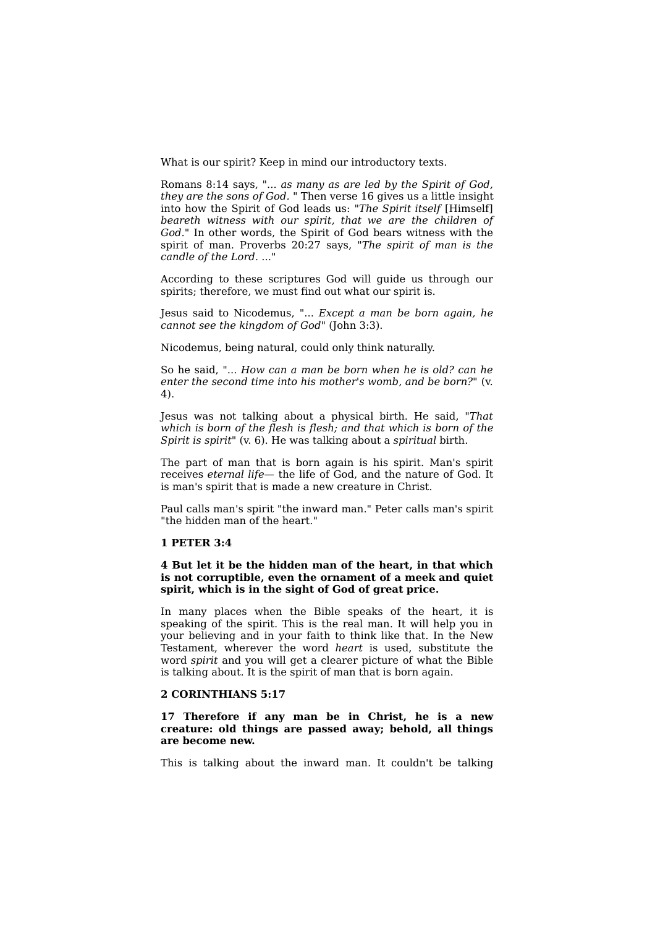What is our spirit? Keep in mind our introductory texts.

Romans 8:14 says, *"... as many as are led by the Spirit of God, they are the sons of God.* " Then verse 16 gives us a little insight into how the Spirit of God leads us: *"The Spirit itself* [Himself] *beareth witness with our spirit, that we are the children of God."* In other words, the Spirit of God bears witness with the spirit of man. Proverbs 20:27 says, *"The spirit of man is the candle of the Lord.* ..."

According to these scriptures God will guide us through our spirits; therefore, we must find out what our spirit is.

Jesus said to Nicodemus, "... *Except a man be born again, he cannot see the kingdom of God"* (John 3:3).

Nicodemus, being natural, could only think naturally.

So he said, "... *How can a man be born when he is old? can he enter the second time into his mother's womb, and be born?"* (v. 4).

Jesus was not talking about a physical birth. He said, *"That which is born of the flesh is flesh; and that which is born of the Spirit is spirit"* (v. 6). He was talking about a *spiritual* birth.

The part of man that is born again is his spirit. Man's spirit receives *eternal life—* the life of God, and the nature of God. It is man's spirit that is made a new creature in Christ.

Paul calls man's spirit "the inward man." Peter calls man's spirit "the hidden man of the heart."

### **1 PETER 3:4**

# **4 But let it be the hidden man of the heart, in that which is not corruptible, even the ornament of a meek and quiet spirit, which is in the sight of God of great price.**

In many places when the Bible speaks of the heart, it is speaking of the spirit. This is the real man. It will help you in your believing and in your faith to think like that. In the New Testament, wherever the word *heart* is used, substitute the word *spirit* and you will get a clearer picture of what the Bible is talking about. It is the spirit of man that is born again.

#### **2 CORINTHIANS 5:17**

**17 Therefore if any man be in Christ, he is a new creature: old things are passed away; behold, all things are become new.**

This is talking about the inward man. It couldn't be talking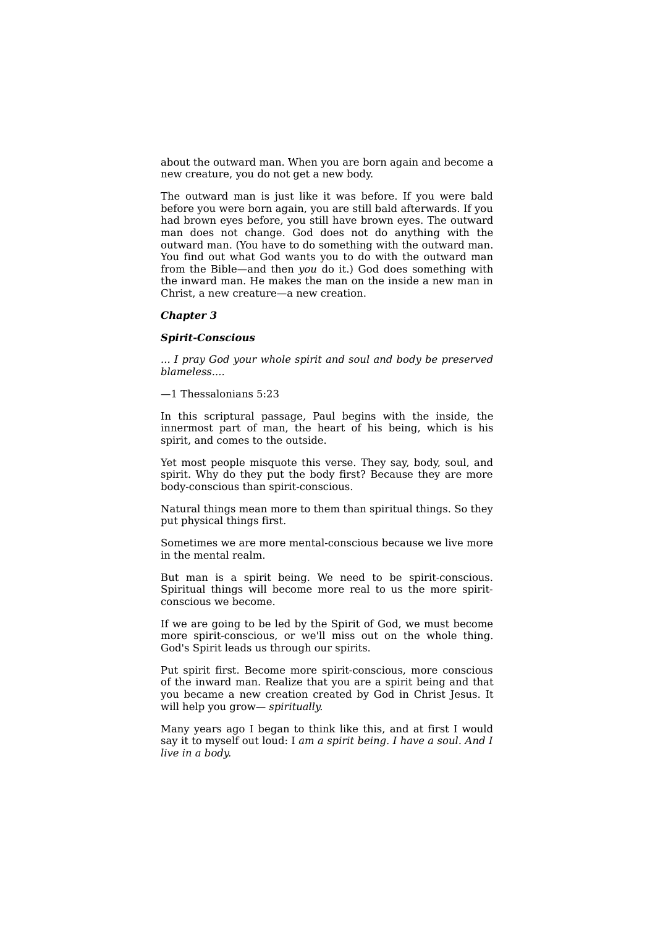about the outward man. When you are born again and become a new creature, you do not get a new body.

The outward man is just like it was before. If you were bald before you were born again, you are still bald afterwards. If you had brown eyes before, you still have brown eyes. The outward man does not change. God does not do anything with the outward man. (You have to do something with the outward man. You find out what God wants you to do with the outward man from the Bible—and then *you* do it.) God does something with the inward man. He makes the man on the inside a new man in Christ, a new creature—a new creation.

#### *Chapter 3*

#### *Spirit-Conscious*

*... I pray God your whole spirit and soul and body be preserved blameless....*

—1 Thessalonians 5:23

In this scriptural passage, Paul begins with the inside, the innermost part of man, the heart of his being, which is his spirit, and comes to the outside.

Yet most people misquote this verse. They say, body, soul, and spirit. Why do they put the body first? Because they are more body-conscious than spirit-conscious.

Natural things mean more to them than spiritual things. So they put physical things first.

Sometimes we are more mental-conscious because we live more in the mental realm.

But man is a spirit being. We need to be spirit-conscious. Spiritual things will become more real to us the more spiritconscious we become.

If we are going to be led by the Spirit of God, we must become more spirit-conscious, or we'll miss out on the whole thing. God's Spirit leads us through our spirits.

Put spirit first. Become more spirit-conscious, more conscious of the inward man. Realize that you are a spirit being and that you became a new creation created by God in Christ Jesus. It will help you grow— *spiritually.*

Many years ago I began to think like this, and at first I would say it to myself out loud: I *am a spirit being. I have a soul. And I live in a body.*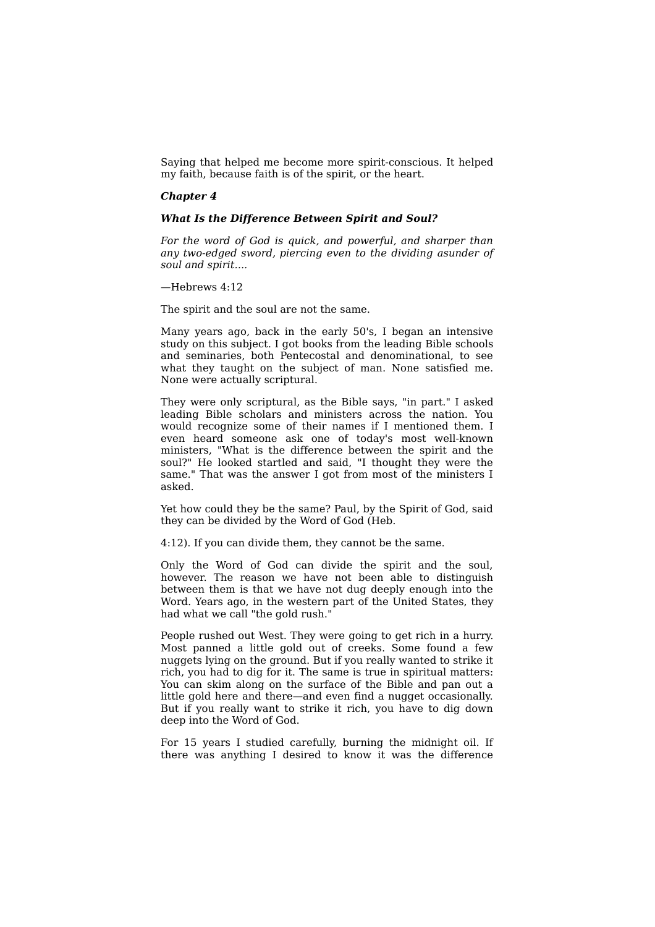Saying that helped me become more spirit-conscious. It helped my faith, because faith is of the spirit, or the heart.

#### *Chapter 4*

#### *What Is the Difference Between Spirit and Soul?*

*For the word of God is quick, and powerful, and sharper than any two-edged sword, piercing even to the dividing asunder of soul and spirit....*

—Hebrews 4:12

The spirit and the soul are not the same.

Many years ago, back in the early 50's, I began an intensive study on this subject. I got books from the leading Bible schools and seminaries, both Pentecostal and denominational, to see what they taught on the subject of man. None satisfied me. None were actually scriptural.

They were only scriptural, as the Bible says, "in part." I asked leading Bible scholars and ministers across the nation. You would recognize some of their names if I mentioned them. I even heard someone ask one of today's most well-known ministers, "What is the difference between the spirit and the soul?" He looked startled and said, "I thought they were the same." That was the answer I got from most of the ministers I asked.

Yet how could they be the same? Paul, by the Spirit of God, said they can be divided by the Word of God (Heb.

4:12). If you can divide them, they cannot be the same.

Only the Word of God can divide the spirit and the soul, however. The reason we have not been able to distinguish between them is that we have not dug deeply enough into the Word. Years ago, in the western part of the United States, they had what we call "the gold rush."

People rushed out West. They were going to get rich in a hurry. Most panned a little gold out of creeks. Some found a few nuggets lying on the ground. But if you really wanted to strike it rich, you had to dig for it. The same is true in spiritual matters: You can skim along on the surface of the Bible and pan out a little gold here and there—and even find a nugget occasionally. But if you really want to strike it rich, you have to dig down deep into the Word of God.

For 15 years I studied carefully, burning the midnight oil. If there was anything I desired to know it was the difference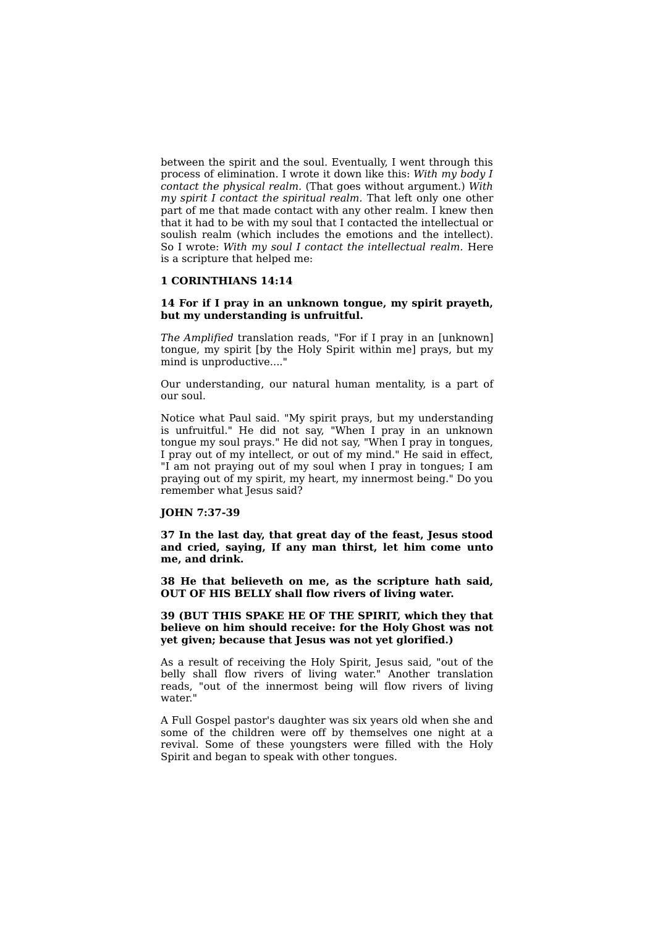between the spirit and the soul. Eventually, I went through this process of elimination. I wrote it down like this: *With my body I contact the physical realm.* (That goes without argument.) *With my spirit I contact the spiritual realm.* That left only one other part of me that made contact with any other realm. I knew then that it had to be with my soul that I contacted the intellectual or soulish realm (which includes the emotions and the intellect). So I wrote: *With my soul I contact the intellectual realm.* Here is a scripture that helped me:

### **1 CORINTHIANS 14:14**

#### **14 For if I pray in an unknown tongue, my spirit prayeth, but my understanding is unfruitful.**

*The Amplified* translation reads, "For if I pray in an [unknown] tongue, my spirit [by the Holy Spirit within me] prays, but my mind is unproductive...."

Our understanding, our natural human mentality, is a part of our soul.

Notice what Paul said. "My spirit prays, but my understanding is unfruitful." He did not say, "When I pray in an unknown tongue my soul prays." He did not say, "When I pray in tongues, I pray out of my intellect, or out of my mind." He said in effect, "I am not praying out of my soul when I pray in tongues; I am praying out of my spirit, my heart, my innermost being." Do you remember what Jesus said?

## **JOHN 7:37-39**

**37 In the last day, that great day of the feast, Jesus stood and cried, saying, If any man thirst, let him come unto me, and drink.**

**38 He that believeth on me, as the scripture hath said, OUT OF HIS BELLY shall flow rivers of living water.**

**39 (BUT THIS SPAKE HE OF THE SPIRIT, which they that believe on him should receive: for the Holy Ghost was not yet given; because that Jesus was not yet glorified.)**

As a result of receiving the Holy Spirit, Jesus said, "out of the belly shall flow rivers of living water." Another translation reads, "out of the innermost being will flow rivers of living water."

A Full Gospel pastor's daughter was six years old when she and some of the children were off by themselves one night at a revival. Some of these youngsters were filled with the Holy Spirit and began to speak with other tongues.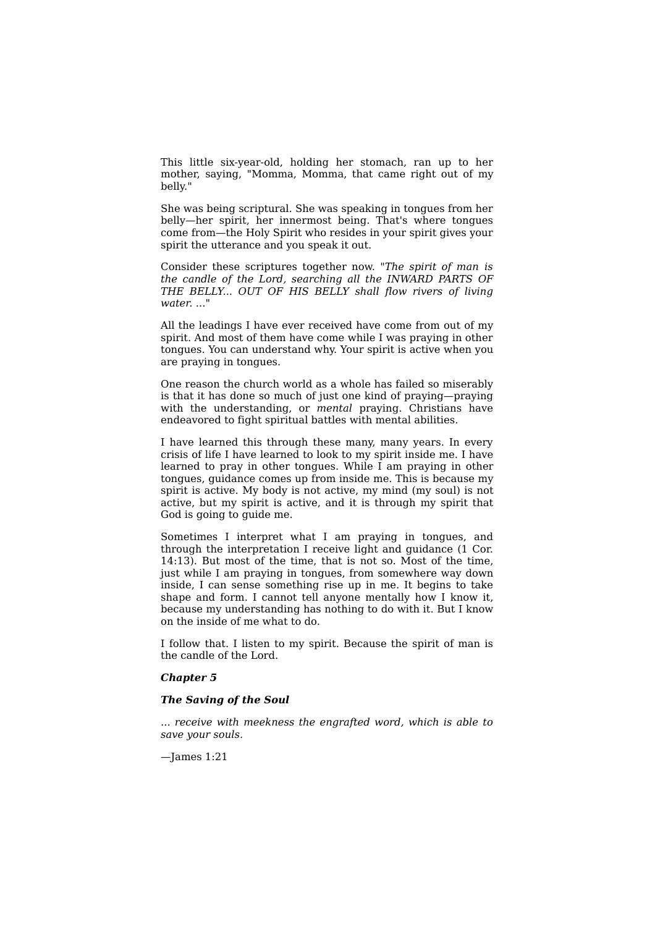This little six-year-old, holding her stomach, ran up to her mother, saying, "Momma, Momma, that came right out of my belly."

She was being scriptural. She was speaking in tongues from her belly—her spirit, her innermost being. That's where tongues come from—the Holy Spirit who resides in your spirit gives your spirit the utterance and you speak it out.

Consider these scriptures together now. *"The spirit of man is the candle of the Lord, searching all the INWARD PARTS OF THE BELLY... OUT OF HIS BELLY shall flow rivers of living water.* ..."

All the leadings I have ever received have come from out of my spirit. And most of them have come while I was praying in other tongues. You can understand why. Your spirit is active when you are praying in tongues.

One reason the church world as a whole has failed so miserably is that it has done so much of just one kind of praying—praying with the understanding, or *mental* praying. Christians have endeavored to fight spiritual battles with mental abilities.

I have learned this through these many, many years. In every crisis of life I have learned to look to my spirit inside me. I have learned to pray in other tongues. While I am praying in other tongues, guidance comes up from inside me. This is because my spirit is active. My body is not active, my mind (my soul) is not active, but my spirit is active, and it is through my spirit that God is going to guide me.

Sometimes I interpret what I am praying in tongues, and through the interpretation I receive light and guidance (1 Cor. 14:13). But most of the time, that is not so. Most of the time, just while I am praying in tongues, from somewhere way down inside, I can sense something rise up in me. It begins to take shape and form. I cannot tell anyone mentally how I know it, because my understanding has nothing to do with it. But I know on the inside of me what to do.

I follow that. I listen to my spirit. Because the spirit of man is the candle of the Lord.

# *Chapter 5*

### *The Saving of the Soul*

*... receive with meekness the engrafted word, which is able to save your souls.*

—James 1:21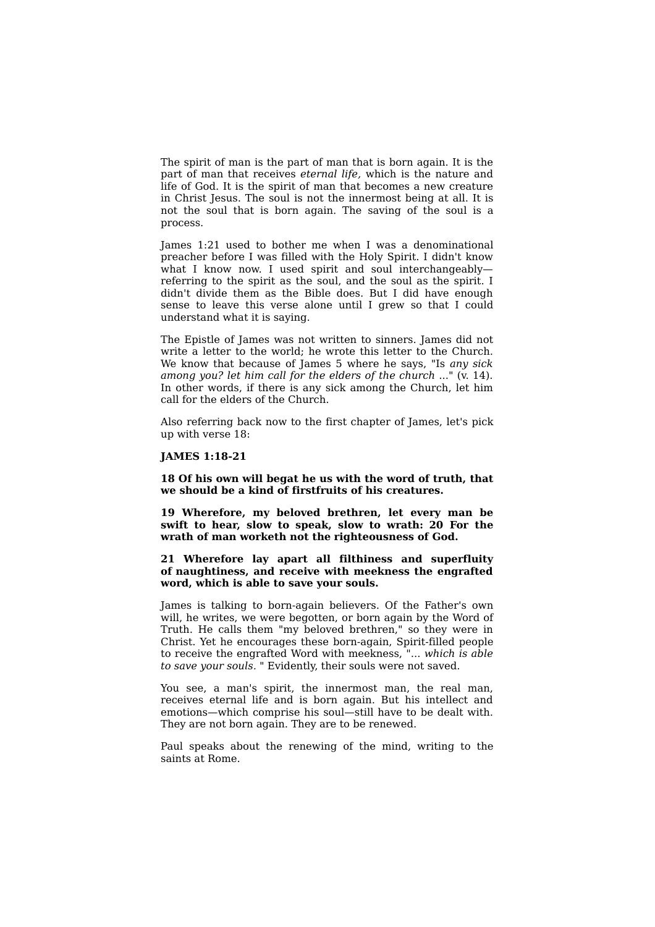The spirit of man is the part of man that is born again. It is the part of man that receives *eternal life,* which is the nature and life of God. It is the spirit of man that becomes a new creature in Christ Jesus. The soul is not the innermost being at all. It is not the soul that is born again. The saving of the soul is a process.

James 1:21 used to bother me when I was a denominational preacher before I was filled with the Holy Spirit. I didn't know what I know now. I used spirit and soul interchangeably referring to the spirit as the soul, and the soul as the spirit. I didn't divide them as the Bible does. But I did have enough sense to leave this verse alone until I grew so that I could understand what it is saying.

The Epistle of James was not written to sinners. James did not write a letter to the world; he wrote this letter to the Church. We know that because of James 5 where he says, "Is *any sick among you? let him call for the elders of the church* ..." (v. 14). In other words, if there is any sick among the Church, let him call for the elders of the Church.

Also referring back now to the first chapter of James, let's pick up with verse 18:

#### **JAMES 1:18-21**

**18 Of his own will begat he us with the word of truth, that we should be a kind of firstfruits of his creatures.**

**19 Wherefore, my beloved brethren, let every man be swift to hear, slow to speak, slow to wrath: 20 For the wrath of man worketh not the righteousness of God.**

**21 Wherefore lay apart all filthiness and superfluity of naughtiness, and receive with meekness the engrafted word, which is able to save your souls.**

James is talking to born-again believers. Of the Father's own will, he writes, we were begotten, or born again by the Word of Truth. He calls them "my beloved brethren," so they were in Christ. Yet he encourages these born-again, Spirit-filled people to receive the engrafted Word with meekness, "... *which is able to save your souls.* " Evidently, their souls were not saved.

You see, a man's spirit, the innermost man, the real man, receives eternal life and is born again. But his intellect and emotions—which comprise his soul—still have to be dealt with. They are not born again. They are to be renewed.

Paul speaks about the renewing of the mind, writing to the saints at Rome.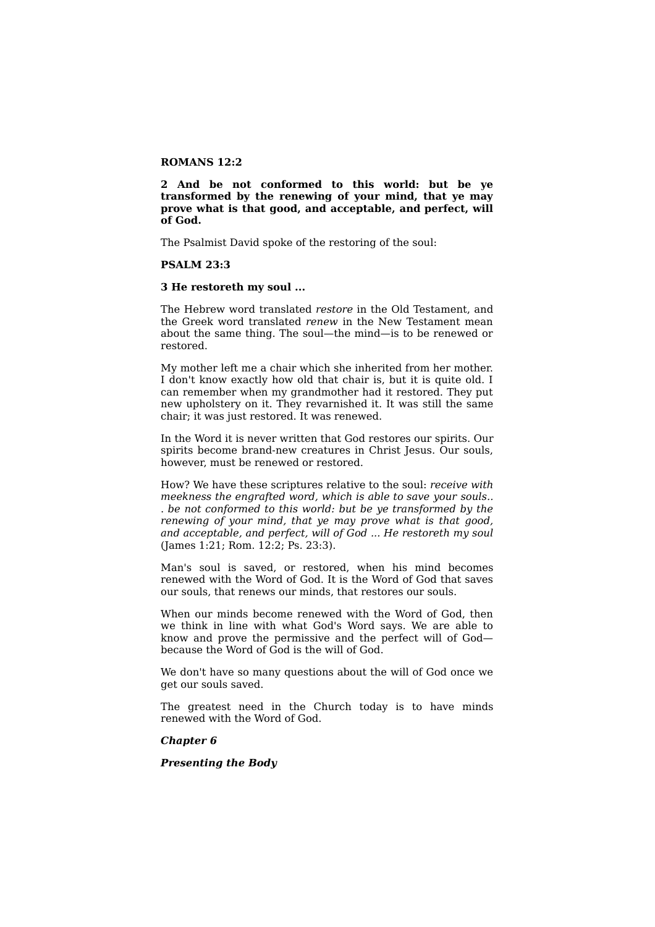# **ROMANS 12:2**

**2 And be not conformed to this world: but be ye transformed by the renewing of your mind, that ye may prove what is that good, and acceptable, and perfect, will of God.**

The Psalmist David spoke of the restoring of the soul:

#### **PSALM 23:3**

# **3 He restoreth my soul ...**

The Hebrew word translated *restore* in the Old Testament, and the Greek word translated *renew* in the New Testament mean about the same thing. The soul—the mind—is to be renewed or restored.

My mother left me a chair which she inherited from her mother. I don't know exactly how old that chair is, but it is quite old. I can remember when my grandmother had it restored. They put new upholstery on it. They revarnished it. It was still the same chair; it was just restored. It was renewed.

In the Word it is never written that God restores our spirits. Our spirits become brand-new creatures in Christ Jesus. Our souls, however, must be renewed or restored.

How? We have these scriptures relative to the soul: *receive with meekness the engrafted word, which is able to save your souls..* . *be not conformed to this world: but be ye transformed by the renewing of your mind, that ye may prove what is that good, and acceptable, and perfect, will of God ... He restoreth my soul* (James 1:21; Rom. 12:2; Ps. 23:3).

Man's soul is saved, or restored, when his mind becomes renewed with the Word of God. It is the Word of God that saves our souls, that renews our minds, that restores our souls.

When our minds become renewed with the Word of God, then we think in line with what God's Word says. We are able to know and prove the permissive and the perfect will of God because the Word of God is the will of God.

We don't have so many questions about the will of God once we get our souls saved.

The greatest need in the Church today is to have minds renewed with the Word of God.

## *Chapter 6*

# *Presenting the Body*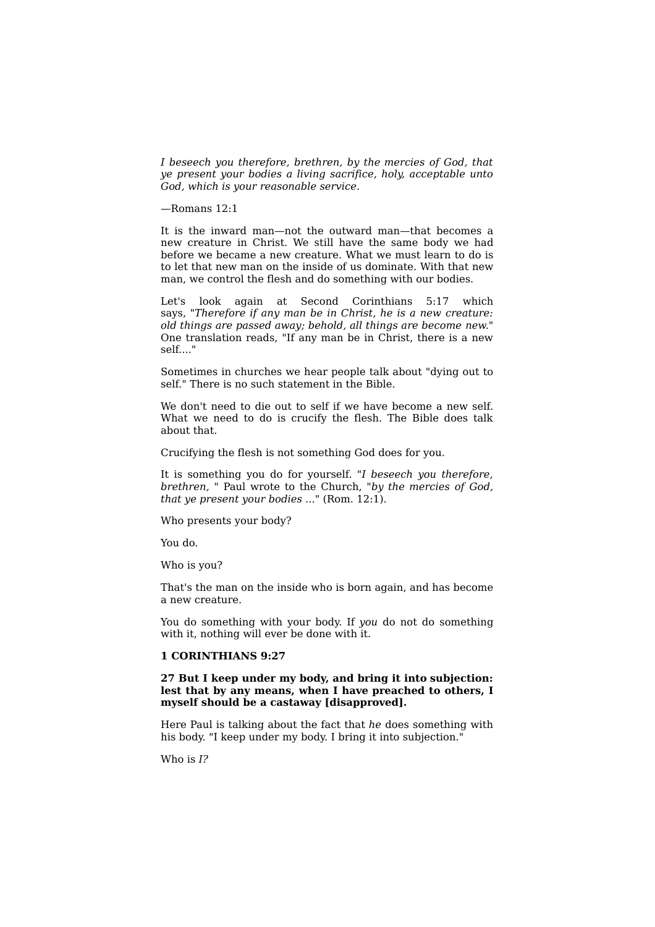*I beseech you therefore, brethren, by the mercies of God, that ye present your bodies a living sacrifice, holy, acceptable unto God, which is your reasonable service.*

—Romans 12:1

It is the inward man—not the outward man—that becomes a new creature in Christ. We still have the same body we had before we became a new creature. What we must learn to do is to let that new man on the inside of us dominate. With that new man, we control the flesh and do something with our bodies.

Let's look again at Second Corinthians 5:17 which says, *"Therefore if any man be in Christ, he is a new creature: old things are passed away; behold, all things are become new."* One translation reads, "If any man be in Christ, there is a new self...."

Sometimes in churches we hear people talk about "dying out to self." There is no such statement in the Bible.

We don't need to die out to self if we have become a new self. What we need to do is crucify the flesh. The Bible does talk about that.

Crucifying the flesh is not something God does for you.

It is something you do for yourself. *"I beseech you therefore, brethren,* " Paul wrote to the Church, *"by the mercies of God, that ye present your bodies* ..." (Rom. 12:1).

Who presents your body?

You do.

Who is you?

That's the man on the inside who is born again, and has become a new creature.

You do something with your body. If *you* do not do something with it, nothing will ever be done with it.

# **1 CORINTHIANS 9:27**

**27 But I keep under my body, and bring it into subjection: lest that by any means, when I have preached to others, I myself should be a castaway [disapproved].**

Here Paul is talking about the fact that *he* does something with his body. "I keep under my body. I bring it into subjection."

Who is *I?*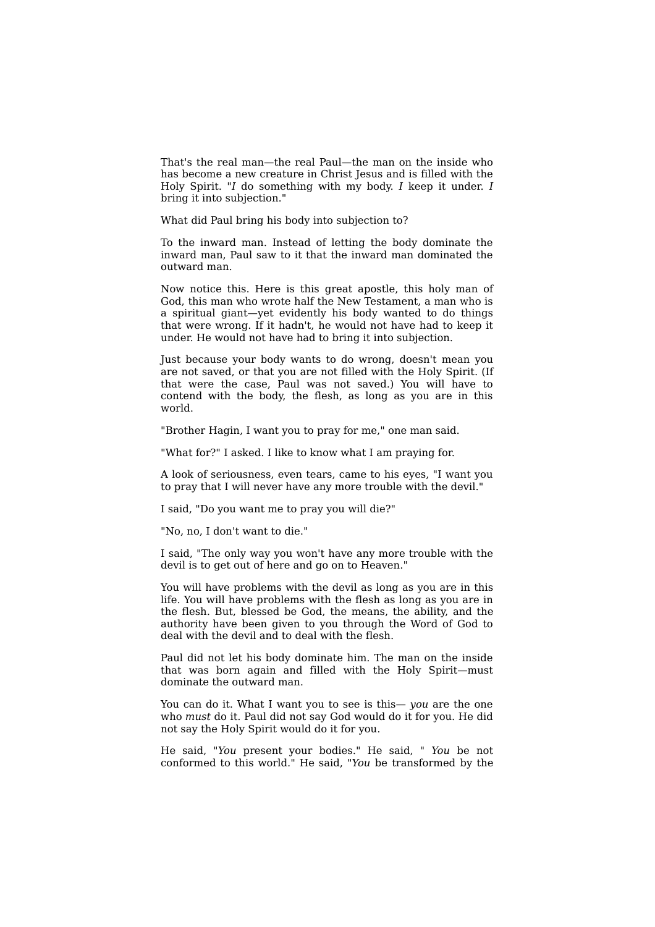That's the real man—the real Paul—the man on the inside who has become a new creature in Christ Jesus and is filled with the Holy Spirit. *"I* do something with my body. *I* keep it under. *I* bring it into subjection."

What did Paul bring his body into subjection to?

To the inward man. Instead of letting the body dominate the inward man, Paul saw to it that the inward man dominated the outward man.

Now notice this. Here is this great apostle, this holy man of God, this man who wrote half the New Testament, a man who is a spiritual giant—yet evidently his body wanted to do things that were wrong. If it hadn't, he would not have had to keep it under. He would not have had to bring it into subjection.

Just because your body wants to do wrong, doesn't mean you are not saved, or that you are not filled with the Holy Spirit. (If that were the case, Paul was not saved.) You will have to contend with the body, the flesh, as long as you are in this world.

"Brother Hagin, I want you to pray for me," one man said.

"What for?" I asked. I like to know what I am praying for.

A look of seriousness, even tears, came to his eyes, "I want you to pray that I will never have any more trouble with the devil."

I said, "Do you want me to pray you will die?"

"No, no, I don't want to die."

I said, "The only way you won't have any more trouble with the devil is to get out of here and go on to Heaven."

You will have problems with the devil as long as you are in this life. You will have problems with the flesh as long as you are in the flesh. But, blessed be God, the means, the ability, and the authority have been given to you through the Word of God to deal with the devil and to deal with the flesh.

Paul did not let his body dominate him. The man on the inside that was born again and filled with the Holy Spirit—must dominate the outward man.

You can do it. What I want you to see is this— *you* are the one who *must* do it. Paul did not say God would do it for you. He did not say the Holy Spirit would do it for you.

He said, *"You* present your bodies." He said, " *You* be not conformed to this world." He said, *"You* be transformed by the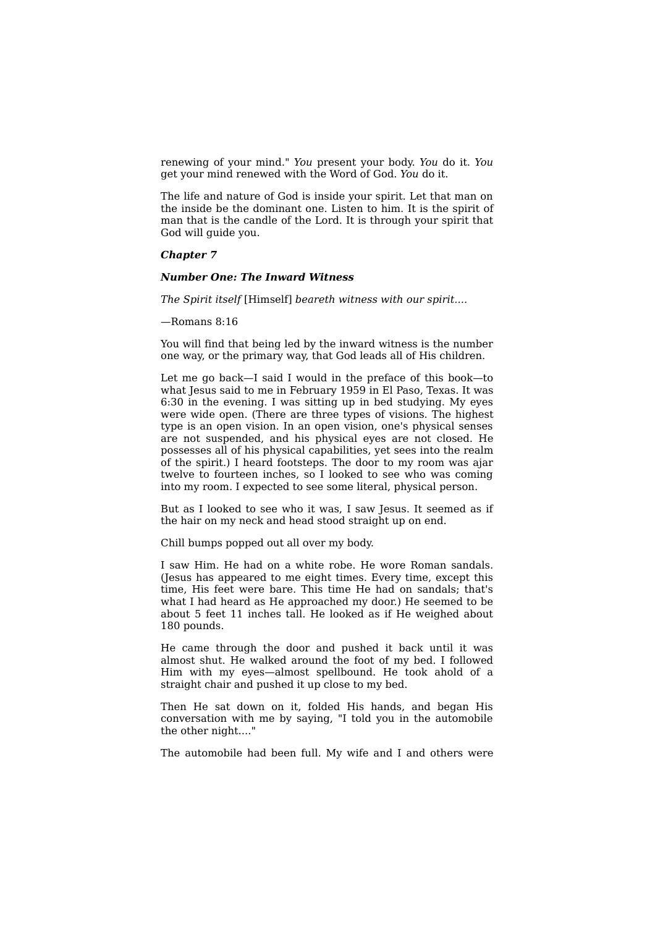renewing of your mind." *You* present your body. *You* do it. *You* get your mind renewed with the Word of God. *You* do it.

The life and nature of God is inside your spirit. Let that man on the inside be the dominant one. Listen to him. It is the spirit of man that is the candle of the Lord. It is through your spirit that God will guide you.

#### *Chapter 7*

# *Number One: The Inward Witness*

*The Spirit itself* [Himself] *beareth witness with our spirit....*

 $-Romans 8.16$ 

You will find that being led by the inward witness is the number one way, or the primary way, that God leads all of His children.

Let me go back—I said I would in the preface of this book—to what Jesus said to me in February 1959 in El Paso, Texas. It was 6:30 in the evening. I was sitting up in bed studying. My eyes were wide open. (There are three types of visions. The highest type is an open vision. In an open vision, one's physical senses are not suspended, and his physical eyes are not closed. He possesses all of his physical capabilities, yet sees into the realm of the spirit.) I heard footsteps. The door to my room was ajar twelve to fourteen inches, so I looked to see who was coming into my room. I expected to see some literal, physical person.

But as I looked to see who it was, I saw Jesus. It seemed as if the hair on my neck and head stood straight up on end.

Chill bumps popped out all over my body.

I saw Him. He had on a white robe. He wore Roman sandals. (Jesus has appeared to me eight times. Every time, except this time, His feet were bare. This time He had on sandals; that's what I had heard as He approached my door.) He seemed to be about 5 feet 11 inches tall. He looked as if He weighed about 180 pounds.

He came through the door and pushed it back until it was almost shut. He walked around the foot of my bed. I followed Him with my eyes—almost spellbound. He took ahold of a straight chair and pushed it up close to my bed.

Then He sat down on it, folded His hands, and began His conversation with me by saying, "I told you in the automobile the other night...."

The automobile had been full. My wife and I and others were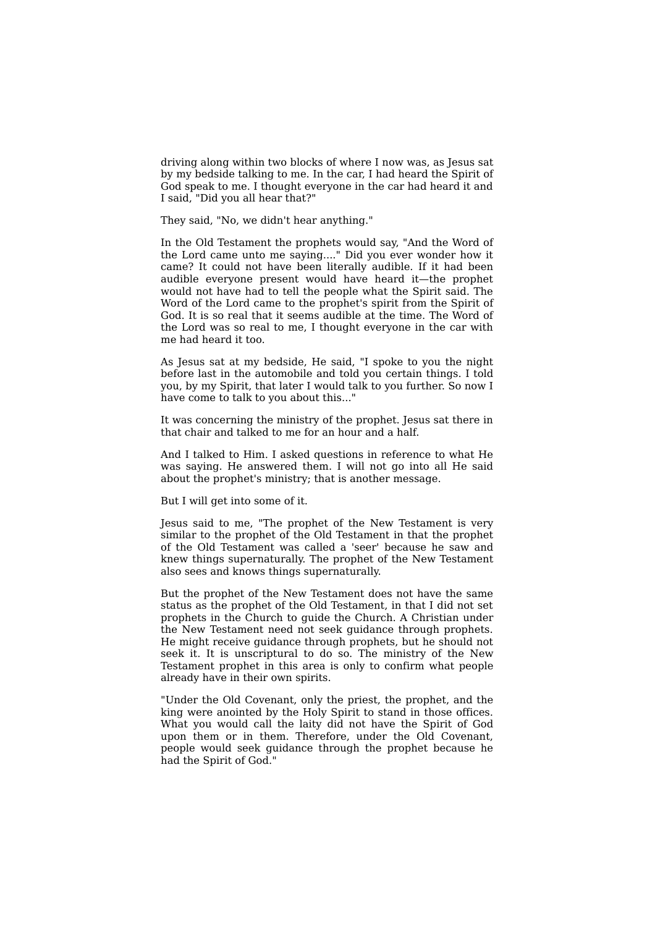driving along within two blocks of where I now was, as Jesus sat by my bedside talking to me. In the car, I had heard the Spirit of God speak to me. I thought everyone in the car had heard it and I said, "Did you all hear that?"

They said, "No, we didn't hear anything."

In the Old Testament the prophets would say, "And the Word of the Lord came unto me saying...." Did you ever wonder how it came? It could not have been literally audible. If it had been audible everyone present would have heard it—the prophet would not have had to tell the people what the Spirit said. The Word of the Lord came to the prophet's spirit from the Spirit of God. It is so real that it seems audible at the time. The Word of the Lord was so real to me, I thought everyone in the car with me had heard it too.

As Jesus sat at my bedside, He said, "I spoke to you the night before last in the automobile and told you certain things. I told you, by my Spirit, that later I would talk to you further. So now I have come to talk to you about this..."

It was concerning the ministry of the prophet. Jesus sat there in that chair and talked to me for an hour and a half.

And I talked to Him. I asked questions in reference to what He was saying. He answered them. I will not go into all He said about the prophet's ministry; that is another message.

But I will get into some of it.

Jesus said to me, "The prophet of the New Testament is very similar to the prophet of the Old Testament in that the prophet of the Old Testament was called a 'seer' because he saw and knew things supernaturally. The prophet of the New Testament also sees and knows things supernaturally.

But the prophet of the New Testament does not have the same status as the prophet of the Old Testament, in that I did not set prophets in the Church to guide the Church. A Christian under the New Testament need not seek guidance through prophets. He might receive guidance through prophets, but he should not seek it. It is unscriptural to do so. The ministry of the New Testament prophet in this area is only to confirm what people already have in their own spirits.

"Under the Old Covenant, only the priest, the prophet, and the king were anointed by the Holy Spirit to stand in those offices. What you would call the laity did not have the Spirit of God upon them or in them. Therefore, under the Old Covenant, people would seek guidance through the prophet because he had the Spirit of God."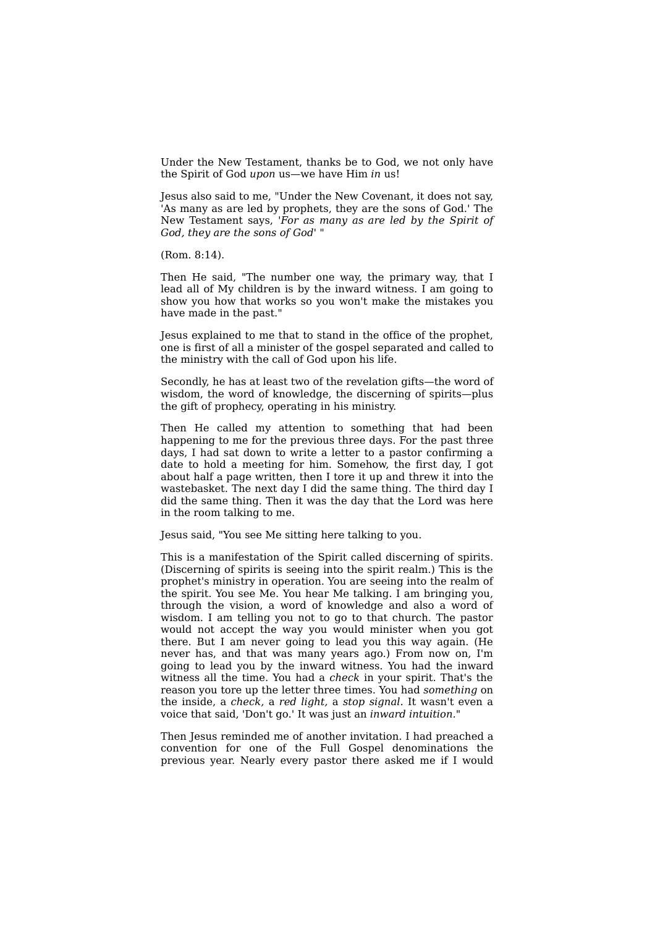Under the New Testament, thanks be to God, we not only have the Spirit of God *upon* us—we have Him *in* us!

Jesus also said to me, "Under the New Covenant, it does not say, 'As many as are led by prophets, they are the sons of God.' The New Testament says, *'For as many as are led by the Spirit of God, they are the sons of God'* "

(Rom. 8:14).

Then He said, "The number one way, the primary way, that I lead all of My children is by the inward witness. I am going to show you how that works so you won't make the mistakes you have made in the past."

Jesus explained to me that to stand in the office of the prophet, one is first of all a minister of the gospel separated and called to the ministry with the call of God upon his life.

Secondly, he has at least two of the revelation gifts—the word of wisdom, the word of knowledge, the discerning of spirits—plus the gift of prophecy, operating in his ministry.

Then He called my attention to something that had been happening to me for the previous three days. For the past three days, I had sat down to write a letter to a pastor confirming a date to hold a meeting for him. Somehow, the first day, I got about half a page written, then I tore it up and threw it into the wastebasket. The next day I did the same thing. The third day I did the same thing. Then it was the day that the Lord was here in the room talking to me.

Jesus said, "You see Me sitting here talking to you.

This is a manifestation of the Spirit called discerning of spirits. (Discerning of spirits is seeing into the spirit realm.) This is the prophet's ministry in operation. You are seeing into the realm of the spirit. You see Me. You hear Me talking. I am bringing you, through the vision, a word of knowledge and also a word of wisdom. I am telling you not to go to that church. The pastor would not accept the way you would minister when you got there. But I am never going to lead you this way again. (He never has, and that was many years ago.) From now on, I'm going to lead you by the inward witness. You had the inward witness all the time. You had a *check* in your spirit. That's the reason you tore up the letter three times. You had *something* on the inside, a *check,* a *red light,* a *stop signal.* It wasn't even a voice that said, 'Don't go.' It was just an *inward intuition."*

Then Jesus reminded me of another invitation. I had preached a convention for one of the Full Gospel denominations the previous year. Nearly every pastor there asked me if I would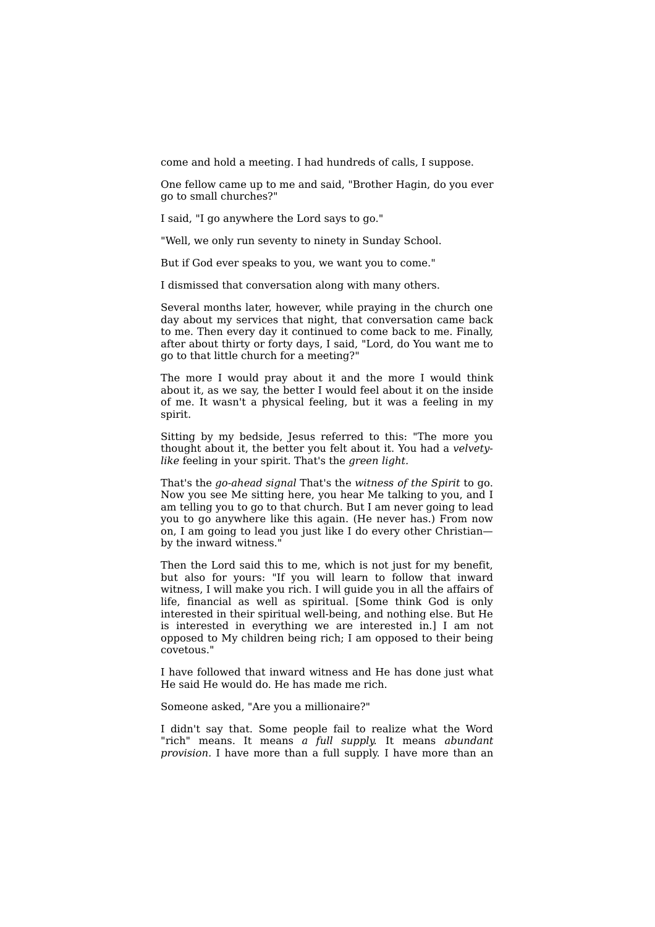come and hold a meeting. I had hundreds of calls, I suppose.

One fellow came up to me and said, "Brother Hagin, do you ever go to small churches?"

I said, "I go anywhere the Lord says to go."

"Well, we only run seventy to ninety in Sunday School.

But if God ever speaks to you, we want you to come."

I dismissed that conversation along with many others.

Several months later, however, while praying in the church one day about my services that night, that conversation came back to me. Then every day it continued to come back to me. Finally, after about thirty or forty days, I said, "Lord, do You want me to go to that little church for a meeting?"

The more I would pray about it and the more I would think about it, as we say, the better I would feel about it on the inside of me. It wasn't a physical feeling, but it was a feeling in my spirit.

Sitting by my bedside, Jesus referred to this: "The more you thought about it, the better you felt about it. You had a *velvetylike* feeling in your spirit. That's the *green light.*

That's the *go-ahead signal* That's the *witness of the Spirit* to go. Now you see Me sitting here, you hear Me talking to you, and I am telling you to go to that church. But I am never going to lead you to go anywhere like this again. (He never has.) From now on, I am going to lead you just like I do every other Christian by the inward witness."

Then the Lord said this to me, which is not just for my benefit. but also for yours: "If you will learn to follow that inward witness, I will make you rich. I will guide you in all the affairs of life, financial as well as spiritual. [Some think God is only interested in their spiritual well-being, and nothing else. But He is interested in everything we are interested in.] I am not opposed to My children being rich; I am opposed to their being covetous."

I have followed that inward witness and He has done just what He said He would do. He has made me rich.

Someone asked, "Are you a millionaire?"

I didn't say that. Some people fail to realize what the Word "rich" means. It means *a full supply.* It means *abundant provision.* I have more than a full supply. I have more than an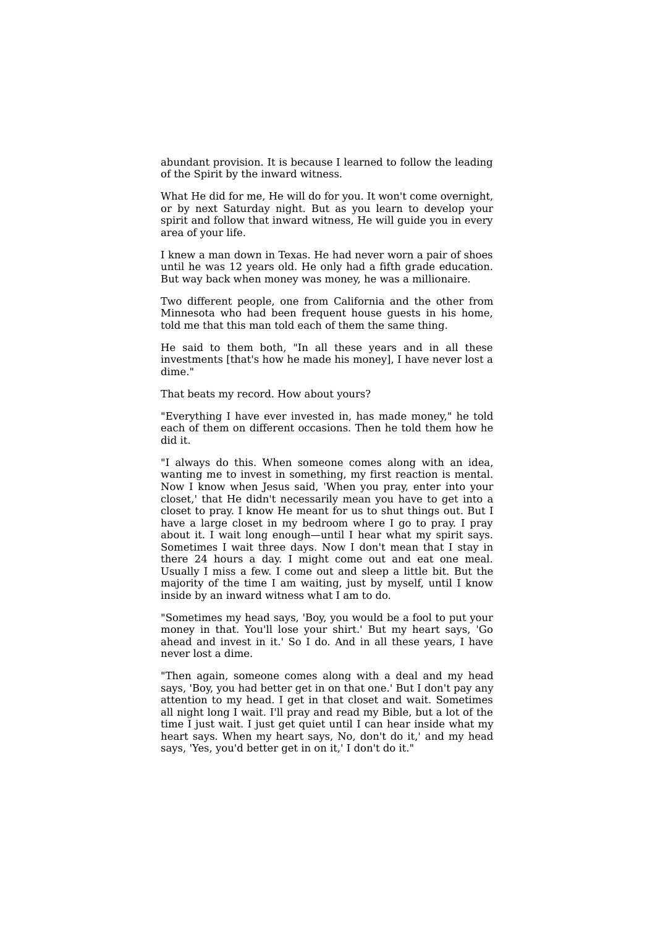abundant provision. It is because I learned to follow the leading of the Spirit by the inward witness.

What He did for me, He will do for you. It won't come overnight, or by next Saturday night. But as you learn to develop your spirit and follow that inward witness, He will guide you in every area of your life.

I knew a man down in Texas. He had never worn a pair of shoes until he was 12 years old. He only had a fifth grade education. But way back when money was money, he was a millionaire.

Two different people, one from California and the other from Minnesota who had been frequent house guests in his home, told me that this man told each of them the same thing.

He said to them both, "In all these years and in all these investments [that's how he made his money], I have never lost a dime."

That beats my record. How about yours?

"Everything I have ever invested in, has made money," he told each of them on different occasions. Then he told them how he did it.

"I always do this. When someone comes along with an idea, wanting me to invest in something, my first reaction is mental. Now I know when Jesus said, 'When you pray, enter into your closet,' that He didn't necessarily mean you have to get into a closet to pray. I know He meant for us to shut things out. But I have a large closet in my bedroom where I go to pray. I pray about it. I wait long enough—until I hear what my spirit says. Sometimes I wait three days. Now I don't mean that I stay in there 24 hours a day. I might come out and eat one meal. Usually I miss a few. I come out and sleep a little bit. But the majority of the time I am waiting, just by myself, until I know inside by an inward witness what I am to do.

"Sometimes my head says, 'Boy, you would be a fool to put your money in that. You'll lose your shirt.' But my heart says, 'Go ahead and invest in it.' So I do. And in all these years, I have never lost a dime.

"Then again, someone comes along with a deal and my head says, 'Boy, you had better get in on that one.' But I don't pay any attention to my head. I get in that closet and wait. Sometimes all night long I wait. I'll pray and read my Bible, but a lot of the time I just wait. I just get quiet until I can hear inside what my heart says. When my heart says, No, don't do it,' and my head says, 'Yes, you'd better get in on it,' I don't do it."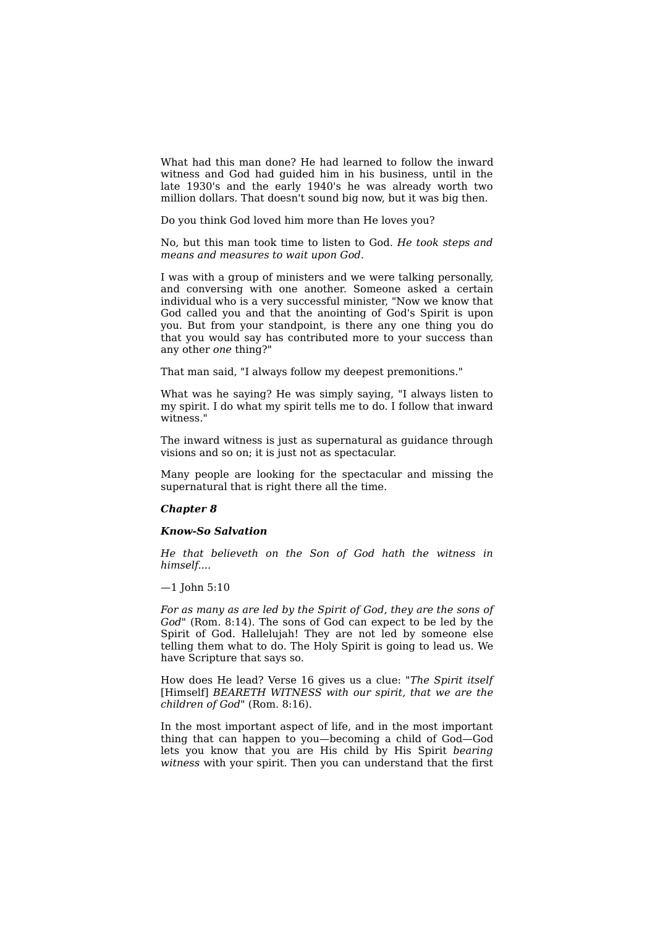What had this man done? He had learned to follow the inward witness and God had guided him in his business, until in the late 1930's and the early 1940's he was already worth two million dollars. That doesn't sound big now, but it was big then.

Do you think God loved him more than He loves you?

No, but this man took time to listen to God. *He took steps and means and measures to wait upon God.*

I was with a group of ministers and we were talking personally, and conversing with one another. Someone asked a certain individual who is a very successful minister, "Now we know that God called you and that the anointing of God's Spirit is upon you. But from your standpoint, is there any one thing you do that you would say has contributed more to your success than any other *one* thing?"

That man said, "I always follow my deepest premonitions."

What was he saying? He was simply saying, "I always listen to my spirit. I do what my spirit tells me to do. I follow that inward witness."

The inward witness is just as supernatural as guidance through visions and so on; it is just not as spectacular.

Many people are looking for the spectacular and missing the supernatural that is right there all the time.

### *Chapter 8*

#### *Know-So Salvation*

*He that believeth on the Son of God hath the witness in himself....*

 $-1$  John 5:10

*For as many as are led by the Spirit of God, they are the sons of God"* (Rom. 8:14). The sons of God can expect to be led by the Spirit of God. Hallelujah! They are not led by someone else telling them what to do. The Holy Spirit is going to lead us. We have Scripture that says so.

How does He lead? Verse 16 gives us a clue: *"The Spirit itself* [Himself] *BEARETH WITNESS with our spirit, that we are the children of God"* (Rom. 8:16).

In the most important aspect of life, and in the most important thing that can happen to you—becoming a child of God—God lets you know that you are His child by His Spirit *bearing witness* with your spirit. Then you can understand that the first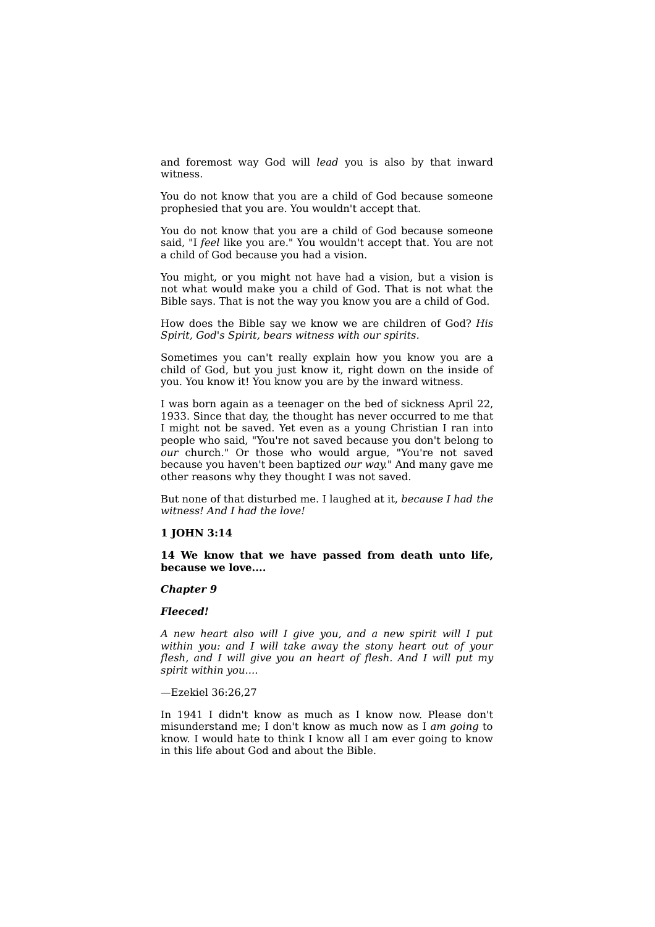and foremost way God will *lead* you is also by that inward witness.

You do not know that you are a child of God because someone prophesied that you are. You wouldn't accept that.

You do not know that you are a child of God because someone said, "I *feel* like you are." You wouldn't accept that. You are not a child of God because you had a vision.

You might, or you might not have had a vision, but a vision is not what would make you a child of God. That is not what the Bible says. That is not the way you know you are a child of God.

How does the Bible say we know we are children of God? *His Spirit, God's Spirit, bears witness with our spirits.*

Sometimes you can't really explain how you know you are a child of God, but you just know it, right down on the inside of you. You know it! You know you are by the inward witness.

I was born again as a teenager on the bed of sickness April 22, 1933. Since that day, the thought has never occurred to me that I might not be saved. Yet even as a young Christian I ran into people who said, "You're not saved because you don't belong to *our* church." Or those who would argue, "You're not saved because you haven't been baptized *our way."* And many gave me other reasons why they thought I was not saved.

But none of that disturbed me. I laughed at it, *because I had the witness! And I had the love!*

#### **1 JOHN 3:14**

**14 We know that we have passed from death unto life, because we love....**

### *Chapter 9*

# *Fleeced!*

*A new heart also will I give you, and a new spirit will I put within you: and I will take away the stony heart out of your flesh, and I will give you an heart of flesh. And I will put my spirit within you....*

—Ezekiel 36:26,27

In 1941 I didn't know as much as I know now. Please don't misunderstand me; I don't know as much now as I *am going* to know. I would hate to think I know all I am ever going to know in this life about God and about the Bible.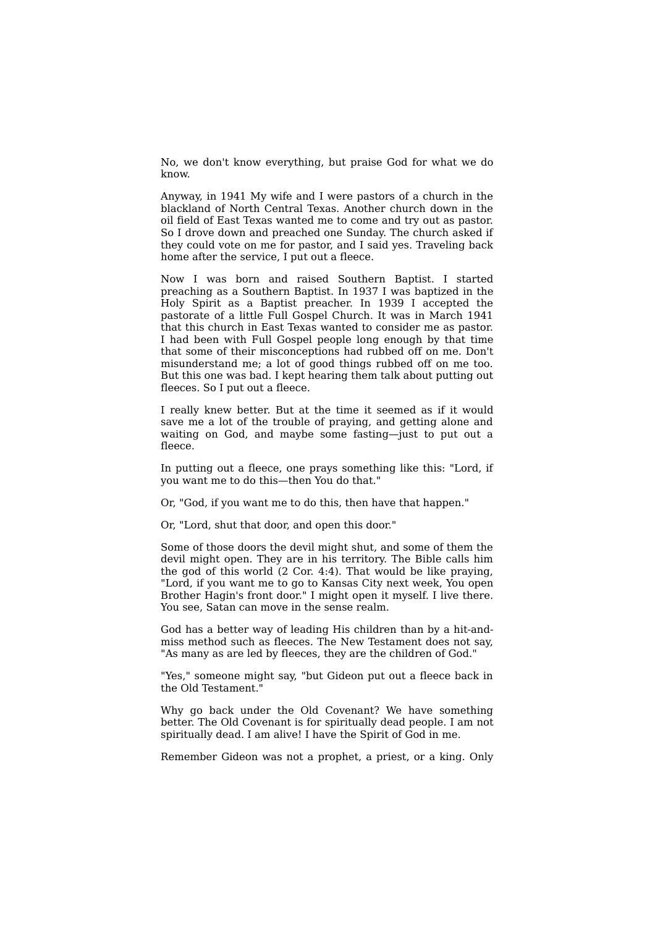No, we don't know everything, but praise God for what we do know.

Anyway, in 1941 My wife and I were pastors of a church in the blackland of North Central Texas. Another church down in the oil field of East Texas wanted me to come and try out as pastor. So I drove down and preached one Sunday. The church asked if they could vote on me for pastor, and I said yes. Traveling back home after the service, I put out a fleece.

Now I was born and raised Southern Baptist. I started preaching as a Southern Baptist. In 1937 I was baptized in the Holy Spirit as a Baptist preacher. In 1939 I accepted the pastorate of a little Full Gospel Church. It was in March 1941 that this church in East Texas wanted to consider me as pastor. I had been with Full Gospel people long enough by that time that some of their misconceptions had rubbed off on me. Don't misunderstand me; a lot of good things rubbed off on me too. But this one was bad. I kept hearing them talk about putting out fleeces. So I put out a fleece.

I really knew better. But at the time it seemed as if it would save me a lot of the trouble of praying, and getting alone and waiting on God, and maybe some fasting—just to put out a fleece.

In putting out a fleece, one prays something like this: "Lord, if you want me to do this—then You do that."

Or, "God, if you want me to do this, then have that happen."

Or, "Lord, shut that door, and open this door."

Some of those doors the devil might shut, and some of them the devil might open. They are in his territory. The Bible calls him the god of this world (2 Cor. 4:4). That would be like praying, "Lord, if you want me to go to Kansas City next week, You open Brother Hagin's front door." I might open it myself. I live there. You see, Satan can move in the sense realm.

God has a better way of leading His children than by a hit-and miss method such as fleeces. The New Testament does not say, "As many as are led by fleeces, they are the children of God."

"Yes," someone might say, "but Gideon put out a fleece back in the Old Testament."

Why go back under the Old Covenant? We have something better. The Old Covenant is for spiritually dead people. I am not spiritually dead. I am alive! I have the Spirit of God in me.

Remember Gideon was not a prophet, a priest, or a king. Only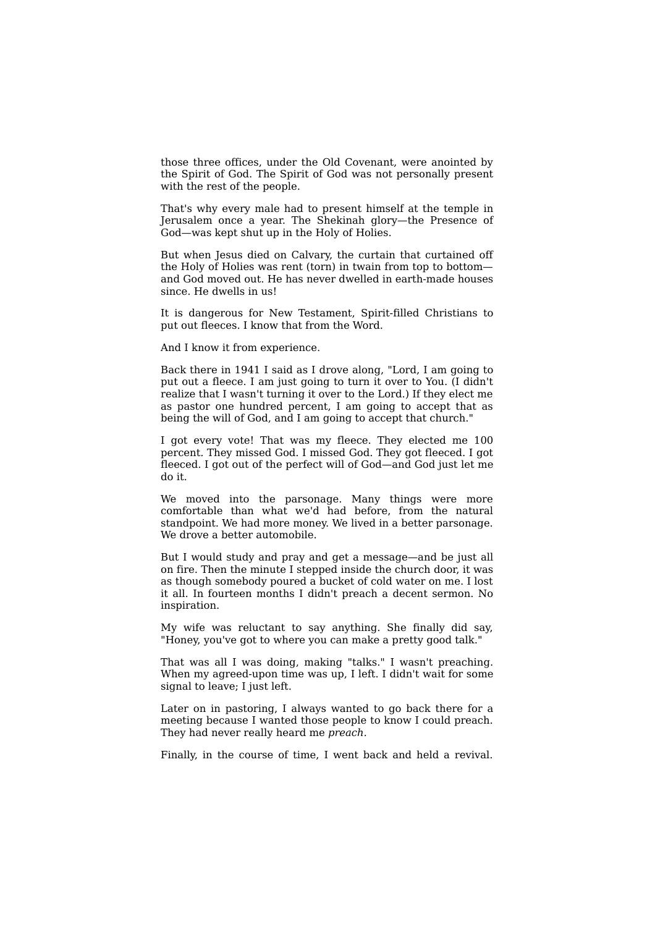those three offices, under the Old Covenant, were anointed by the Spirit of God. The Spirit of God was not personally present with the rest of the people.

That's why every male had to present himself at the temple in Jerusalem once a year. The Shekinah glory—the Presence of God—was kept shut up in the Holy of Holies.

But when Jesus died on Calvary, the curtain that curtained off the Holy of Holies was rent (torn) in twain from top to bottom and God moved out. He has never dwelled in earth-made houses since. He dwells in us!

It is dangerous for New Testament, Spirit-filled Christians to put out fleeces. I know that from the Word.

And I know it from experience.

Back there in 1941 I said as I drove along, "Lord, I am going to put out a fleece. I am just going to turn it over to You. (I didn't realize that I wasn't turning it over to the Lord.) If they elect me as pastor one hundred percent, I am going to accept that as being the will of God, and I am going to accept that church."

I got every vote! That was my fleece. They elected me 100 percent. They missed God. I missed God. They got fleeced. I got fleeced. I got out of the perfect will of God—and God just let me do it.

We moved into the parsonage. Many things were more comfortable than what we'd had before, from the natural standpoint. We had more money. We lived in a better parsonage. We drove a better automobile.

But I would study and pray and get a message—and be just all on fire. Then the minute I stepped inside the church door, it was as though somebody poured a bucket of cold water on me. I lost it all. In fourteen months I didn't preach a decent sermon. No inspiration.

My wife was reluctant to say anything. She finally did say, "Honey, you've got to where you can make a pretty good talk."

That was all I was doing, making "talks." I wasn't preaching. When my agreed-upon time was up, I left. I didn't wait for some signal to leave; I just left.

Later on in pastoring, I always wanted to go back there for a meeting because I wanted those people to know I could preach. They had never really heard me *preach.*

Finally, in the course of time, I went back and held a revival.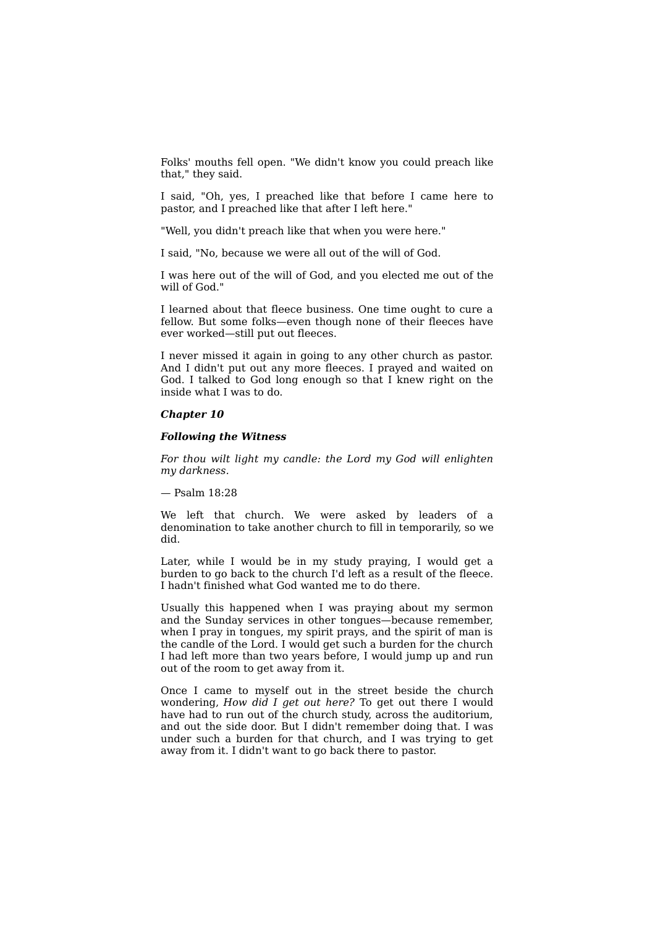Folks' mouths fell open. "We didn't know you could preach like that," they said.

I said, "Oh, yes, I preached like that before I came here to pastor, and I preached like that after I left here."

"Well, you didn't preach like that when you were here."

I said, "No, because we were all out of the will of God.

I was here out of the will of God, and you elected me out of the will of God."

I learned about that fleece business. One time ought to cure a fellow. But some folks—even though none of their fleeces have ever worked—still put out fleeces.

I never missed it again in going to any other church as pastor. And I didn't put out any more fleeces. I prayed and waited on God. I talked to God long enough so that I knew right on the inside what I was to do.

## *Chapter 10*

#### *Following the Witness*

*For thou wilt light my candle: the Lord my God will enlighten my darkness.*

*—* Psalm 18:28

We left that church. We were asked by leaders of a denomination to take another church to fill in temporarily, so we did.

Later, while I would be in my study praying, I would get a burden to go back to the church I'd left as a result of the fleece. I hadn't finished what God wanted me to do there.

Usually this happened when I was praying about my sermon and the Sunday services in other tongues—because remember, when I pray in tongues, my spirit prays, and the spirit of man is the candle of the Lord. I would get such a burden for the church I had left more than two years before, I would jump up and run out of the room to get away from it.

Once I came to myself out in the street beside the church wondering, *How did I get out here?* To get out there I would have had to run out of the church study, across the auditorium, and out the side door. But I didn't remember doing that. I was under such a burden for that church, and I was trying to get away from it. I didn't want to go back there to pastor.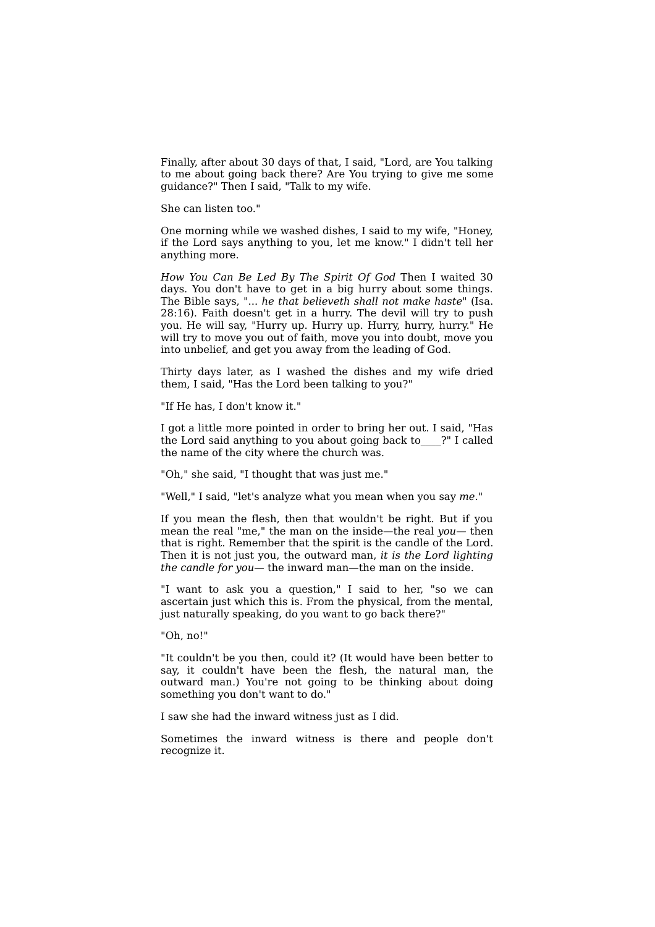Finally, after about 30 days of that, I said, "Lord, are You talking to me about going back there? Are You trying to give me some guidance?" Then I said, "Talk to my wife.

She can listen too."

One morning while we washed dishes, I said to my wife, "Honey, if the Lord says anything to you, let me know." I didn't tell her anything more.

*How You Can Be Led By The Spirit Of God* Then I waited 30 days. You don't have to get in a big hurry about some things. The Bible says, "... *he that believeth shall not make haste"* (Isa. 28:16). Faith doesn't get in a hurry. The devil will try to push you. He will say, "Hurry up. Hurry up. Hurry, hurry, hurry." He will try to move you out of faith, move you into doubt, move you into unbelief, and get you away from the leading of God.

Thirty days later, as I washed the dishes and my wife dried them, I said, "Has the Lord been talking to you?"

"If He has, I don't know it."

I got a little more pointed in order to bring her out. I said, "Has the Lord said anything to you about going back to\_\_\_\_?" I called the name of the city where the church was.

"Oh," she said, "I thought that was just me."

"Well," I said, "let's analyze what you mean when you say *me."*

If you mean the flesh, then that wouldn't be right. But if you mean the real "me," the man on the inside—the real *you—* then that is right. Remember that the spirit is the candle of the Lord. Then it is not just you, the outward man, *it is the Lord lighting the candle for you—* the inward man—the man on the inside.

"I want to ask you a question," I said to her, "so we can ascertain just which this is. From the physical, from the mental, just naturally speaking, do you want to go back there?"

"Oh, no!"

"It couldn't be you then, could it? (It would have been better to say, it couldn't have been the flesh, the natural man, the outward man.) You're not going to be thinking about doing something you don't want to do."

I saw she had the inward witness just as I did.

Sometimes the inward witness is there and people don't recognize it.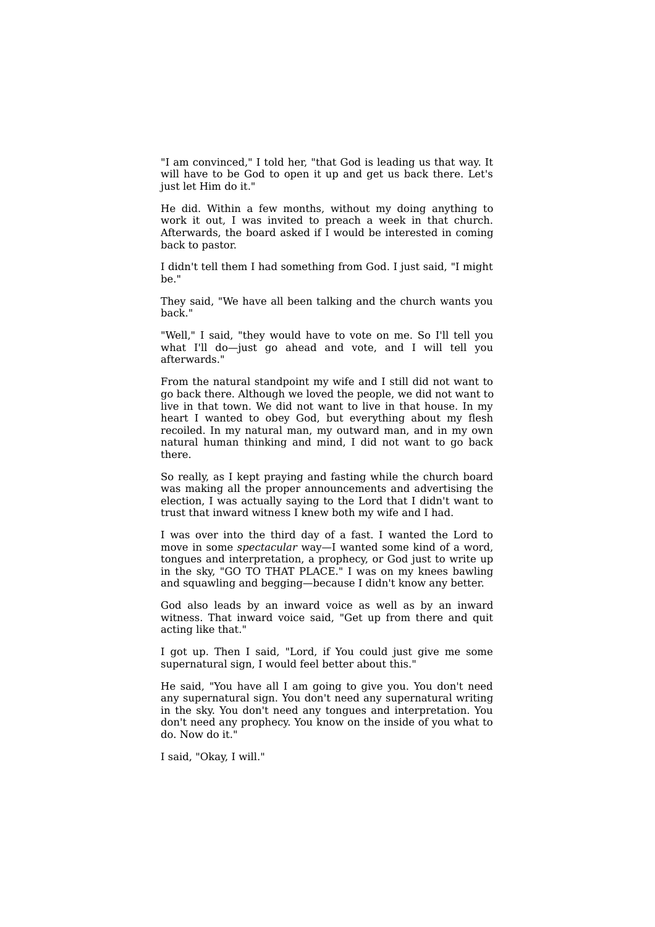"I am convinced," I told her, "that God is leading us that way. It will have to be God to open it up and get us back there. Let's just let Him do it."

He did. Within a few months, without my doing anything to work it out, I was invited to preach a week in that church. Afterwards, the board asked if I would be interested in coming back to pastor.

I didn't tell them I had something from God. I just said, "I might be."

They said, "We have all been talking and the church wants you back."

"Well," I said, "they would have to vote on me. So I'll tell you what I'll do—just go ahead and vote, and I will tell you afterwards."

From the natural standpoint my wife and I still did not want to go back there. Although we loved the people, we did not want to live in that town. We did not want to live in that house. In my heart I wanted to obey God, but everything about my flesh recoiled. In my natural man, my outward man, and in my own natural human thinking and mind, I did not want to go back there.

So really, as I kept praying and fasting while the church board was making all the proper announcements and advertising the election, I was actually saying to the Lord that I didn't want to trust that inward witness I knew both my wife and I had.

I was over into the third day of a fast. I wanted the Lord to move in some *spectacular* way—I wanted some kind of a word, tongues and interpretation, a prophecy, or God just to write up in the sky, "GO TO THAT PLACE." I was on my knees bawling and squawling and begging—because I didn't know any better.

God also leads by an inward voice as well as by an inward witness. That inward voice said, "Get up from there and quit acting like that."

I got up. Then I said, "Lord, if You could just give me some supernatural sign, I would feel better about this."

He said, "You have all I am going to give you. You don't need any supernatural sign. You don't need any supernatural writing in the sky. You don't need any tongues and interpretation. You don't need any prophecy. You know on the inside of you what to do. Now do it."

I said, "Okay, I will."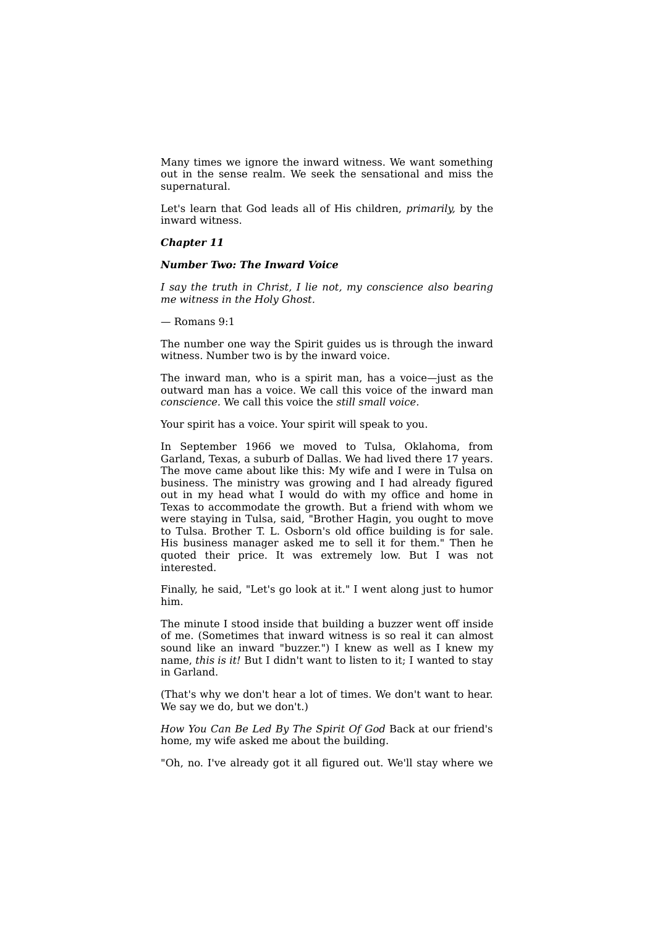Many times we ignore the inward witness. We want something out in the sense realm. We seek the sensational and miss the supernatural.

Let's learn that God leads all of His children, *primarily,* by the inward witness.

## *Chapter 11*

#### *Number Two: The Inward Voice*

*I say the truth in Christ, I lie not, my conscience also bearing me witness in the Holy Ghost.*

*—* Romans 9:1

The number one way the Spirit guides us is through the inward witness. Number two is by the inward voice.

The inward man, who is a spirit man, has a voice—just as the outward man has a voice. We call this voice of the inward man *conscience.* We call this voice the *still small voice.*

Your spirit has a voice. Your spirit will speak to you.

In September 1966 we moved to Tulsa, Oklahoma, from Garland, Texas, a suburb of Dallas. We had lived there 17 years. The move came about like this: My wife and I were in Tulsa on business. The ministry was growing and I had already figured out in my head what I would do with my office and home in Texas to accommodate the growth. But a friend with whom we were staying in Tulsa, said, "Brother Hagin, you ought to move to Tulsa. Brother T. L. Osborn's old office building is for sale. His business manager asked me to sell it for them." Then he quoted their price. It was extremely low. But I was not interested.

Finally, he said, "Let's go look at it." I went along just to humor him.

The minute I stood inside that building a buzzer went off inside of me. (Sometimes that inward witness is so real it can almost sound like an inward "buzzer.") I knew as well as I knew my name, *this is it!* But I didn't want to listen to it; I wanted to stay in Garland.

(That's why we don't hear a lot of times. We don't want to hear. We say we do, but we don't.)

*How You Can Be Led By The Spirit Of God* Back at our friend's home, my wife asked me about the building.

"Oh, no. I've already got it all figured out. We'll stay where we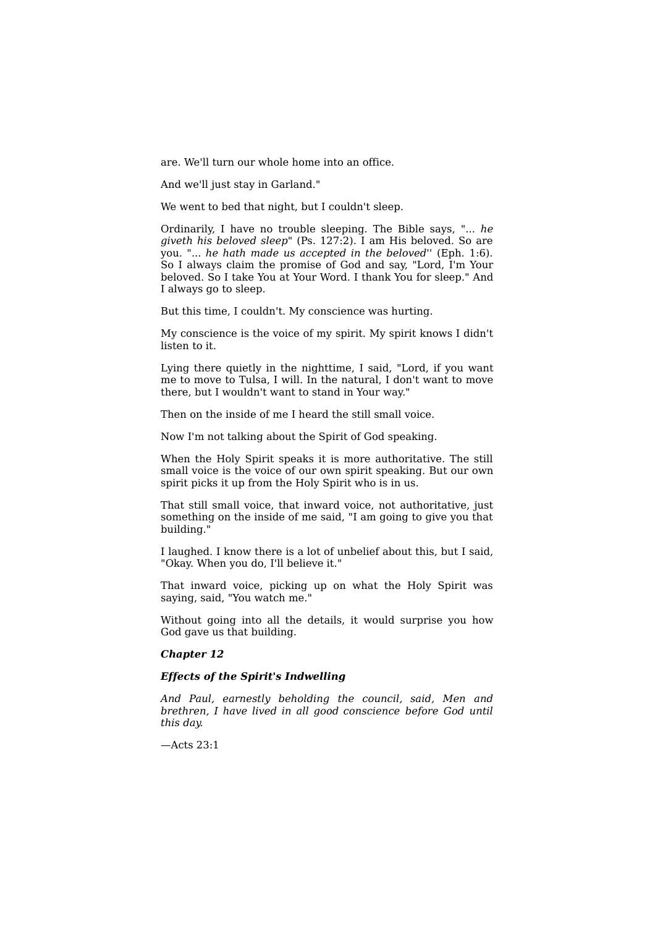are. We'll turn our whole home into an office.

And we'll just stay in Garland."

We went to bed that night, but I couldn't sleep.

Ordinarily, I have no trouble sleeping. The Bible says, "... *he giveth his beloved sleep"* (Ps. 127:2). I am His beloved. So are you. "... *he hath made us accepted in the beloved''* (Eph. 1:6). So I always claim the promise of God and say, "Lord, I'm Your beloved. So I take You at Your Word. I thank You for sleep." And I always go to sleep.

But this time, I couldn't. My conscience was hurting.

My conscience is the voice of my spirit. My spirit knows I didn't listen to it.

Lying there quietly in the nighttime, I said, "Lord, if you want me to move to Tulsa, I will. In the natural, I don't want to move there, but I wouldn't want to stand in Your way."

Then on the inside of me I heard the still small voice.

Now I'm not talking about the Spirit of God speaking.

When the Holy Spirit speaks it is more authoritative. The still small voice is the voice of our own spirit speaking. But our own spirit picks it up from the Holy Spirit who is in us.

That still small voice, that inward voice, not authoritative, just something on the inside of me said, "I am going to give you that building."

I laughed. I know there is a lot of unbelief about this, but I said, "Okay. When you do, I'll believe it."

That inward voice, picking up on what the Holy Spirit was saying, said, "You watch me."

Without going into all the details, it would surprise you how God gave us that building.

#### *Chapter 12*

## *Effects of the Spirit's Indwelling*

*And Paul, earnestly beholding the council, said, Men and brethren, I have lived in all good conscience before God until this day.*

—Acts 23:1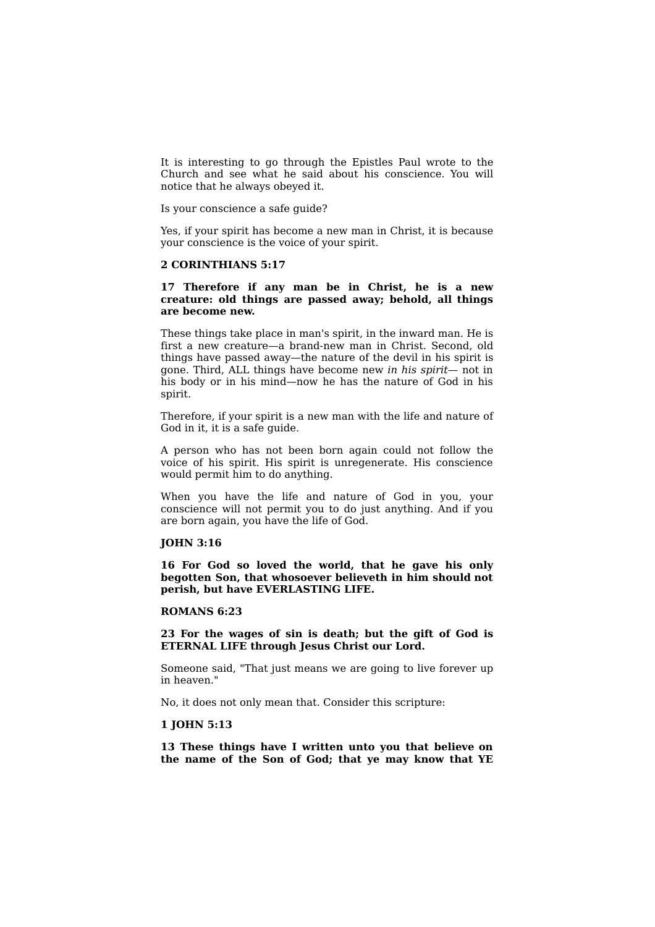It is interesting to go through the Epistles Paul wrote to the Church and see what he said about his conscience. You will notice that he always obeyed it.

Is your conscience a safe guide?

Yes, if your spirit has become a new man in Christ, it is because your conscience is the voice of your spirit.

# **2 CORINTHIANS 5:17**

**17 Therefore if any man be in Christ, he is a new creature: old things are passed away; behold, all things are become new.**

These things take place in man's spirit, in the inward man. He is first a new creature—a brand-new man in Christ. Second, old things have passed away—the nature of the devil in his spirit is gone. Third, ALL things have become new *in his spirit—* not in his body or in his mind—now he has the nature of God in his spirit.

Therefore, if your spirit is a new man with the life and nature of God in it, it is a safe guide.

A person who has not been born again could not follow the voice of his spirit. His spirit is unregenerate. His conscience would permit him to do anything.

When you have the life and nature of God in you, your conscience will not permit you to do just anything. And if you are born again, you have the life of God.

### **JOHN 3:16**

**16 For God so loved the world, that he gave his only begotten Son, that whosoever believeth in him should not perish, but have EVERLASTING LIFE.**

## **ROMANS 6:23**

**23 For the wages of sin is death; but the gift of God is ETERNAL LIFE through Jesus Christ our Lord.**

Someone said, "That just means we are going to live forever up in heaven."

No, it does not only mean that. Consider this scripture:

# **1 JOHN 5:13**

**13 These things have I written unto you that believe on the name of the Son of God; that ye may know that YE**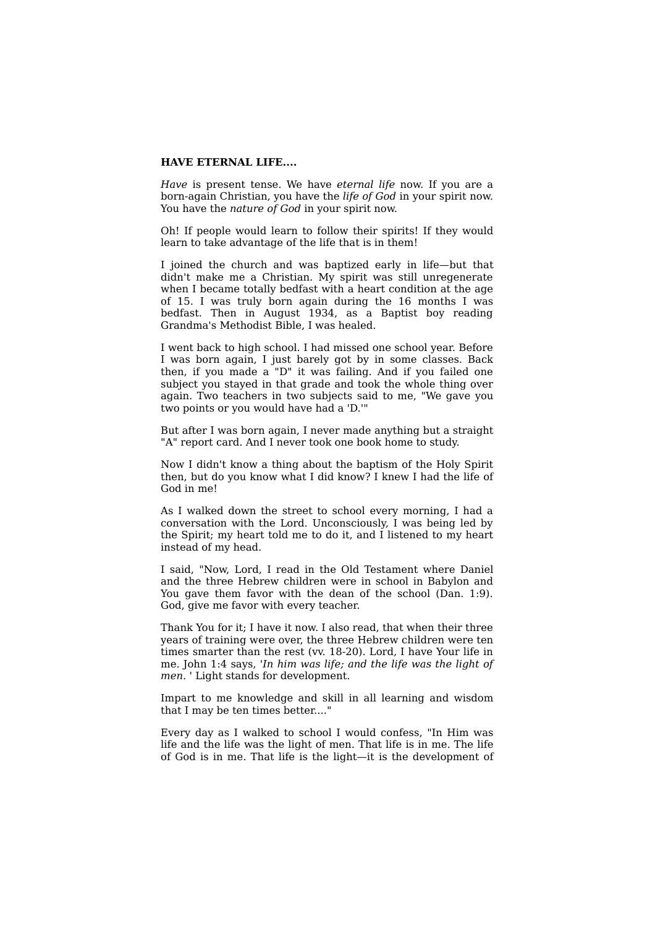## **HAVE ETERNAL LIFE....**

*Have* is present tense. We have *eternal life* now. If you are a born-again Christian, you have the *life of God* in your spirit now. You have the *nature of God* in your spirit now.

Oh! If people would learn to follow their spirits! If they would learn to take advantage of the life that is in them!

I joined the church and was baptized early in life—but that didn't make me a Christian. My spirit was still unregenerate when I became totally bedfast with a heart condition at the age of 15. I was truly born again during the 16 months I was bedfast. Then in August 1934, as a Baptist boy reading Grandma's Methodist Bible, I was healed.

I went back to high school. I had missed one school year. Before I was born again, I just barely got by in some classes. Back then, if you made a "D" it was failing. And if you failed one subject you stayed in that grade and took the whole thing over again. Two teachers in two subjects said to me, "We gave you two points or you would have had a 'D.'"

But after I was born again, I never made anything but a straight "A" report card. And I never took one book home to study.

Now I didn't know a thing about the baptism of the Holy Spirit then, but do you know what I did know? I knew I had the life of God in me!

As I walked down the street to school every morning, I had a conversation with the Lord. Unconsciously, I was being led by the Spirit; my heart told me to do it, and I listened to my heart instead of my head.

I said, "Now, Lord, I read in the Old Testament where Daniel and the three Hebrew children were in school in Babylon and You gave them favor with the dean of the school (Dan. 1:9). God, give me favor with every teacher.

Thank You for it; I have it now. I also read, that when their three years of training were over, the three Hebrew children were ten times smarter than the rest (vv. 18-20). Lord, I have Your life in me. John 1:4 says, *'In him was life; and the life was the light of men.* ' Light stands for development.

Impart to me knowledge and skill in all learning and wisdom that I may be ten times better...."

Every day as I walked to school I would confess, "In Him was life and the life was the light of men. That life is in me. The life of God is in me. That life is the light—it is the development of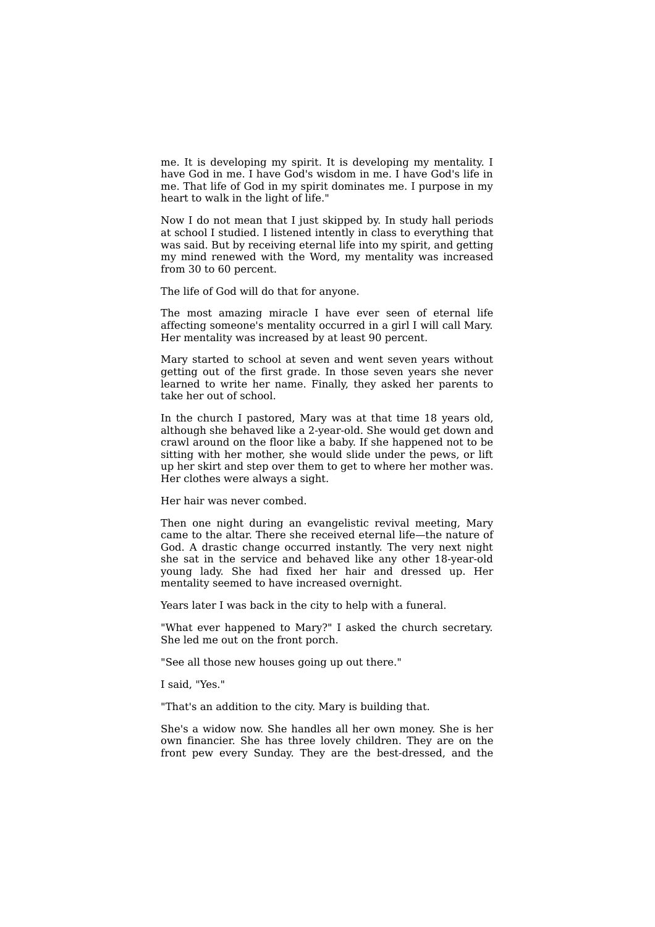me. It is developing my spirit. It is developing my mentality. I have God in me. I have God's wisdom in me. I have God's life in me. That life of God in my spirit dominates me. I purpose in my heart to walk in the light of life."

Now I do not mean that I just skipped by. In study hall periods at school I studied. I listened intently in class to everything that was said. But by receiving eternal life into my spirit, and getting my mind renewed with the Word, my mentality was increased from 30 to 60 percent.

The life of God will do that for anyone.

The most amazing miracle I have ever seen of eternal life affecting someone's mentality occurred in a girl I will call Mary. Her mentality was increased by at least 90 percent.

Mary started to school at seven and went seven years without getting out of the first grade. In those seven years she never learned to write her name. Finally, they asked her parents to take her out of school.

In the church I pastored, Mary was at that time 18 years old, although she behaved like a 2-year-old. She would get down and crawl around on the floor like a baby. If she happened not to be sitting with her mother, she would slide under the pews, or lift up her skirt and step over them to get to where her mother was. Her clothes were always a sight.

Her hair was never combed.

Then one night during an evangelistic revival meeting, Mary came to the altar. There she received eternal life—the nature of God. A drastic change occurred instantly. The very next night she sat in the service and behaved like any other 18-year-old young lady. She had fixed her hair and dressed up. Her mentality seemed to have increased overnight.

Years later I was back in the city to help with a funeral.

"What ever happened to Mary?" I asked the church secretary. She led me out on the front porch.

"See all those new houses going up out there."

I said, "Yes."

"That's an addition to the city. Mary is building that.

She's a widow now. She handles all her own money. She is her own financier. She has three lovely children. They are on the front pew every Sunday. They are the best-dressed, and the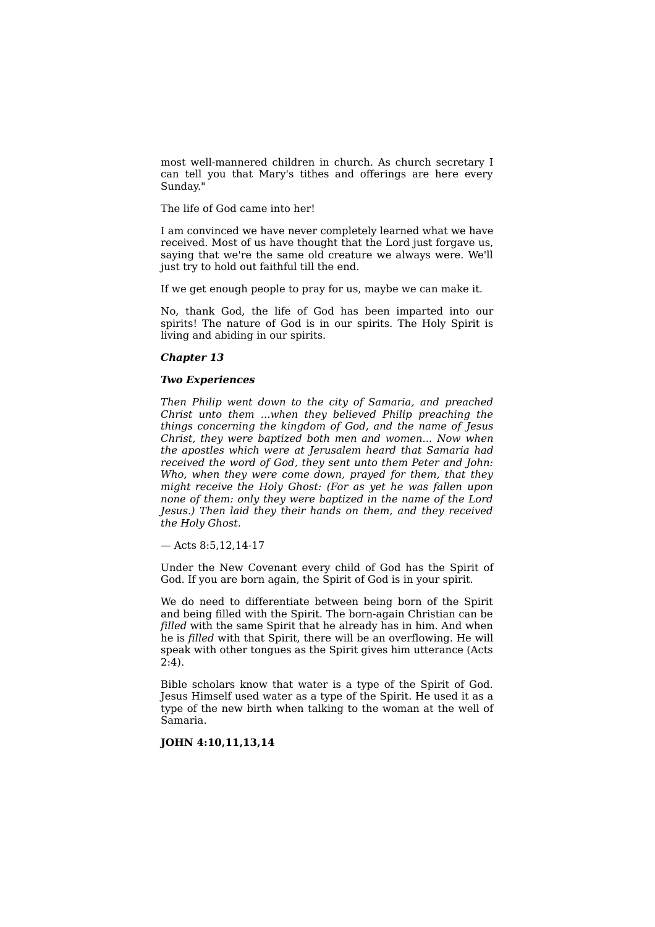most well-mannered children in church. As church secretary I can tell you that Mary's tithes and offerings are here every Sunday."

The life of God came into her!

I am convinced we have never completely learned what we have received. Most of us have thought that the Lord just forgave us, saying that we're the same old creature we always were. We'll just try to hold out faithful till the end.

If we get enough people to pray for us, maybe we can make it.

No, thank God, the life of God has been imparted into our spirits! The nature of God is in our spirits. The Holy Spirit is living and abiding in our spirits.

#### *Chapter 13*

# *Two Experiences*

*Then Philip went down to the city of Samaria, and preached Christ unto them ...when they believed Philip preaching the things concerning the kingdom of God, and the name of Jesus Christ, they were baptized both men and women... Now when the apostles which were at Jerusalem heard that Samaria had received the word of God, they sent unto them Peter and John: Who, when they were come down, prayed for them, that they might receive the Holy Ghost: (For as yet he was fallen upon none of them: only they were baptized in the name of the Lord Jesus.) Then laid they their hands on them, and they received the Holy Ghost.*

*—* Acts 8:5,12,14-17

Under the New Covenant every child of God has the Spirit of God. If you are born again, the Spirit of God is in your spirit.

We do need to differentiate between being born of the Spirit and being filled with the Spirit. The born-again Christian can be *filled* with the same Spirit that he already has in him. And when he is *filled* with that Spirit, there will be an overflowing. He will speak with other tongues as the Spirit gives him utterance (Acts  $2:4$ ).

Bible scholars know that water is a type of the Spirit of God. Jesus Himself used water as a type of the Spirit. He used it as a type of the new birth when talking to the woman at the well of Samaria.

# **JOHN 4:10,11,13,14**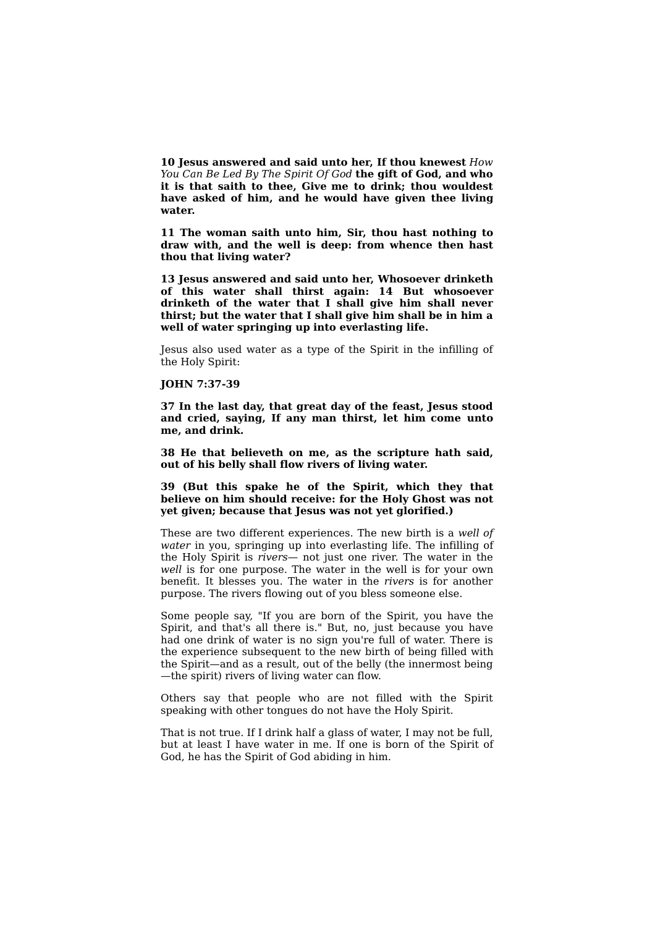**10 Jesus answered and said unto her, If thou knewest** *How You Can Be Led By The Spirit Of God* **the gift of God, and who it is that saith to thee, Give me to drink; thou wouldest have asked of him, and he would have given thee living water.**

**11 The woman saith unto him, Sir, thou hast nothing to draw with, and the well is deep: from whence then hast thou that living water?**

**13 Jesus answered and said unto her, Whosoever drinketh of this water shall thirst again: 14 But whosoever drinketh of the water that I shall give him shall never thirst; but the water that I shall give him shall be in him a well of water springing up into everlasting life.**

Jesus also used water as a type of the Spirit in the infilling of the Holy Spirit:

## **JOHN 7:37-39**

**37 In the last day, that great day of the feast, Jesus stood and cried, saying, If any man thirst, let him come unto me, and drink.**

**38 He that believeth on me, as the scripture hath said, out of his belly shall flow rivers of living water.**

## **39 (But this spake he of the Spirit, which they that believe on him should receive: for the Holy Ghost was not yet given; because that Jesus was not yet glorified.)**

These are two different experiences. The new birth is a *well of water* in you, springing up into everlasting life. The infilling of the Holy Spirit is *rivers—* not just one river. The water in the *well* is for one purpose. The water in the well is for your own benefit. It blesses you. The water in the *rivers* is for another purpose. The rivers flowing out of you bless someone else.

Some people say, "If you are born of the Spirit, you have the Spirit, and that's all there is." But, no, just because you have had one drink of water is no sign you're full of water. There is the experience subsequent to the new birth of being filled with the Spirit—and as a result, out of the belly (the innermost being —the spirit) rivers of living water can flow.

Others say that people who are not filled with the Spirit speaking with other tongues do not have the Holy Spirit.

That is not true. If I drink half a glass of water, I may not be full, but at least I have water in me. If one is born of the Spirit of God, he has the Spirit of God abiding in him.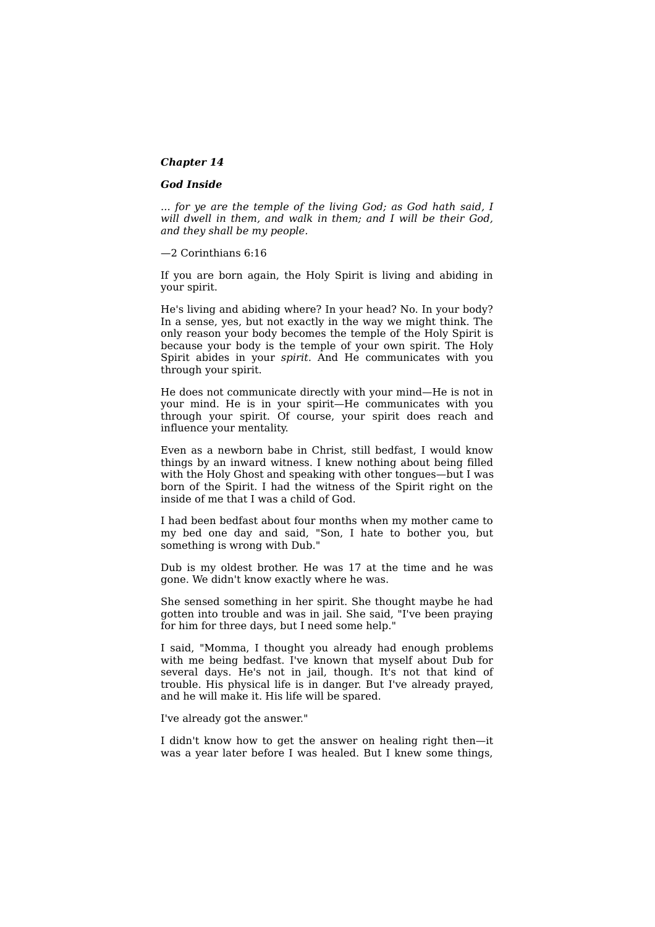# *Chapter 14*

## *God Inside*

*... for ye are the temple of the living God; as God hath said, I will dwell in them, and walk in them; and I will be their God, and they shall be my people.*

—2 Corinthians 6:16

If you are born again, the Holy Spirit is living and abiding in your spirit.

He's living and abiding where? In your head? No. In your body? In a sense, yes, but not exactly in the way we might think. The only reason your body becomes the temple of the Holy Spirit is because your body is the temple of your own spirit. The Holy Spirit abides in your *spirit.* And He communicates with you through your spirit.

He does not communicate directly with your mind—He is not in your mind. He is in your spirit—He communicates with you through your spirit. Of course, your spirit does reach and influence your mentality.

Even as a newborn babe in Christ, still bedfast, I would know things by an inward witness. I knew nothing about being filled with the Holy Ghost and speaking with other tongues—but I was born of the Spirit. I had the witness of the Spirit right on the inside of me that I was a child of God.

I had been bedfast about four months when my mother came to my bed one day and said, "Son, I hate to bother you, but something is wrong with Dub."

Dub is my oldest brother. He was 17 at the time and he was gone. We didn't know exactly where he was.

She sensed something in her spirit. She thought maybe he had gotten into trouble and was in jail. She said, "I've been praying for him for three days, but I need some help."

I said, "Momma, I thought you already had enough problems with me being bedfast. I've known that myself about Dub for several days. He's not in jail, though. It's not that kind of trouble. His physical life is in danger. But I've already prayed, and he will make it. His life will be spared.

I've already got the answer."

I didn't know how to get the answer on healing right then—it was a year later before I was healed. But I knew some things,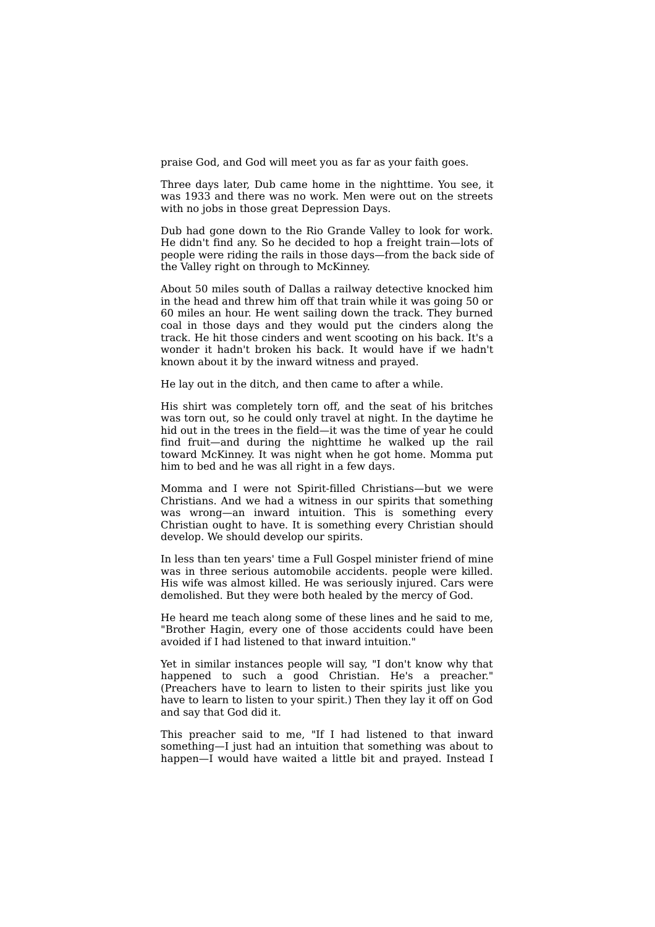praise God, and God will meet you as far as your faith goes.

Three days later, Dub came home in the nighttime. You see, it was 1933 and there was no work. Men were out on the streets with no jobs in those great Depression Days.

Dub had gone down to the Rio Grande Valley to look for work. He didn't find any. So he decided to hop a freight train—lots of people were riding the rails in those days—from the back side of the Valley right on through to McKinney.

About 50 miles south of Dallas a railway detective knocked him in the head and threw him off that train while it was going 50 or 60 miles an hour. He went sailing down the track. They burned coal in those days and they would put the cinders along the track. He hit those cinders and went scooting on his back. It's a wonder it hadn't broken his back. It would have if we hadn't known about it by the inward witness and prayed.

He lay out in the ditch, and then came to after a while.

His shirt was completely torn off, and the seat of his britches was torn out, so he could only travel at night. In the daytime he hid out in the trees in the field—it was the time of year he could find fruit—and during the nighttime he walked up the rail toward McKinney. It was night when he got home. Momma put him to bed and he was all right in a few days.

Momma and I were not Spirit-filled Christians—but we were Christians. And we had a witness in our spirits that something was wrong—an inward intuition. This is something every Christian ought to have. It is something every Christian should develop. We should develop our spirits.

In less than ten years' time a Full Gospel minister friend of mine was in three serious automobile accidents. people were killed. His wife was almost killed. He was seriously injured. Cars were demolished. But they were both healed by the mercy of God.

He heard me teach along some of these lines and he said to me, "Brother Hagin, every one of those accidents could have been avoided if I had listened to that inward intuition."

Yet in similar instances people will say, "I don't know why that happened to such a good Christian. He's a preacher." (Preachers have to learn to listen to their spirits just like you have to learn to listen to your spirit.) Then they lay it off on God and say that God did it.

This preacher said to me, "If I had listened to that inward something—I just had an intuition that something was about to happen—I would have waited a little bit and prayed. Instead I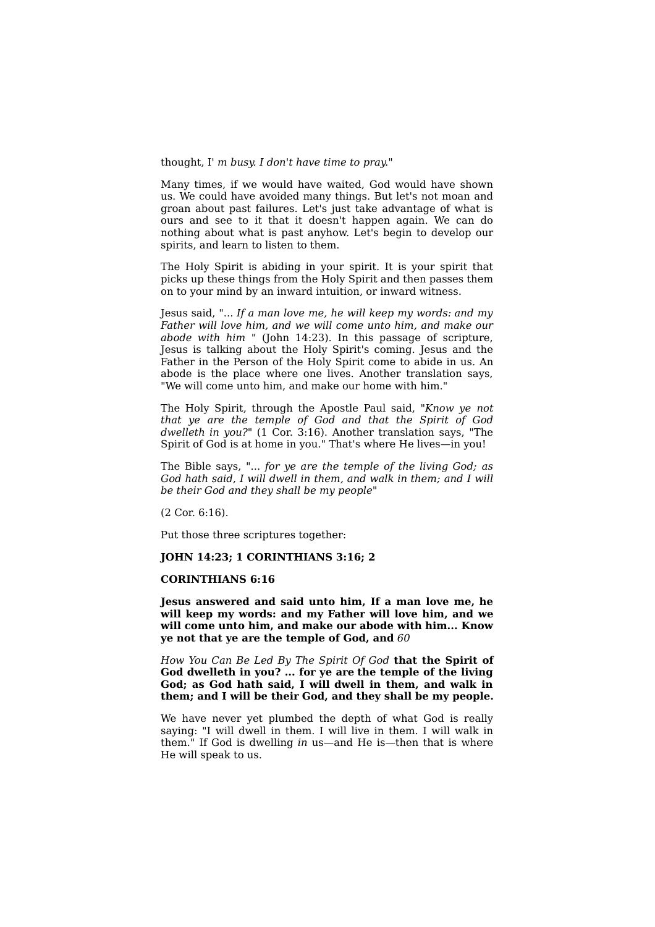thought, I' *m busy. I don't have time to pray."*

Many times, if we would have waited, God would have shown us. We could have avoided many things. But let's not moan and groan about past failures. Let's just take advantage of what is ours and see to it that it doesn't happen again. We can do nothing about what is past anyhow. Let's begin to develop our spirits, and learn to listen to them.

The Holy Spirit is abiding in your spirit. It is your spirit that picks up these things from the Holy Spirit and then passes them on to your mind by an inward intuition, or inward witness.

Jesus said, "... *If a man love me, he will keep my words: and my Father will love him, and we will come unto him, and make our abode with him* " (John 14:23). In this passage of scripture, Jesus is talking about the Holy Spirit's coming. Jesus and the Father in the Person of the Holy Spirit come to abide in us. An abode is the place where one lives. Another translation says, "We will come unto him, and make our home with him."

The Holy Spirit, through the Apostle Paul said, *"Know ye not that ye are the temple of God and that the Spirit of God dwelleth in you?"* (1 Cor. 3:16). Another translation says, "The Spirit of God is at home in you." That's where He lives—in you!

The Bible says, "... *for ye are the temple of the living God; as God hath said, I will dwell in them, and walk in them; and I will be their God and they shall be my people"*

(2 Cor. 6:16).

Put those three scriptures together:

#### **JOHN 14:23; 1 CORINTHIANS 3:16; 2**

# **CORINTHIANS 6:16**

**Jesus answered and said unto him, If a man love me, he will keep my words: and my Father will love him, and we will come unto him, and make our abode with him... Know ye not that ye are the temple of God, and** *60*

*How You Can Be Led By The Spirit Of God* **that the Spirit of God dwelleth in you? ... for ye are the temple of the living God; as God hath said, I will dwell in them, and walk in them; and I will be their God, and they shall be my people.**

We have never yet plumbed the depth of what God is really saying: "I will dwell in them. I will live in them. I will walk in them." If God is dwelling *in* us—and He is—then that is where He will speak to us.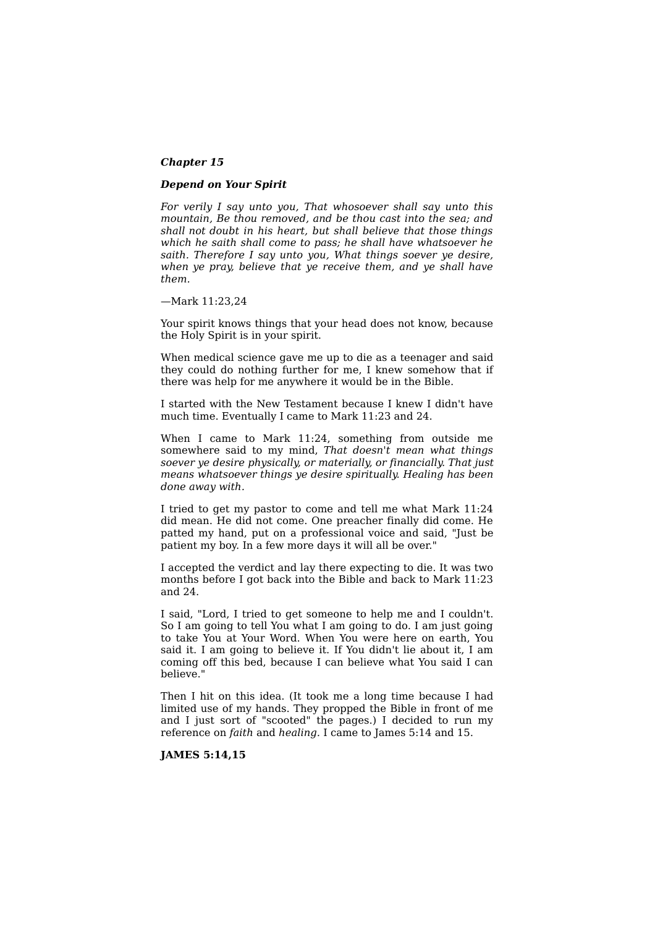## *Chapter 15*

#### *Depend on Your Spirit*

*For verily I say unto you, That whosoever shall say unto this mountain, Be thou removed, and be thou cast into the sea; and shall not doubt in his heart, but shall believe that those things which he saith shall come to pass; he shall have whatsoever he saith. Therefore I say unto you, What things soever ye desire, when ye pray, believe that ye receive them, and ye shall have them.*

—Mark 11:23,24

Your spirit knows things that your head does not know, because the Holy Spirit is in your spirit.

When medical science gave me up to die as a teenager and said they could do nothing further for me, I knew somehow that if there was help for me anywhere it would be in the Bible.

I started with the New Testament because I knew I didn't have much time. Eventually I came to Mark 11:23 and 24.

When I came to Mark 11:24, something from outside me somewhere said to my mind, *That doesn't mean what things soever ye desire physically, or materially, or financially. That just means whatsoever things ye desire spiritually. Healing has been done away with.*

I tried to get my pastor to come and tell me what Mark 11:24 did mean. He did not come. One preacher finally did come. He patted my hand, put on a professional voice and said, "Just be patient my boy. In a few more days it will all be over."

I accepted the verdict and lay there expecting to die. It was two months before I got back into the Bible and back to Mark 11:23 and 24.

I said, "Lord, I tried to get someone to help me and I couldn't. So I am going to tell You what I am going to do. I am just going to take You at Your Word. When You were here on earth, You said it. I am going to believe it. If You didn't lie about it, I am coming off this bed, because I can believe what You said I can believe."

Then I hit on this idea. (It took me a long time because I had limited use of my hands. They propped the Bible in front of me and I just sort of "scooted" the pages.) I decided to run my reference on *faith* and *healing.* I came to James 5:14 and 15.

# **JAMES 5:14,15**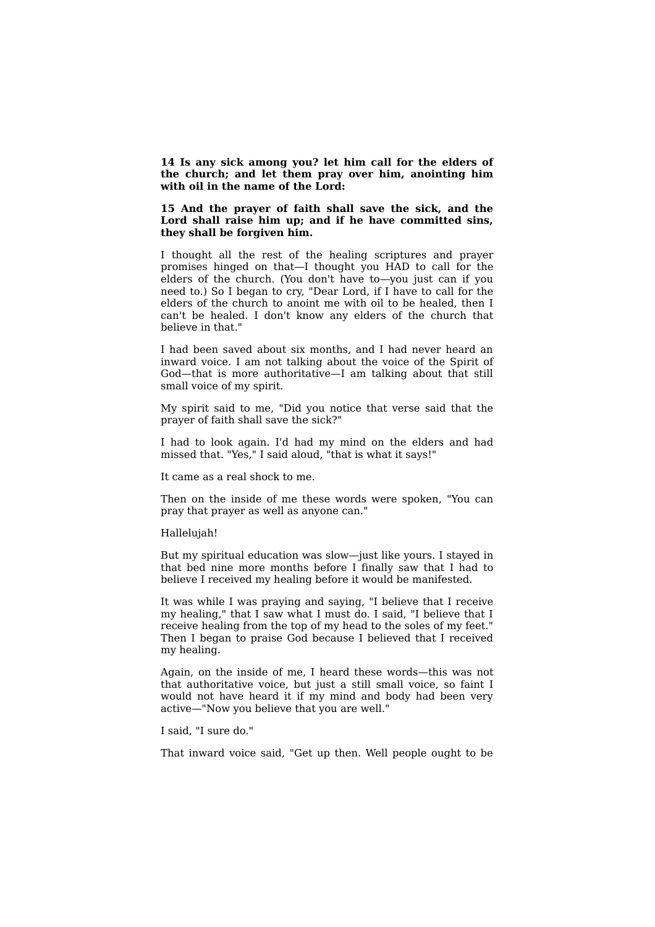**14 Is any sick among you? let him call for the elders of the church; and let them pray over him, anointing him with oil in the name of the Lord:**

### **15 And the prayer of faith shall save the sick, and the Lord shall raise him up; and if he have committed sins, they shall be forgiven him.**

I thought all the rest of the healing scriptures and prayer promises hinged on that—I thought you HAD to call for the elders of the church. (You don't have to—you just can if you need to.) So I began to cry, "Dear Lord, if I have to call for the elders of the church to anoint me with oil to be healed, then I can't be healed. I don't know any elders of the church that believe in that."

I had been saved about six months, and I had never heard an inward voice. I am not talking about the voice of the Spirit of God—that is more authoritative—I am talking about that still small voice of my spirit.

My spirit said to me, "Did you notice that verse said that the prayer of faith shall save the sick?"

I had to look again. I'd had my mind on the elders and had missed that. "Yes," I said aloud, "that is what it says!"

It came as a real shock to me.

Then on the inside of me these words were spoken, "You can pray that prayer as well as anyone can."

Hallelujah!

But my spiritual education was slow—just like yours. I stayed in that bed nine more months before I finally saw that I had to believe I received my healing before it would be manifested.

It was while I was praying and saying, "I believe that I receive my healing," that I saw what I must do. I said, "I believe that I receive healing from the top of my head to the soles of my feet." Then I began to praise God because I believed that I received my healing.

Again, on the inside of me, I heard these words—this was not that authoritative voice, but just a still small voice, so faint I would not have heard it if my mind and body had been very active—"Now you believe that you are well."

I said, "I sure do."

That inward voice said, "Get up then. Well people ought to be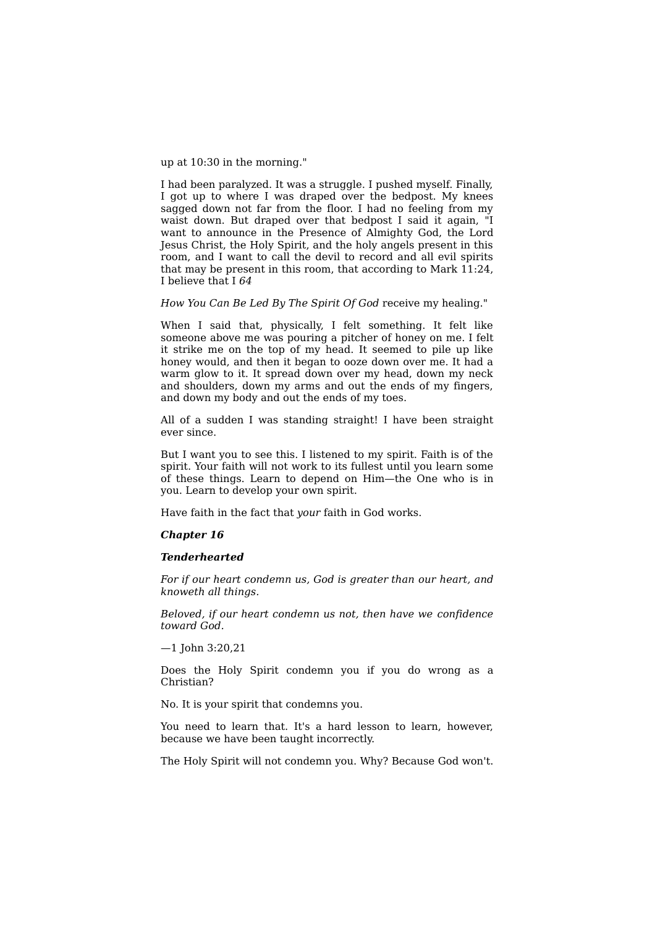up at 10:30 in the morning."

I had been paralyzed. It was a struggle. I pushed myself. Finally, I got up to where I was draped over the bedpost. My knees sagged down not far from the floor. I had no feeling from my waist down. But draped over that bedpost I said it again, "I want to announce in the Presence of Almighty God, the Lord Jesus Christ, the Holy Spirit, and the holy angels present in this room, and I want to call the devil to record and all evil spirits that may be present in this room, that according to Mark 11:24, I believe that I *64*

*How You Can Be Led By The Spirit Of God* receive my healing."

When I said that, physically, I felt something. It felt like someone above me was pouring a pitcher of honey on me. I felt it strike me on the top of my head. It seemed to pile up like honey would, and then it began to ooze down over me. It had a warm glow to it. It spread down over my head, down my neck and shoulders, down my arms and out the ends of my fingers, and down my body and out the ends of my toes.

All of a sudden I was standing straight! I have been straight ever since.

But I want you to see this. I listened to my spirit. Faith is of the spirit. Your faith will not work to its fullest until you learn some of these things. Learn to depend on Him—the One who is in you. Learn to develop your own spirit.

Have faith in the fact that *your* faith in God works.

## *Chapter 16*

#### *Tenderhearted*

*For if our heart condemn us, God is greater than our heart, and knoweth all things.*

*Beloved, if our heart condemn us not, then have we confidence toward God.*

—1 John 3:20,21

Does the Holy Spirit condemn you if you do wrong as a Christian?

No. It is your spirit that condemns you.

You need to learn that. It's a hard lesson to learn, however, because we have been taught incorrectly.

The Holy Spirit will not condemn you. Why? Because God won't.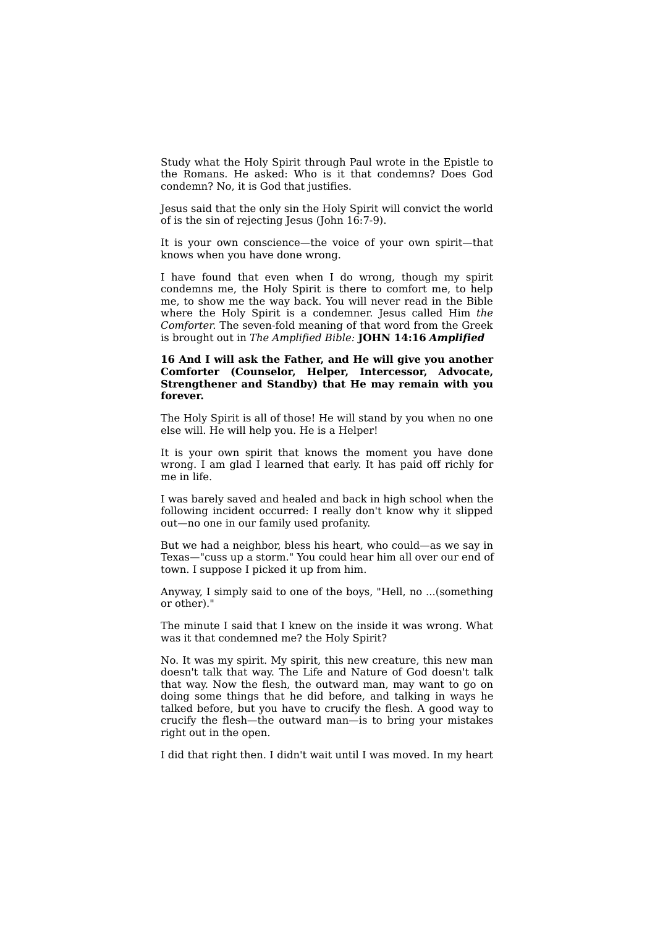Study what the Holy Spirit through Paul wrote in the Epistle to the Romans. He asked: Who is it that condemns? Does God condemn? No, it is God that justifies.

Jesus said that the only sin the Holy Spirit will convict the world of is the sin of rejecting Jesus (John 16:7-9).

It is your own conscience—the voice of your own spirit—that knows when you have done wrong.

I have found that even when I do wrong, though my spirit condemns me, the Holy Spirit is there to comfort me, to help me, to show me the way back. You will never read in the Bible where the Holy Spirit is a condemner. Jesus called Him *the Comforter.* The seven-fold meaning of that word from the Greek is brought out in *The Amplified Bible:* **JOHN 14:16** *Amplified*

## **16 And I will ask the Father, and He will give you another Comforter (Counselor, Helper, Intercessor, Advocate, Strengthener and Standby) that He may remain with you forever.**

The Holy Spirit is all of those! He will stand by you when no one else will. He will help you. He is a Helper!

It is your own spirit that knows the moment you have done wrong. I am glad I learned that early. It has paid off richly for me in life.

I was barely saved and healed and back in high school when the following incident occurred: I really don't know why it slipped out—no one in our family used profanity.

But we had a neighbor, bless his heart, who could—as we say in Texas—"cuss up a storm." You could hear him all over our end of town. I suppose I picked it up from him.

Anyway, I simply said to one of the boys, "Hell, no ...(something or other)."

The minute I said that I knew on the inside it was wrong. What was it that condemned me? the Holy Spirit?

No. It was my spirit. My spirit, this new creature, this new man doesn't talk that way. The Life and Nature of God doesn't talk that way. Now the flesh, the outward man, may want to go on doing some things that he did before, and talking in ways he talked before, but you have to crucify the flesh. A good way to crucify the flesh—the outward man—is to bring your mistakes right out in the open.

I did that right then. I didn't wait until I was moved. In my heart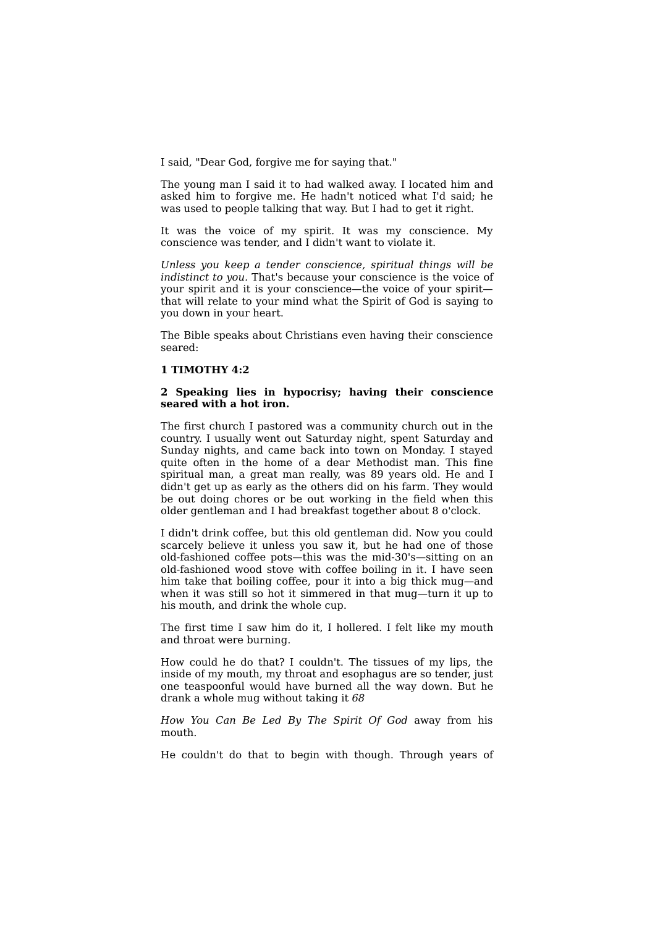I said, "Dear God, forgive me for saying that."

The young man I said it to had walked away. I located him and asked him to forgive me. He hadn't noticed what I'd said; he was used to people talking that way. But I had to get it right.

It was the voice of my spirit. It was my conscience. My conscience was tender, and I didn't want to violate it.

*Unless you keep a tender conscience, spiritual things will be indistinct to you.* That's because your conscience is the voice of your spirit and it is your conscience—the voice of your spirit that will relate to your mind what the Spirit of God is saying to you down in your heart.

The Bible speaks about Christians even having their conscience seared:

### **1 TIMOTHY 4:2**

## **2 Speaking lies in hypocrisy; having their conscience seared with a hot iron.**

The first church I pastored was a community church out in the country. I usually went out Saturday night, spent Saturday and Sunday nights, and came back into town on Monday. I stayed quite often in the home of a dear Methodist man. This fine spiritual man, a great man really, was 89 years old. He and I didn't get up as early as the others did on his farm. They would be out doing chores or be out working in the field when this older gentleman and I had breakfast together about 8 o'clock.

I didn't drink coffee, but this old gentleman did. Now you could scarcely believe it unless you saw it, but he had one of those old-fashioned coffee pots—this was the mid-30's—sitting on an old-fashioned wood stove with coffee boiling in it. I have seen him take that boiling coffee, pour it into a big thick mug—and when it was still so hot it simmered in that mug—turn it up to his mouth, and drink the whole cup.

The first time I saw him do it, I hollered. I felt like my mouth and throat were burning.

How could he do that? I couldn't. The tissues of my lips, the inside of my mouth, my throat and esophagus are so tender, just one teaspoonful would have burned all the way down. But he drank a whole mug without taking it *68*

*How You Can Be Led By The Spirit Of God* away from his mouth.

He couldn't do that to begin with though. Through years of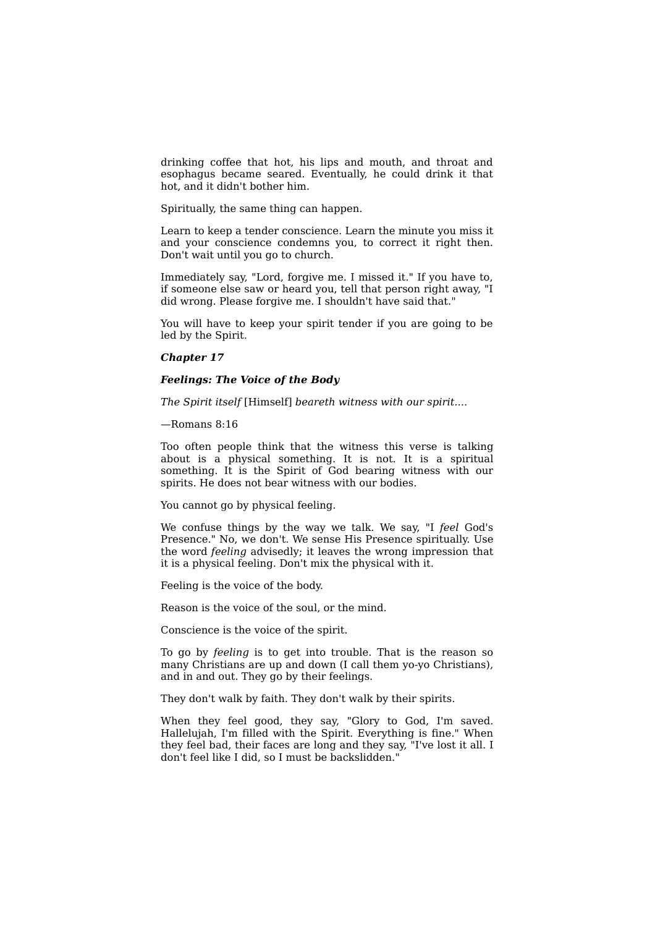drinking coffee that hot, his lips and mouth, and throat and esophagus became seared. Eventually, he could drink it that hot, and it didn't bother him.

Spiritually, the same thing can happen.

Learn to keep a tender conscience. Learn the minute you miss it and your conscience condemns you, to correct it right then. Don't wait until you go to church.

Immediately say, "Lord, forgive me. I missed it." If you have to, if someone else saw or heard you, tell that person right away, "I did wrong. Please forgive me. I shouldn't have said that."

You will have to keep your spirit tender if you are going to be led by the Spirit.

#### *Chapter 17*

### *Feelings: The Voice of the Body*

*The Spirit itself* [Himself] *beareth witness with our spirit....*

—Romans 8:16

Too often people think that the witness this verse is talking about is a physical something. It is not. It is a spiritual something. It is the Spirit of God bearing witness with our spirits. He does not bear witness with our bodies.

You cannot go by physical feeling.

We confuse things by the way we talk. We say, "I *feel* God's Presence." No, we don't. We sense His Presence spiritually. Use the word *feeling* advisedly; it leaves the wrong impression that it is a physical feeling. Don't mix the physical with it.

Feeling is the voice of the body.

Reason is the voice of the soul, or the mind.

Conscience is the voice of the spirit.

To go by *feeling* is to get into trouble. That is the reason so many Christians are up and down (I call them yo-yo Christians), and in and out. They go by their feelings.

They don't walk by faith. They don't walk by their spirits.

When they feel good, they say, "Glory to God, I'm saved. Hallelujah, I'm filled with the Spirit. Everything is fine." When they feel bad, their faces are long and they say, "I've lost it all. I don't feel like I did, so I must be backslidden."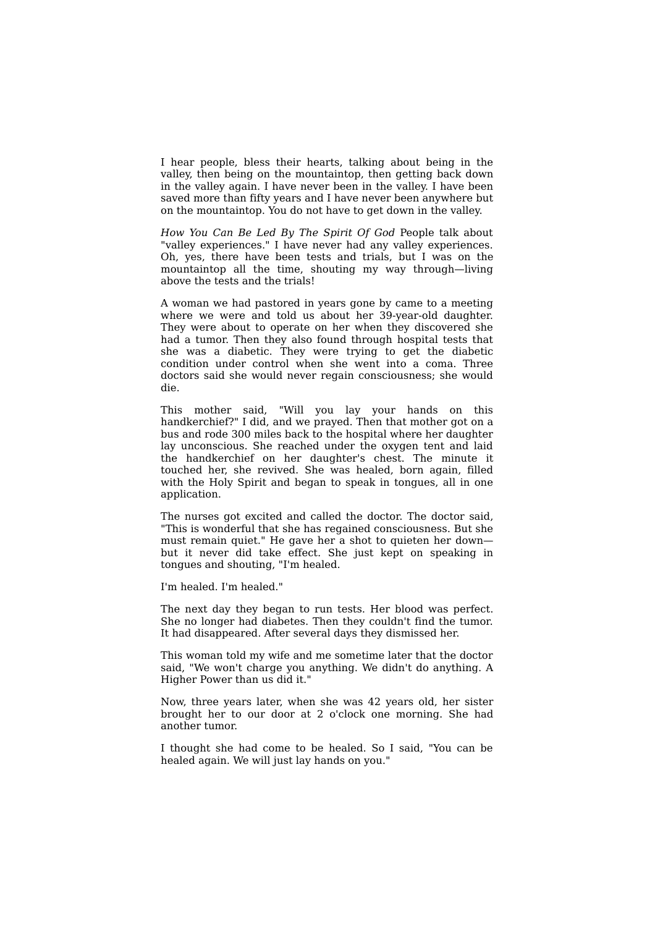I hear people, bless their hearts, talking about being in the valley, then being on the mountaintop, then getting back down in the valley again. I have never been in the valley. I have been saved more than fifty years and I have never been anywhere but on the mountaintop. You do not have to get down in the valley.

*How You Can Be Led By The Spirit Of God* People talk about "valley experiences." I have never had any valley experiences. Oh, yes, there have been tests and trials, but I was on the mountaintop all the time, shouting my way through—living above the tests and the trials!

A woman we had pastored in years gone by came to a meeting where we were and told us about her 39-year-old daughter. They were about to operate on her when they discovered she had a tumor. Then they also found through hospital tests that she was a diabetic. They were trying to get the diabetic condition under control when she went into a coma. Three doctors said she would never regain consciousness; she would die.

This mother said, "Will you lay your hands on this handkerchief?" I did, and we prayed. Then that mother got on a bus and rode 300 miles back to the hospital where her daughter lay unconscious. She reached under the oxygen tent and laid the handkerchief on her daughter's chest. The minute it touched her, she revived. She was healed, born again, filled with the Holy Spirit and began to speak in tongues, all in one application.

The nurses got excited and called the doctor. The doctor said, "This is wonderful that she has regained consciousness. But she must remain quiet." He gave her a shot to quieten her down but it never did take effect. She just kept on speaking in tongues and shouting, "I'm healed.

I'm healed. I'm healed."

The next day they began to run tests. Her blood was perfect. She no longer had diabetes. Then they couldn't find the tumor. It had disappeared. After several days they dismissed her.

This woman told my wife and me sometime later that the doctor said, "We won't charge you anything. We didn't do anything. A Higher Power than us did it."

Now, three years later, when she was 42 years old, her sister brought her to our door at 2 o'clock one morning. She had another tumor.

I thought she had come to be healed. So I said, "You can be healed again. We will just lay hands on you."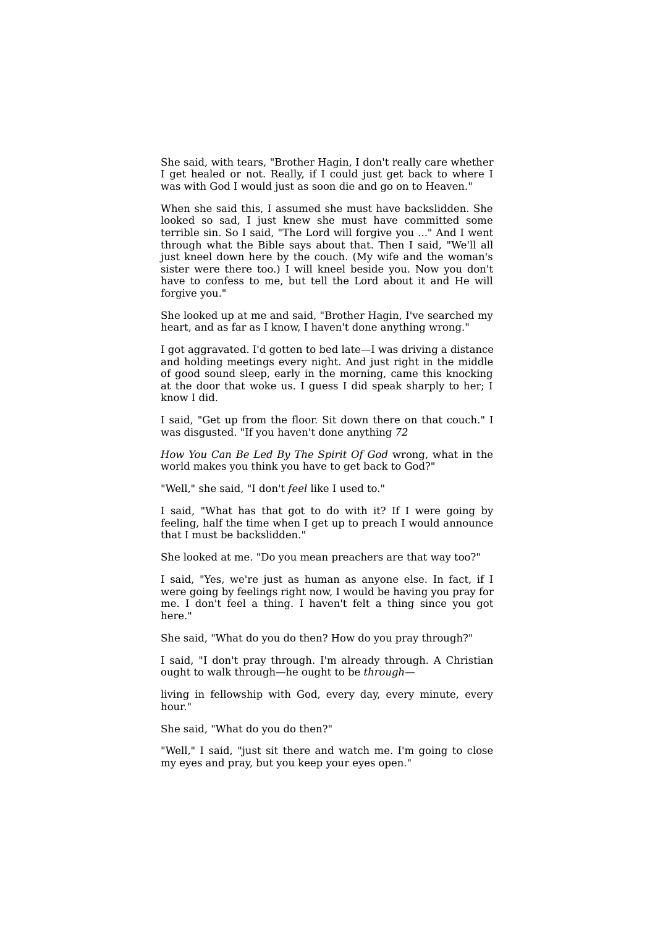She said, with tears, "Brother Hagin, I don't really care whether I get healed or not. Really, if I could just get back to where I was with God I would just as soon die and go on to Heaven."

When she said this, I assumed she must have backslidden. She looked so sad, I just knew she must have committed some terrible sin. So I said, "The Lord will forgive you ..." And I went through what the Bible says about that. Then I said, "We'll all just kneel down here by the couch. (My wife and the woman's sister were there too.) I will kneel beside you. Now you don't have to confess to me, but tell the Lord about it and He will forgive you."

She looked up at me and said, "Brother Hagin, I've searched my heart, and as far as I know, I haven't done anything wrong."

I got aggravated. I'd gotten to bed late—I was driving a distance and holding meetings every night. And just right in the middle of good sound sleep, early in the morning, came this knocking at the door that woke us. I guess I did speak sharply to her; I know I did.

I said, "Get up from the floor. Sit down there on that couch." I was disgusted. "If you haven't done anything *72*

*How You Can Be Led By The Spirit Of God* wrong, what in the world makes you think you have to get back to God?"

"Well," she said, "I don't *feel* like I used to."

I said, "What has that got to do with it? If I were going by feeling, half the time when I get up to preach I would announce that I must be backslidden."

She looked at me. "Do you mean preachers are that way too?"

I said, "Yes, we're just as human as anyone else. In fact, if I were going by feelings right now, I would be having you pray for me. I don't feel a thing. I haven't felt a thing since you got here."

She said, "What do you do then? How do you pray through?"

I said, "I don't pray through. I'm already through. A Christian ought to walk through—he ought to be *through—*

living in fellowship with God, every day, every minute, every hour."

She said, "What do you do then?"

"Well," I said, "just sit there and watch me. I'm going to close my eyes and pray, but you keep your eyes open."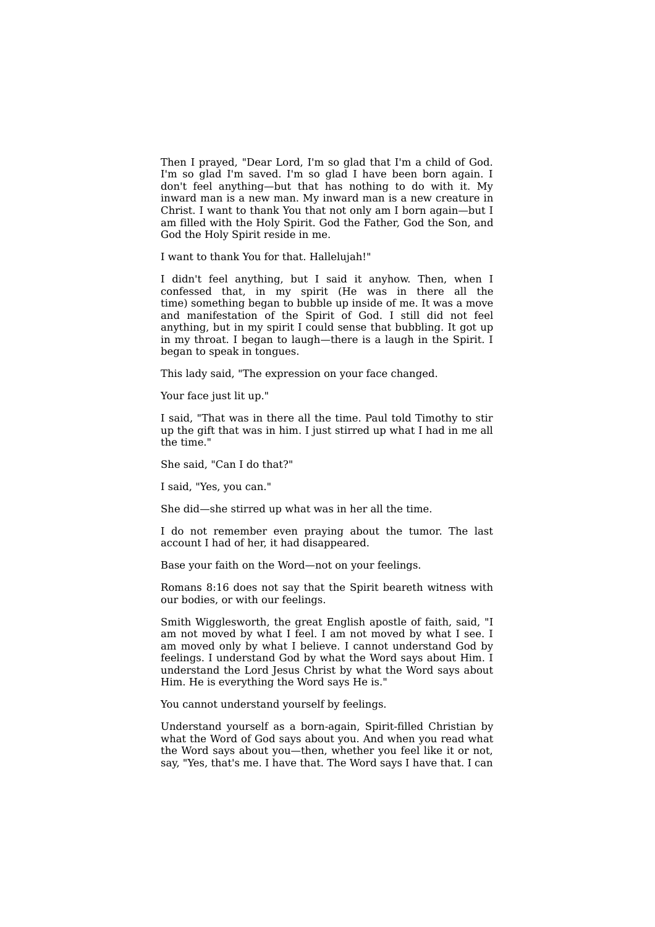Then I prayed, "Dear Lord, I'm so glad that I'm a child of God. I'm so glad I'm saved. I'm so glad I have been born again. I don't feel anything—but that has nothing to do with it. My inward man is a new man. My inward man is a new creature in Christ. I want to thank You that not only am I born again—but I am filled with the Holy Spirit. God the Father, God the Son, and God the Holy Spirit reside in me.

I want to thank You for that. Hallelujah!"

I didn't feel anything, but I said it anyhow. Then, when I confessed that, in my spirit (He was in there all the time) something began to bubble up inside of me. It was a move and manifestation of the Spirit of God. I still did not feel anything, but in my spirit I could sense that bubbling. It got up in my throat. I began to laugh—there is a laugh in the Spirit. I began to speak in tongues.

This lady said, "The expression on your face changed.

Your face just lit up."

I said, "That was in there all the time. Paul told Timothy to stir up the gift that was in him. I just stirred up what I had in me all the time."

She said, "Can I do that?"

I said, "Yes, you can."

She did—she stirred up what was in her all the time.

I do not remember even praying about the tumor. The last account I had of her, it had disappeared.

Base your faith on the Word—not on your feelings.

Romans 8:16 does not say that the Spirit beareth witness with our bodies, or with our feelings.

Smith Wigglesworth, the great English apostle of faith, said, "I am not moved by what I feel. I am not moved by what I see. I am moved only by what I believe. I cannot understand God by feelings. I understand God by what the Word says about Him. I understand the Lord Jesus Christ by what the Word says about Him. He is everything the Word says He is."

You cannot understand yourself by feelings.

Understand yourself as a born-again, Spirit-filled Christian by what the Word of God says about you. And when you read what the Word says about you—then, whether you feel like it or not, say, "Yes, that's me. I have that. The Word says I have that. I can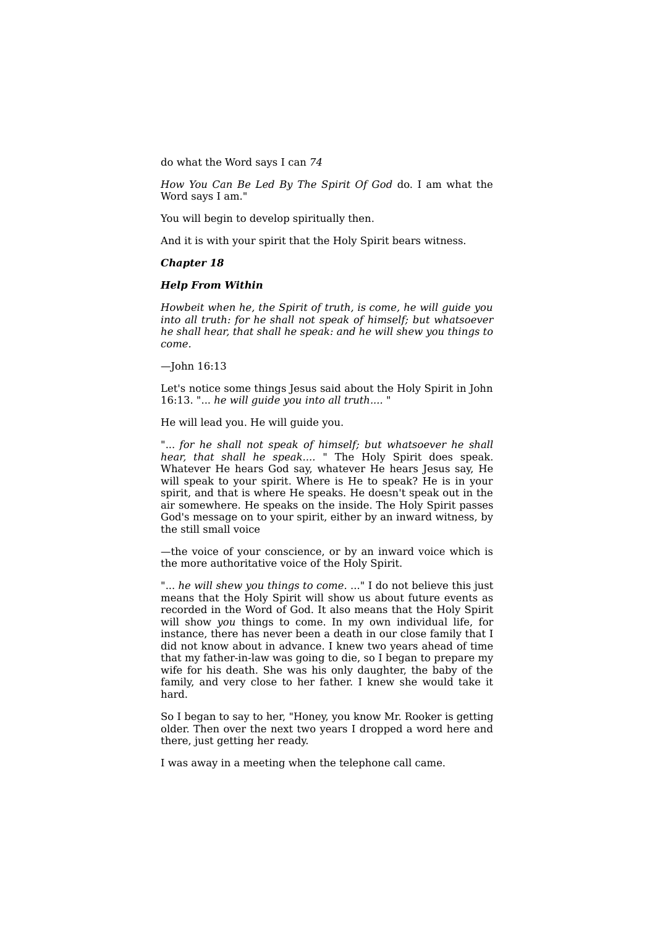do what the Word says I can *74*

*How You Can Be Led By The Spirit Of God* do. I am what the Word says I am."

You will begin to develop spiritually then.

And it is with your spirit that the Holy Spirit bears witness.

### *Chapter 18*

## *Help From Within*

*Howbeit when he, the Spirit of truth, is come, he will guide you into all truth: for he shall not speak of himself; but whatsoever he shall hear, that shall he speak: and he will shew you things to come.*

—John 16:13

Let's notice some things Jesus said about the Holy Spirit in John 16:13. "... *he will guide you into all truth....* "

He will lead you. He will guide you.

"... *for he shall not speak of himself; but whatsoever he shall hear, that shall he speak....* " The Holy Spirit does speak. Whatever He hears God say, whatever He hears Jesus say, He will speak to your spirit. Where is He to speak? He is in your spirit, and that is where He speaks. He doesn't speak out in the air somewhere. He speaks on the inside. The Holy Spirit passes God's message on to your spirit, either by an inward witness, by the still small voice

—the voice of your conscience, or by an inward voice which is the more authoritative voice of the Holy Spirit.

"... *he will shew you things to come.* ..." I do not believe this just means that the Holy Spirit will show us about future events as recorded in the Word of God. It also means that the Holy Spirit will show *you* things to come. In my own individual life, for instance, there has never been a death in our close family that I did not know about in advance. I knew two years ahead of time that my father-in-law was going to die, so I began to prepare my wife for his death. She was his only daughter, the baby of the family, and very close to her father. I knew she would take it hard.

So I began to say to her, "Honey, you know Mr. Rooker is getting older. Then over the next two years I dropped a word here and there, just getting her ready.

I was away in a meeting when the telephone call came.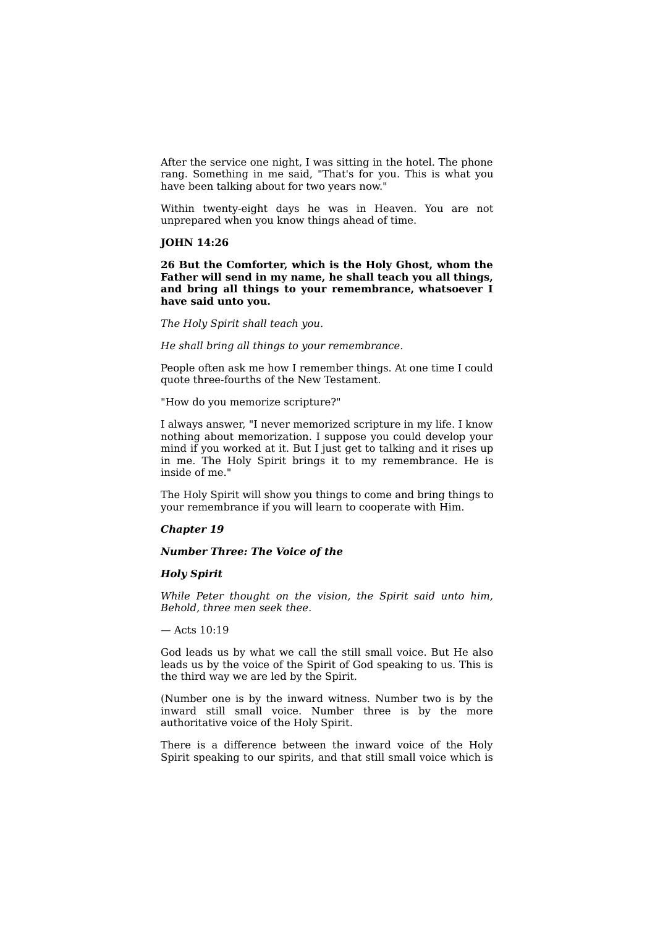After the service one night, I was sitting in the hotel. The phone rang. Something in me said, "That's for you. This is what you have been talking about for two years now."

Within twenty-eight days he was in Heaven. You are not unprepared when you know things ahead of time.

#### **JOHN 14:26**

**26 But the Comforter, which is the Holy Ghost, whom the Father will send in my name, he shall teach you all things, and bring all things to your remembrance, whatsoever I have said unto you.**

*The Holy Spirit shall teach you.*

#### *He shall bring all things to your remembrance.*

People often ask me how I remember things. At one time I could quote three-fourths of the New Testament.

"How do you memorize scripture?"

I always answer, "I never memorized scripture in my life. I know nothing about memorization. I suppose you could develop your mind if you worked at it. But I just get to talking and it rises up in me. The Holy Spirit brings it to my remembrance. He is inside of me."

The Holy Spirit will show you things to come and bring things to your remembrance if you will learn to cooperate with Him.

## *Chapter 19*

### *Number Three: The Voice of the*

## *Holy Spirit*

*While Peter thought on the vision, the Spirit said unto him, Behold, three men seek thee.*

*—* Acts 10:19

God leads us by what we call the still small voice. But He also leads us by the voice of the Spirit of God speaking to us. This is the third way we are led by the Spirit.

(Number one is by the inward witness. Number two is by the inward still small voice. Number three is by the more authoritative voice of the Holy Spirit.

There is a difference between the inward voice of the Holy Spirit speaking to our spirits, and that still small voice which is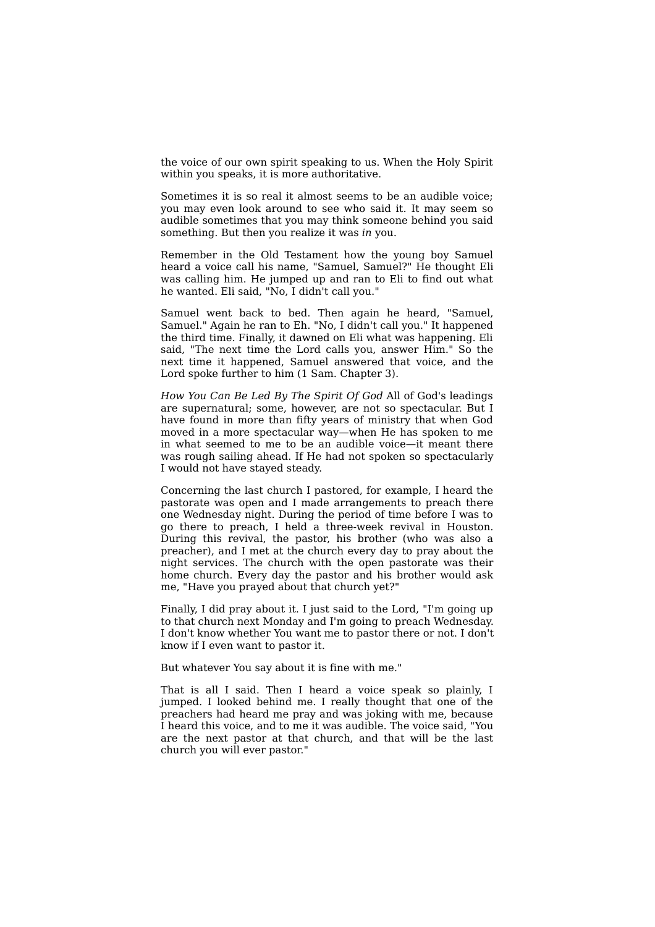the voice of our own spirit speaking to us. When the Holy Spirit within you speaks, it is more authoritative.

Sometimes it is so real it almost seems to be an audible voice; you may even look around to see who said it. It may seem so audible sometimes that you may think someone behind you said something. But then you realize it was *in* you.

Remember in the Old Testament how the young boy Samuel heard a voice call his name, "Samuel, Samuel?" He thought Eli was calling him. He jumped up and ran to Eli to find out what he wanted. Eli said, "No, I didn't call you."

Samuel went back to bed. Then again he heard, "Samuel, Samuel." Again he ran to Eh. "No, I didn't call you." It happened the third time. Finally, it dawned on Eli what was happening. Eli said, "The next time the Lord calls you, answer Him." So the next time it happened, Samuel answered that voice, and the Lord spoke further to him (1 Sam. Chapter 3).

*How You Can Be Led By The Spirit Of God* All of God's leadings are supernatural; some, however, are not so spectacular. But I have found in more than fifty years of ministry that when God moved in a more spectacular way—when He has spoken to me in what seemed to me to be an audible voice—it meant there was rough sailing ahead. If He had not spoken so spectacularly I would not have stayed steady.

Concerning the last church I pastored, for example, I heard the pastorate was open and I made arrangements to preach there one Wednesday night. During the period of time before I was to go there to preach, I held a three-week revival in Houston. During this revival, the pastor, his brother (who was also a preacher), and I met at the church every day to pray about the night services. The church with the open pastorate was their home church. Every day the pastor and his brother would ask me, "Have you prayed about that church yet?"

Finally, I did pray about it. I just said to the Lord, "I'm going up to that church next Monday and I'm going to preach Wednesday. I don't know whether You want me to pastor there or not. I don't know if I even want to pastor it.

But whatever You say about it is fine with me."

That is all I said. Then I heard a voice speak so plainly, I jumped. I looked behind me. I really thought that one of the preachers had heard me pray and was joking with me, because I heard this voice, and to me it was audible. The voice said, "You are the next pastor at that church, and that will be the last church you will ever pastor."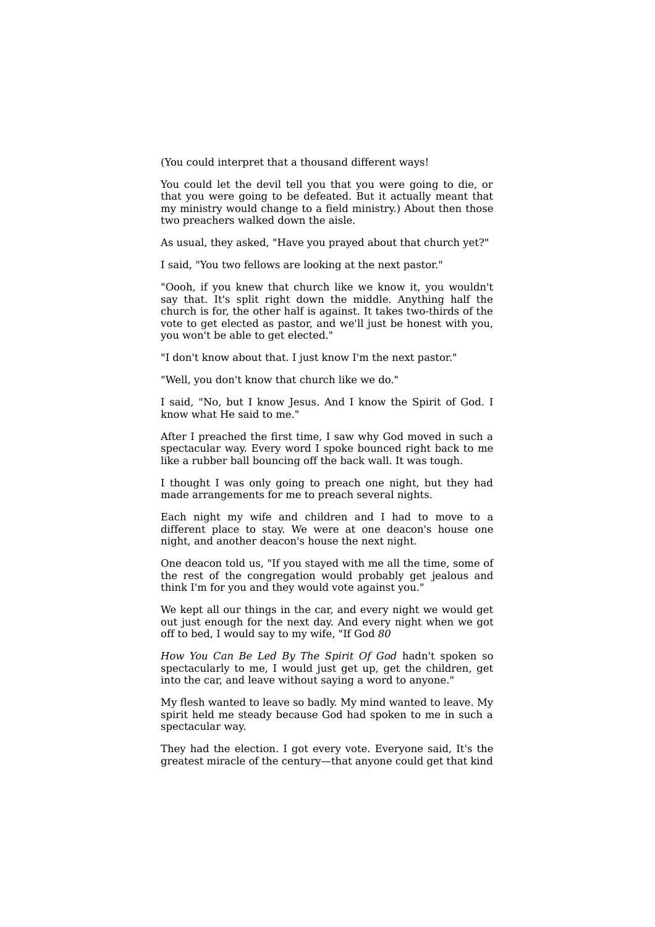(You could interpret that a thousand different ways!

You could let the devil tell you that you were going to die, or that you were going to be defeated. But it actually meant that my ministry would change to a field ministry.) About then those two preachers walked down the aisle.

As usual, they asked, "Have you prayed about that church yet?"

I said, "You two fellows are looking at the next pastor."

"Oooh, if you knew that church like we know it, you wouldn't say that. It's split right down the middle. Anything half the church is for, the other half is against. It takes two-thirds of the vote to get elected as pastor, and we'll just be honest with you, you won't be able to get elected."

"I don't know about that. I just know I'm the next pastor."

"Well, you don't know that church like we do."

I said, "No, but I know Jesus. And I know the Spirit of God. I know what He said to me."

After I preached the first time, I saw why God moved in such a spectacular way. Every word I spoke bounced right back to me like a rubber ball bouncing off the back wall. It was tough.

I thought I was only going to preach one night, but they had made arrangements for me to preach several nights.

Each night my wife and children and I had to move to a different place to stay. We were at one deacon's house one night, and another deacon's house the next night.

One deacon told us, "If you stayed with me all the time, some of the rest of the congregation would probably get jealous and think I'm for you and they would vote against you."

We kept all our things in the car, and every night we would get out just enough for the next day. And every night when we got off to bed, I would say to my wife, "If God *80*

*How You Can Be Led By The Spirit Of God* hadn't spoken so spectacularly to me, I would just get up, get the children, get into the car, and leave without saying a word to anyone."

My flesh wanted to leave so badly. My mind wanted to leave. My spirit held me steady because God had spoken to me in such a spectacular way.

They had the election. I got every vote. Everyone said, It's the greatest miracle of the century—that anyone could get that kind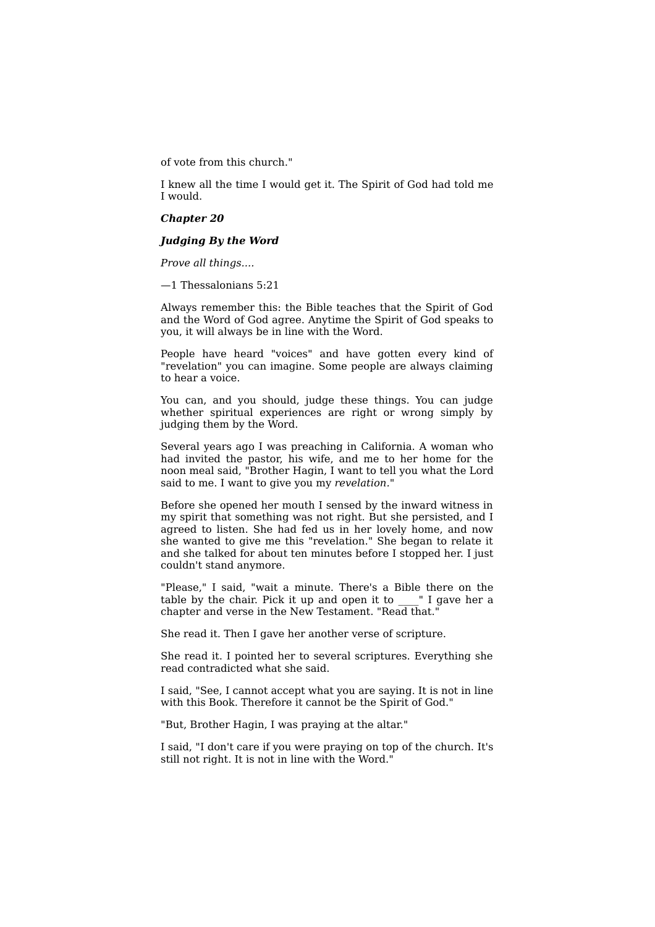of vote from this church."

I knew all the time I would get it. The Spirit of God had told me I would.

### *Chapter 20*

### *Judging By the Word*

*Prove all things....*

—1 Thessalonians 5:21

Always remember this: the Bible teaches that the Spirit of God and the Word of God agree. Anytime the Spirit of God speaks to you, it will always be in line with the Word.

People have heard "voices" and have gotten every kind of "revelation" you can imagine. Some people are always claiming to hear a voice.

You can, and you should, judge these things. You can judge whether spiritual experiences are right or wrong simply by judging them by the Word.

Several years ago I was preaching in California. A woman who had invited the pastor, his wife, and me to her home for the noon meal said, "Brother Hagin, I want to tell you what the Lord said to me. I want to give you my *revelation."*

Before she opened her mouth I sensed by the inward witness in my spirit that something was not right. But she persisted, and I agreed to listen. She had fed us in her lovely home, and now she wanted to give me this "revelation." She began to relate it and she talked for about ten minutes before I stopped her. I just couldn't stand anymore.

"Please," I said, "wait a minute. There's a Bible there on the table by the chair. Pick it up and open it to \_\_\_\_" I gave her a chapter and verse in the New Testament. "Read that."

She read it. Then I gave her another verse of scripture.

She read it. I pointed her to several scriptures. Everything she read contradicted what she said.

I said, "See, I cannot accept what you are saying. It is not in line with this Book. Therefore it cannot be the Spirit of God."

"But, Brother Hagin, I was praying at the altar."

I said, "I don't care if you were praying on top of the church. It's still not right. It is not in line with the Word."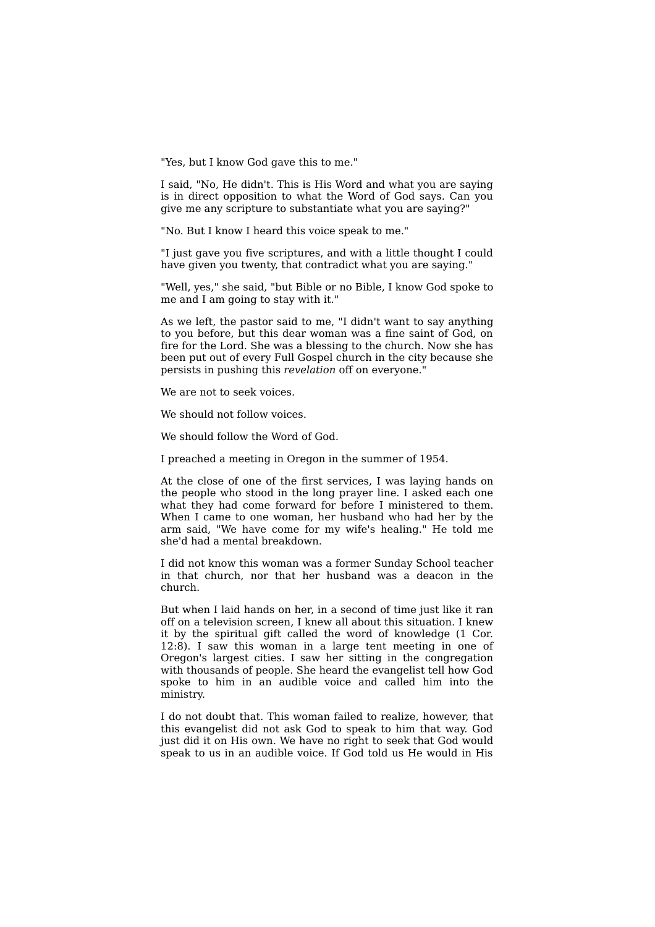"Yes, but I know God gave this to me."

I said, "No, He didn't. This is His Word and what you are saying is in direct opposition to what the Word of God says. Can you give me any scripture to substantiate what you are saying?"

"No. But I know I heard this voice speak to me."

"I just gave you five scriptures, and with a little thought I could have given you twenty, that contradict what you are saying."

"Well, yes," she said, "but Bible or no Bible, I know God spoke to me and I am going to stay with it."

As we left, the pastor said to me, "I didn't want to say anything to you before, but this dear woman was a fine saint of God, on fire for the Lord. She was a blessing to the church. Now she has been put out of every Full Gospel church in the city because she persists in pushing this *revelation* off on everyone."

We are not to seek voices.

We should not follow voices.

We should follow the Word of God.

I preached a meeting in Oregon in the summer of 1954.

At the close of one of the first services, I was laying hands on the people who stood in the long prayer line. I asked each one what they had come forward for before I ministered to them. When I came to one woman, her husband who had her by the arm said, "We have come for my wife's healing." He told me she'd had a mental breakdown.

I did not know this woman was a former Sunday School teacher in that church, nor that her husband was a deacon in the church.

But when I laid hands on her, in a second of time just like it ran off on a television screen, I knew all about this situation. I knew it by the spiritual gift called the word of knowledge (1 Cor. 12:8). I saw this woman in a large tent meeting in one of Oregon's largest cities. I saw her sitting in the congregation with thousands of people. She heard the evangelist tell how God spoke to him in an audible voice and called him into the ministry.

I do not doubt that. This woman failed to realize, however, that this evangelist did not ask God to speak to him that way. God just did it on His own. We have no right to seek that God would speak to us in an audible voice. If God told us He would in His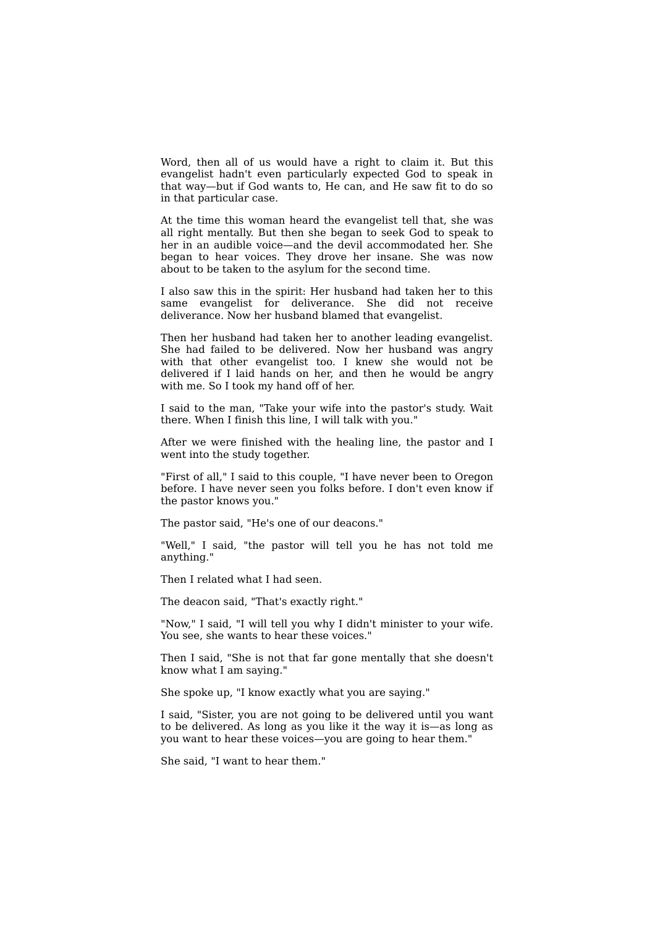Word, then all of us would have a right to claim it. But this evangelist hadn't even particularly expected God to speak in that way—but if God wants to, He can, and He saw fit to do so in that particular case.

At the time this woman heard the evangelist tell that, she was all right mentally. But then she began to seek God to speak to her in an audible voice—and the devil accommodated her. She began to hear voices. They drove her insane. She was now about to be taken to the asylum for the second time.

I also saw this in the spirit: Her husband had taken her to this same evangelist for deliverance. She did not receive deliverance. Now her husband blamed that evangelist.

Then her husband had taken her to another leading evangelist. She had failed to be delivered. Now her husband was angry with that other evangelist too. I knew she would not be delivered if I laid hands on her, and then he would be angry with me. So I took my hand off of her.

I said to the man, "Take your wife into the pastor's study. Wait there. When I finish this line, I will talk with you."

After we were finished with the healing line, the pastor and I went into the study together.

"First of all," I said to this couple, "I have never been to Oregon before. I have never seen you folks before. I don't even know if the pastor knows you."

The pastor said, "He's one of our deacons."

"Well," I said, "the pastor will tell you he has not told me anything."

Then I related what I had seen.

The deacon said, "That's exactly right."

"Now," I said, "I will tell you why I didn't minister to your wife. You see, she wants to hear these voices."

Then I said, "She is not that far gone mentally that she doesn't know what I am saying."

She spoke up, "I know exactly what you are saying."

I said, "Sister, you are not going to be delivered until you want to be delivered. As long as you like it the way it is—as long as you want to hear these voices—you are going to hear them."

She said, "I want to hear them."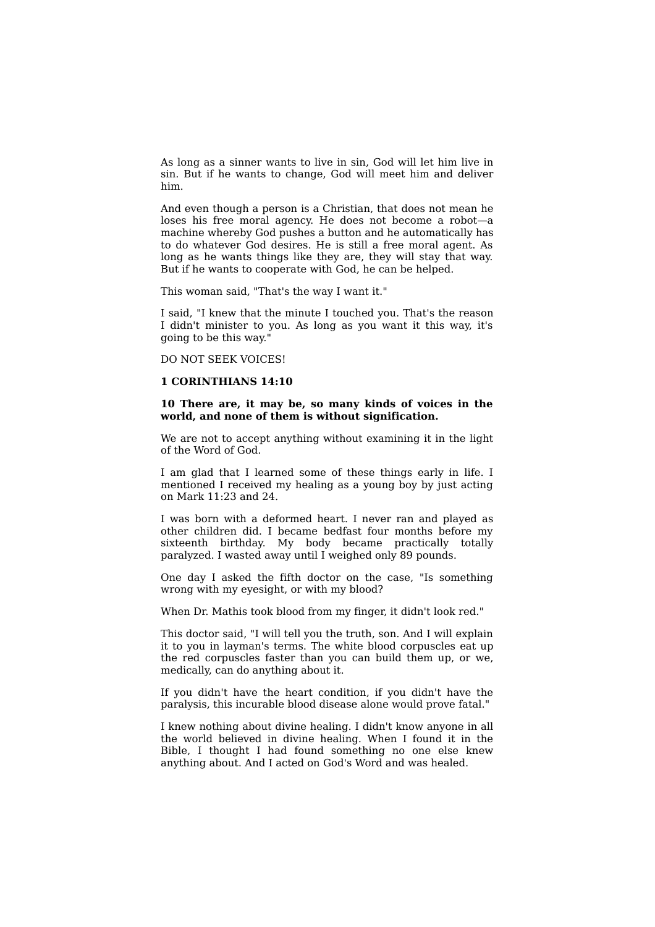As long as a sinner wants to live in sin, God will let him live in sin. But if he wants to change, God will meet him and deliver him.

And even though a person is a Christian, that does not mean he loses his free moral agency. He does not become a robot—a machine whereby God pushes a button and he automatically has to do whatever God desires. He is still a free moral agent. As long as he wants things like they are, they will stay that way. But if he wants to cooperate with God, he can be helped.

This woman said, "That's the way I want it."

I said, "I knew that the minute I touched you. That's the reason I didn't minister to you. As long as you want it this way, it's going to be this way."

## DO NOT SEEK VOICES!

# **1 CORINTHIANS 14:10**

### **10 There are, it may be, so many kinds of voices in the world, and none of them is without signification.**

We are not to accept anything without examining it in the light of the Word of God.

I am glad that I learned some of these things early in life. I mentioned I received my healing as a young boy by just acting on Mark 11:23 and 24.

I was born with a deformed heart. I never ran and played as other children did. I became bedfast four months before my sixteenth birthday. My body became practically totally paralyzed. I wasted away until I weighed only 89 pounds.

One day I asked the fifth doctor on the case, "Is something wrong with my eyesight, or with my blood?

When Dr. Mathis took blood from my finger, it didn't look red."

This doctor said, "I will tell you the truth, son. And I will explain it to you in layman's terms. The white blood corpuscles eat up the red corpuscles faster than you can build them up, or we, medically, can do anything about it.

If you didn't have the heart condition, if you didn't have the paralysis, this incurable blood disease alone would prove fatal."

I knew nothing about divine healing. I didn't know anyone in all the world believed in divine healing. When I found it in the Bible, I thought I had found something no one else knew anything about. And I acted on God's Word and was healed.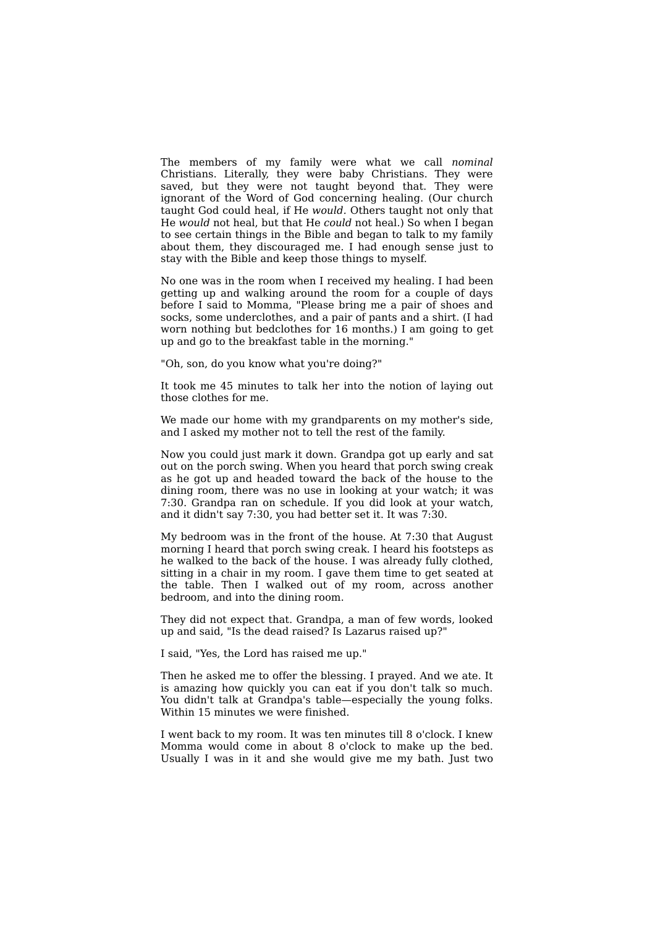The members of my family were what we call *nominal* Christians. Literally, they were baby Christians. They were saved, but they were not taught beyond that. They were ignorant of the Word of God concerning healing. (Our church taught God could heal, if He *would.* Others taught not only that He *would* not heal, but that He *could* not heal.) So when I began to see certain things in the Bible and began to talk to my family about them, they discouraged me. I had enough sense just to stay with the Bible and keep those things to myself.

No one was in the room when I received my healing. I had been getting up and walking around the room for a couple of days before I said to Momma, "Please bring me a pair of shoes and socks, some underclothes, and a pair of pants and a shirt. (I had worn nothing but bedclothes for 16 months.) I am going to get up and go to the breakfast table in the morning."

"Oh, son, do you know what you're doing?"

It took me 45 minutes to talk her into the notion of laying out those clothes for me.

We made our home with my grandparents on my mother's side. and I asked my mother not to tell the rest of the family.

Now you could just mark it down. Grandpa got up early and sat out on the porch swing. When you heard that porch swing creak as he got up and headed toward the back of the house to the dining room, there was no use in looking at your watch; it was 7:30. Grandpa ran on schedule. If you did look at your watch, and it didn't say 7:30, you had better set it. It was 7:30.

My bedroom was in the front of the house. At 7:30 that August morning I heard that porch swing creak. I heard his footsteps as he walked to the back of the house. I was already fully clothed, sitting in a chair in my room. I gave them time to get seated at the table. Then I walked out of my room, across another bedroom, and into the dining room.

They did not expect that. Grandpa, a man of few words, looked up and said, "Is the dead raised? Is Lazarus raised up?"

I said, "Yes, the Lord has raised me up."

Then he asked me to offer the blessing. I prayed. And we ate. It is amazing how quickly you can eat if you don't talk so much. You didn't talk at Grandpa's table—especially the young folks. Within 15 minutes we were finished.

I went back to my room. It was ten minutes till 8 o'clock. I knew Momma would come in about 8 o'clock to make up the bed. Usually I was in it and she would give me my bath. Just two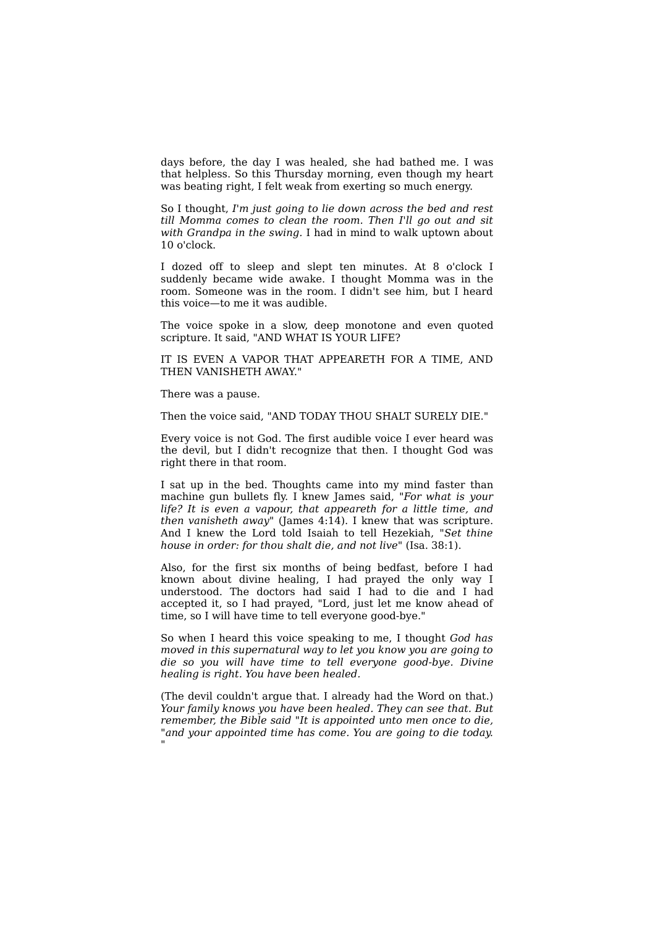days before, the day I was healed, she had bathed me. I was that helpless. So this Thursday morning, even though my heart was beating right, I felt weak from exerting so much energy.

So I thought, *I'm just going to lie down across the bed and rest till Momma comes to clean the room. Then I'll go out and sit with Grandpa in the swing.* I had in mind to walk uptown about 10 o'clock.

I dozed off to sleep and slept ten minutes. At 8 o'clock I suddenly became wide awake. I thought Momma was in the room. Someone was in the room. I didn't see him, but I heard this voice—to me it was audible.

The voice spoke in a slow, deep monotone and even quoted scripture. It said, "AND WHAT IS YOUR LIFE?

IT IS EVEN A VAPOR THAT APPEARETH FOR A TIME, AND THEN VANISHETH AWAY."

There was a pause.

Then the voice said, "AND TODAY THOU SHALT SURELY DIE."

Every voice is not God. The first audible voice I ever heard was the devil, but I didn't recognize that then. I thought God was right there in that room.

I sat up in the bed. Thoughts came into my mind faster than machine gun bullets fly. I knew James said, *"For what is your life? It is even a vapour, that appeareth for a little time, and then vanisheth away"* (James 4:14). I knew that was scripture. And I knew the Lord told Isaiah to tell Hezekiah, *"Set thine house in order: for thou shalt die, and not live"* (Isa. 38:1).

Also, for the first six months of being bedfast, before I had known about divine healing, I had prayed the only way I understood. The doctors had said I had to die and I had accepted it, so I had prayed, "Lord, just let me know ahead of time, so I will have time to tell everyone good-bye."

So when I heard this voice speaking to me, I thought *God has moved in this supernatural way to let you know you are going to die so you will have time to tell everyone good-bye. Divine healing is right. You have been healed.*

(The devil couldn't argue that. I already had the Word on that.) *Your family knows you have been healed. They can see that. But remember, the Bible said "It is appointed unto men once to die, "and your appointed time has come. You are going to die today.* "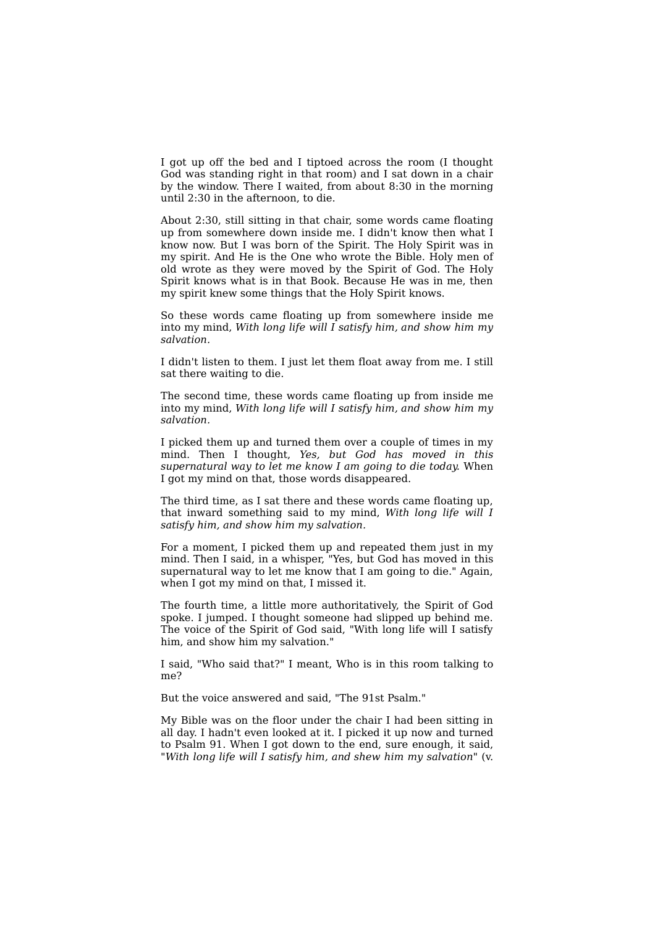I got up off the bed and I tiptoed across the room (I thought God was standing right in that room) and I sat down in a chair by the window. There I waited, from about 8:30 in the morning until 2:30 in the afternoon, to die.

About 2:30, still sitting in that chair, some words came floating up from somewhere down inside me. I didn't know then what I know now. But I was born of the Spirit. The Holy Spirit was in my spirit. And He is the One who wrote the Bible. Holy men of old wrote as they were moved by the Spirit of God. The Holy Spirit knows what is in that Book. Because He was in me, then my spirit knew some things that the Holy Spirit knows.

So these words came floating up from somewhere inside me into my mind, *With long life will I satisfy him, and show him my salvation.*

I didn't listen to them. I just let them float away from me. I still sat there waiting to die.

The second time, these words came floating up from inside me into my mind, *With long life will I satisfy him, and show him my salvation.*

I picked them up and turned them over a couple of times in my mind. Then I thought, *Yes, but God has moved in this supernatural way to let me know I am going to die today.* When I got my mind on that, those words disappeared.

The third time, as I sat there and these words came floating up, that inward something said to my mind, *With long life will I satisfy him, and show him my salvation.*

For a moment, I picked them up and repeated them just in my mind. Then I said, in a whisper, "Yes, but God has moved in this supernatural way to let me know that I am going to die." Again, when I got my mind on that, I missed it.

The fourth time, a little more authoritatively, the Spirit of God spoke. I jumped. I thought someone had slipped up behind me. The voice of the Spirit of God said, "With long life will I satisfy him, and show him my salvation."

I said, "Who said that?" I meant, Who is in this room talking to me?

But the voice answered and said, "The 91st Psalm."

My Bible was on the floor under the chair I had been sitting in all day. I hadn't even looked at it. I picked it up now and turned to Psalm 91. When I got down to the end, sure enough, it said. *"With long life will I satisfy him, and shew him my salvation"* (v.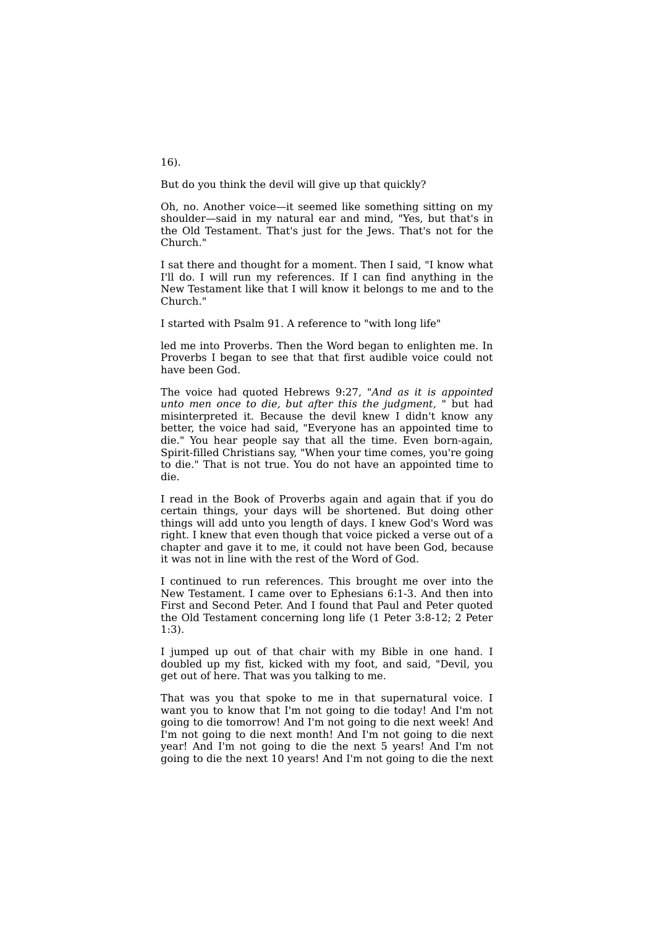But do you think the devil will give up that quickly?

Oh, no. Another voice—it seemed like something sitting on my shoulder—said in my natural ear and mind, "Yes, but that's in the Old Testament. That's just for the Jews. That's not for the Church."

I sat there and thought for a moment. Then I said, "I know what I'll do. I will run my references. If I can find anything in the New Testament like that I will know it belongs to me and to the Church."

I started with Psalm 91. A reference to "with long life"

led me into Proverbs. Then the Word began to enlighten me. In Proverbs I began to see that that first audible voice could not have been God.

The voice had quoted Hebrews 9:27, *"And as it is appointed unto men once to die, but after this the judgment,* " but had misinterpreted it. Because the devil knew I didn't know any better, the voice had said, "Everyone has an appointed time to die." You hear people say that all the time. Even born-again, Spirit-filled Christians say, "When your time comes, you're going to die." That is not true. You do not have an appointed time to die.

I read in the Book of Proverbs again and again that if you do certain things, your days will be shortened. But doing other things will add unto you length of days. I knew God's Word was right. I knew that even though that voice picked a verse out of a chapter and gave it to me, it could not have been God, because it was not in line with the rest of the Word of God.

I continued to run references. This brought me over into the New Testament. I came over to Ephesians 6:1-3. And then into First and Second Peter. And I found that Paul and Peter quoted the Old Testament concerning long life (1 Peter 3:8-12; 2 Peter 1:3).

I jumped up out of that chair with my Bible in one hand. I doubled up my fist, kicked with my foot, and said, "Devil, you get out of here. That was you talking to me.

That was you that spoke to me in that supernatural voice. I want you to know that I'm not going to die today! And I'm not going to die tomorrow! And I'm not going to die next week! And I'm not going to die next month! And I'm not going to die next year! And I'm not going to die the next 5 years! And I'm not going to die the next 10 years! And I'm not going to die the next

16).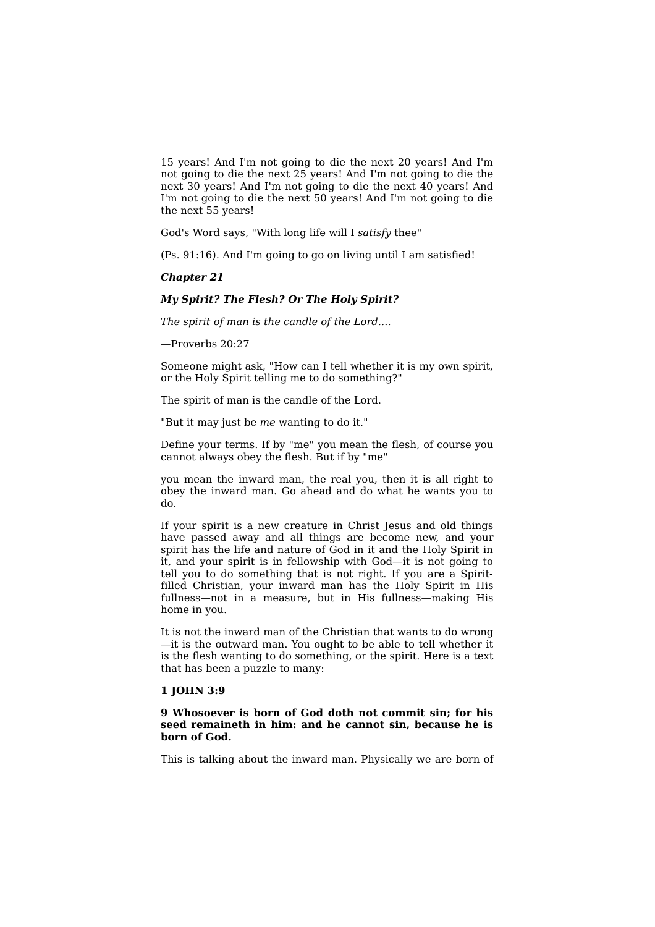15 years! And I'm not going to die the next 20 years! And I'm not going to die the next 25 years! And I'm not going to die the next 30 years! And I'm not going to die the next 40 years! And I'm not going to die the next 50 years! And I'm not going to die the next 55 years!

God's Word says, "With long life will I *satisfy* thee"

(Ps. 91:16). And I'm going to go on living until I am satisfied!

### *Chapter 21*

## *My Spirit? The Flesh? Or The Holy Spirit?*

*The spirit of man is the candle of the Lord....*

—Proverbs 20:27

Someone might ask, "How can I tell whether it is my own spirit, or the Holy Spirit telling me to do something?"

The spirit of man is the candle of the Lord.

"But it may just be *me* wanting to do it."

Define your terms. If by "me" you mean the flesh, of course you cannot always obey the flesh. But if by "me"

you mean the inward man, the real you, then it is all right to obey the inward man. Go ahead and do what he wants you to do.

If your spirit is a new creature in Christ Jesus and old things have passed away and all things are become new, and your spirit has the life and nature of God in it and the Holy Spirit in it, and your spirit is in fellowship with God—it is not going to tell you to do something that is not right. If you are a Spiritfilled Christian, your inward man has the Holy Spirit in His fullness—not in a measure, but in His fullness—making His home in you.

It is not the inward man of the Christian that wants to do wrong —it is the outward man. You ought to be able to tell whether it is the flesh wanting to do something, or the spirit. Here is a text that has been a puzzle to many:

### **1 JOHN 3:9**

### **9 Whosoever is born of God doth not commit sin; for his seed remaineth in him: and he cannot sin, because he is born of God.**

This is talking about the inward man. Physically we are born of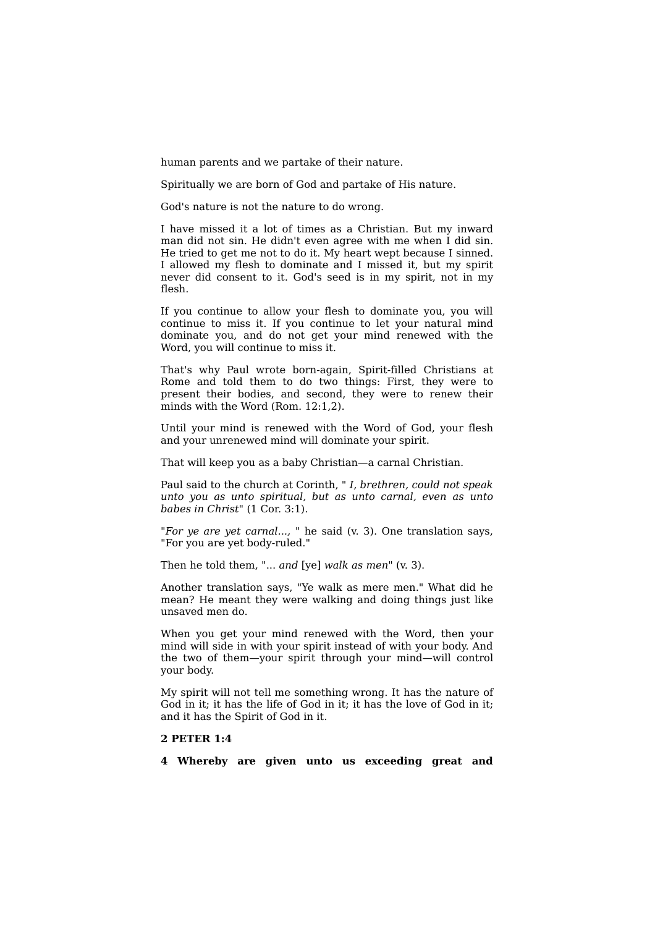human parents and we partake of their nature.

Spiritually we are born of God and partake of His nature.

God's nature is not the nature to do wrong.

I have missed it a lot of times as a Christian. But my inward man did not sin. He didn't even agree with me when I did sin. He tried to get me not to do it. My heart wept because I sinned. I allowed my flesh to dominate and I missed it, but my spirit never did consent to it. God's seed is in my spirit, not in my flesh.

If you continue to allow your flesh to dominate you, you will continue to miss it. If you continue to let your natural mind dominate you, and do not get your mind renewed with the Word, you will continue to miss it.

That's why Paul wrote born-again, Spirit-filled Christians at Rome and told them to do two things: First, they were to present their bodies, and second, they were to renew their minds with the Word (Rom. 12:1,2).

Until your mind is renewed with the Word of God, your flesh and your unrenewed mind will dominate your spirit.

That will keep you as a baby Christian—a carnal Christian.

Paul said to the church at Corinth, " *I, brethren, could not speak unto you as unto spiritual, but as unto carnal, even as unto babes in Christ"* (1 Cor. 3:1).

*"For ye are yet carnal...,* " he said (v. 3). One translation says, "For you are yet body-ruled."

Then he told them, "... *and* [ye] *walk as men"* (v. 3).

Another translation says, "Ye walk as mere men." What did he mean? He meant they were walking and doing things just like unsaved men do.

When you get your mind renewed with the Word, then your mind will side in with your spirit instead of with your body. And the two of them—your spirit through your mind—will control your body.

My spirit will not tell me something wrong. It has the nature of God in it; it has the life of God in it; it has the love of God in it; and it has the Spirit of God in it.

### **2 PETER 1:4**

**4 Whereby are given unto us exceeding great and**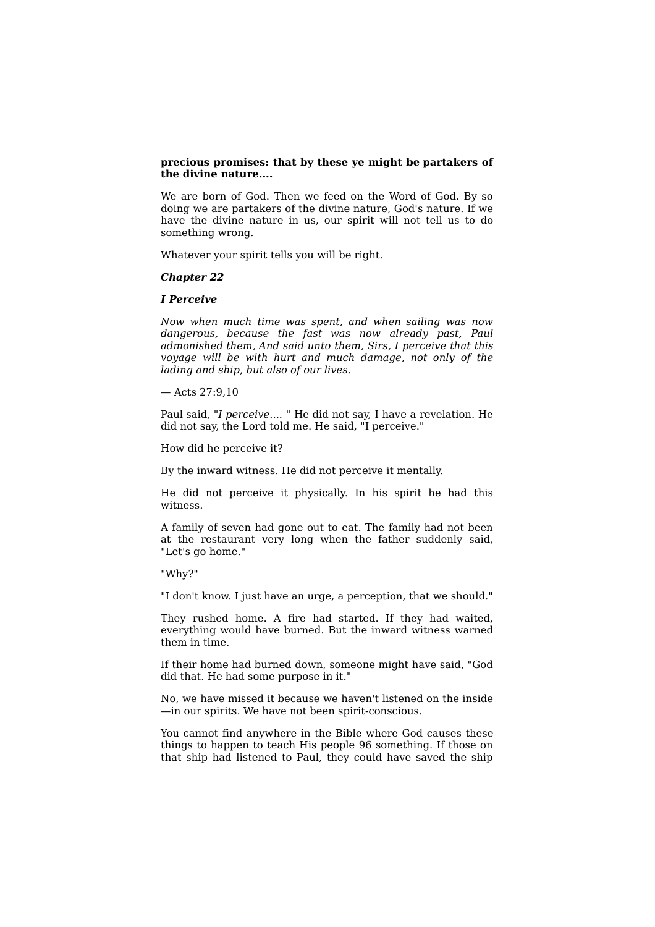## **precious promises: that by these ye might be partakers of the divine nature....**

We are born of God. Then we feed on the Word of God. By so doing we are partakers of the divine nature, God's nature. If we have the divine nature in us, our spirit will not tell us to do something wrong.

Whatever your spirit tells you will be right.

### *Chapter 22*

# *I Perceive*

*Now when much time was spent, and when sailing was now dangerous, because the fast was now already past, Paul admonished them, And said unto them, Sirs, I perceive that this voyage will be with hurt and much damage, not only of the lading and ship, but also of our lives.*

## *—* Acts 27:9,10

Paul said, *"I perceive....* " He did not say, I have a revelation. He did not say, the Lord told me. He said, "I perceive."

How did he perceive it?

By the inward witness. He did not perceive it mentally.

He did not perceive it physically. In his spirit he had this witness.

A family of seven had gone out to eat. The family had not been at the restaurant very long when the father suddenly said, "Let's go home."

## "Why?"

"I don't know. I just have an urge, a perception, that we should."

They rushed home. A fire had started. If they had waited, everything would have burned. But the inward witness warned them in time.

If their home had burned down, someone might have said, "God did that. He had some purpose in it."

No, we have missed it because we haven't listened on the inside —in our spirits. We have not been spirit-conscious.

You cannot find anywhere in the Bible where God causes these things to happen to teach His people 96 something. If those on that ship had listened to Paul, they could have saved the ship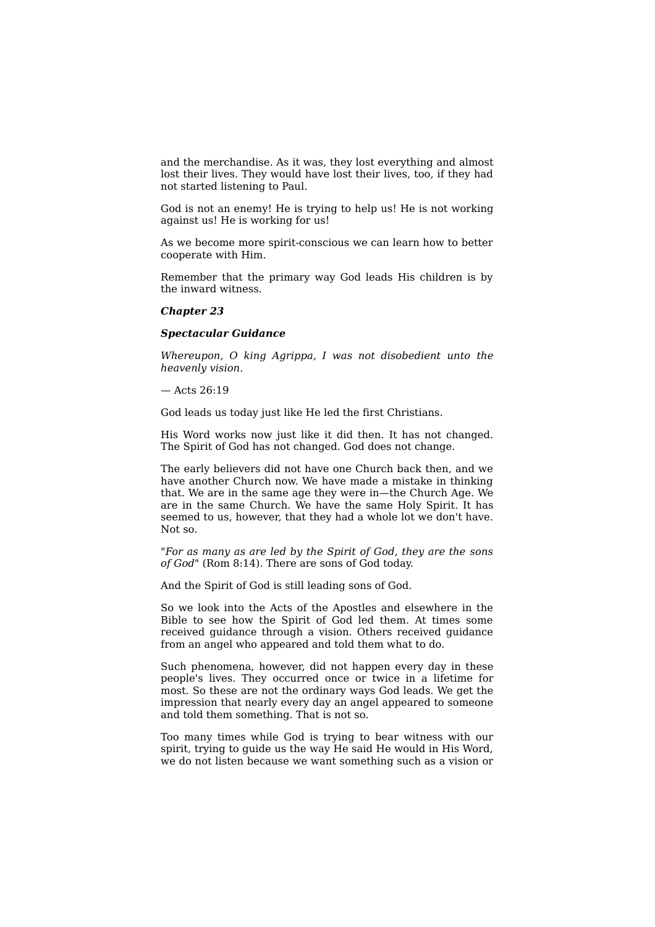and the merchandise. As it was, they lost everything and almost lost their lives. They would have lost their lives, too, if they had not started listening to Paul.

God is not an enemy! He is trying to help us! He is not working against us! He is working for us!

As we become more spirit-conscious we can learn how to better cooperate with Him.

Remember that the primary way God leads His children is by the inward witness.

### *Chapter 23*

## *Spectacular Guidance*

*Whereupon, O king Agrippa, I was not disobedient unto the heavenly vision.*

*—* Acts 26:19

God leads us today just like He led the first Christians.

His Word works now just like it did then. It has not changed. The Spirit of God has not changed. God does not change.

The early believers did not have one Church back then, and we have another Church now. We have made a mistake in thinking that. We are in the same age they were in—the Church Age. We are in the same Church. We have the same Holy Spirit. It has seemed to us, however, that they had a whole lot we don't have. Not so.

*"For as many as are led by the Spirit of God, they are the sons of God"* (Rom 8:14). There are sons of God today.

And the Spirit of God is still leading sons of God.

So we look into the Acts of the Apostles and elsewhere in the Bible to see how the Spirit of God led them. At times some received guidance through a vision. Others received guidance from an angel who appeared and told them what to do.

Such phenomena, however, did not happen every day in these people's lives. They occurred once or twice in a lifetime for most. So these are not the ordinary ways God leads. We get the impression that nearly every day an angel appeared to someone and told them something. That is not so.

Too many times while God is trying to bear witness with our spirit, trying to guide us the way He said He would in His Word, we do not listen because we want something such as a vision or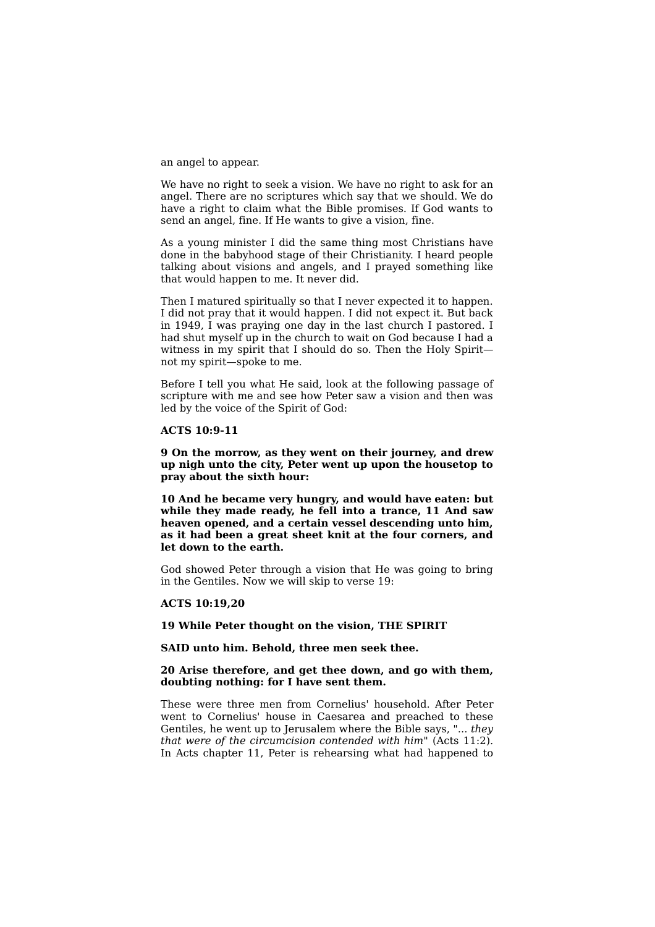an angel to appear.

We have no right to seek a vision. We have no right to ask for an angel. There are no scriptures which say that we should. We do have a right to claim what the Bible promises. If God wants to send an angel, fine. If He wants to give a vision, fine.

As a young minister I did the same thing most Christians have done in the babyhood stage of their Christianity. I heard people talking about visions and angels, and I prayed something like that would happen to me. It never did.

Then I matured spiritually so that I never expected it to happen. I did not pray that it would happen. I did not expect it. But back in 1949, I was praying one day in the last church I pastored. I had shut myself up in the church to wait on God because I had a witness in my spirit that I should do so. Then the Holy Spirit not my spirit—spoke to me.

Before I tell you what He said, look at the following passage of scripture with me and see how Peter saw a vision and then was led by the voice of the Spirit of God:

### **ACTS 10:9-11**

**9 On the morrow, as they went on their journey, and drew up nigh unto the city, Peter went up upon the housetop to pray about the sixth hour:**

**10 And he became very hungry, and would have eaten: but while they made ready, he fell into a trance, 11 And saw heaven opened, and a certain vessel descending unto him, as it had been a great sheet knit at the four corners, and let down to the earth.**

God showed Peter through a vision that He was going to bring in the Gentiles. Now we will skip to verse 19:

## **ACTS 10:19,20**

### **19 While Peter thought on the vision, THE SPIRIT**

**SAID unto him. Behold, three men seek thee.**

### **20 Arise therefore, and get thee down, and go with them, doubting nothing: for I have sent them.**

These were three men from Cornelius' household. After Peter went to Cornelius' house in Caesarea and preached to these Gentiles, he went up to Jerusalem where the Bible says, "... *they that were of the circumcision contended with him"* (Acts 11:2). In Acts chapter 11, Peter is rehearsing what had happened to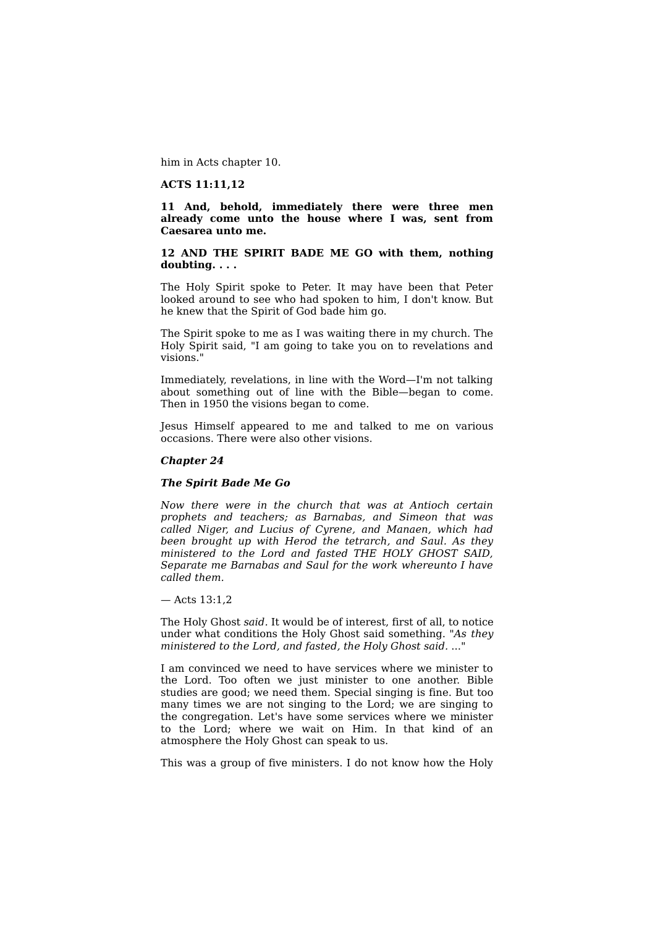him in Acts chapter 10.

#### **ACTS 11:11,12**

**11 And, behold, immediately there were three men already come unto the house where I was, sent from Caesarea unto me.**

### **12 AND THE SPIRIT BADE ME GO with them, nothing doubting. . . .**

The Holy Spirit spoke to Peter. It may have been that Peter looked around to see who had spoken to him, I don't know. But he knew that the Spirit of God bade him go.

The Spirit spoke to me as I was waiting there in my church. The Holy Spirit said, "I am going to take you on to revelations and visions."

Immediately, revelations, in line with the Word—I'm not talking about something out of line with the Bible—began to come. Then in 1950 the visions began to come.

Jesus Himself appeared to me and talked to me on various occasions. There were also other visions.

### *Chapter 24*

#### *The Spirit Bade Me Go*

*Now there were in the church that was at Antioch certain prophets and teachers; as Barnabas, and Simeon that was called Niger, and Lucius of Cyrene, and Manaen, which had been brought up with Herod the tetrarch, and Saul. As they ministered to the Lord and fasted THE HOLY GHOST SAID, Separate me Barnabas and Saul for the work whereunto I have called them.*

## *—* Acts 13:1,2

The Holy Ghost *said.* It would be of interest, first of all, to notice under what conditions the Holy Ghost said something. *"As they ministered to the Lord, and fasted, the Holy Ghost said.* ..."

I am convinced we need to have services where we minister to the Lord. Too often we just minister to one another. Bible studies are good; we need them. Special singing is fine. But too many times we are not singing to the Lord; we are singing to the congregation. Let's have some services where we minister to the Lord; where we wait on Him. In that kind of an atmosphere the Holy Ghost can speak to us.

This was a group of five ministers. I do not know how the Holy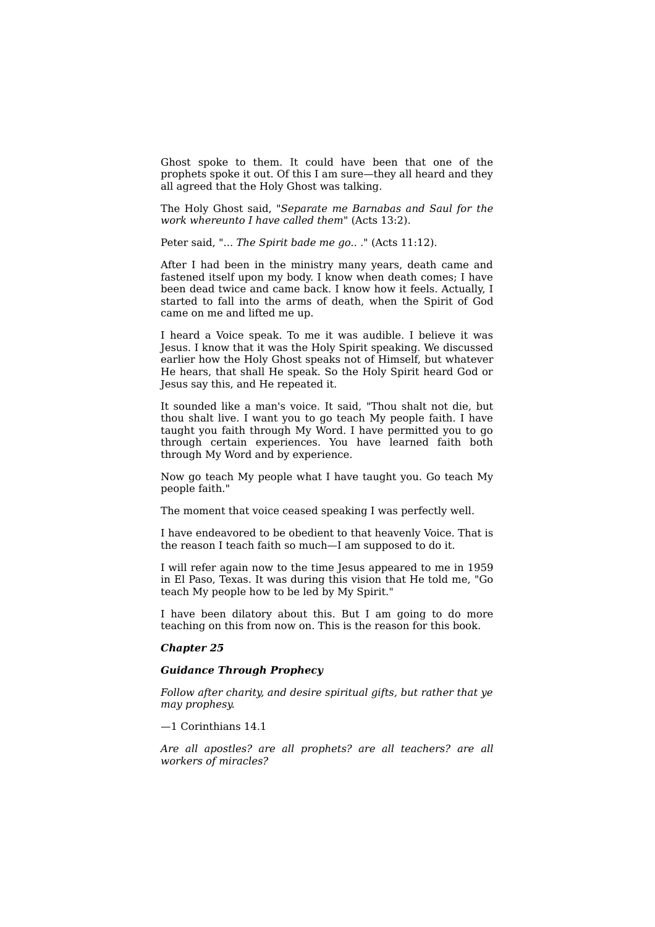Ghost spoke to them. It could have been that one of the prophets spoke it out. Of this I am sure—they all heard and they all agreed that the Holy Ghost was talking.

The Holy Ghost said, *"Separate me Barnabas and Saul for the work whereunto I have called them"* (Acts 13:2).

Peter said, "... *The Spirit bade me go..* ." (Acts 11:12).

After I had been in the ministry many years, death came and fastened itself upon my body. I know when death comes; I have been dead twice and came back. I know how it feels. Actually, I started to fall into the arms of death, when the Spirit of God came on me and lifted me up.

I heard a Voice speak. To me it was audible. I believe it was Jesus. I know that it was the Holy Spirit speaking. We discussed earlier how the Holy Ghost speaks not of Himself, but whatever He hears, that shall He speak. So the Holy Spirit heard God or Jesus say this, and He repeated it.

It sounded like a man's voice. It said, "Thou shalt not die, but thou shalt live. I want you to go teach My people faith. I have taught you faith through My Word. I have permitted you to go through certain experiences. You have learned faith both through My Word and by experience.

Now go teach My people what I have taught you. Go teach My people faith."

The moment that voice ceased speaking I was perfectly well.

I have endeavored to be obedient to that heavenly Voice. That is the reason I teach faith so much—I am supposed to do it.

I will refer again now to the time Jesus appeared to me in 1959 in El Paso, Texas. It was during this vision that He told me, "Go teach My people how to be led by My Spirit."

I have been dilatory about this. But I am going to do more teaching on this from now on. This is the reason for this book.

#### *Chapter 25*

## *Guidance Through Prophecy*

*Follow after charity, and desire spiritual gifts, but rather that ye may prophesy.*

—1 Corinthians 14.1

*Are all apostles? are all prophets? are all teachers? are all workers of miracles?*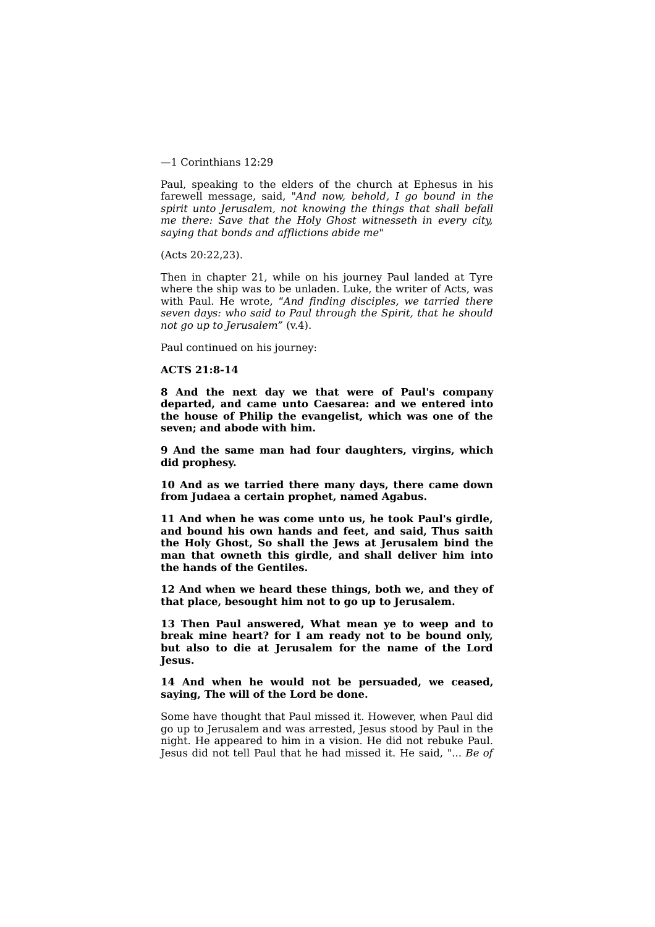—1 Corinthians 12:29

Paul, speaking to the elders of the church at Ephesus in his farewell message, said, *"And now, behold, I go bound in the spirit unto Jerusalem, not knowing the things that shall befall me there: Save that the Holy Ghost witnesseth in every city, saying that bonds and afflictions abide me"*

(Acts 20:22,23).

Then in chapter 21, while on his journey Paul landed at Tyre where the ship was to be unladen. Luke, the writer of Acts, was with Paul. He wrote, "*And finding disciples, we tarried there seven days: who said to Paul through the Spirit, that he should not go up to Jerusalem"* (v.4).

Paul continued on his journey:

### **ACTS 21:8-14**

**8 And the next day we that were of Paul's company departed, and came unto Caesarea: and we entered into the house of Philip the evangelist, which was one of the seven; and abode with him.**

**9 And the same man had four daughters, virgins, which did prophesy.**

**10 And as we tarried there many days, there came down from Judaea a certain prophet, named Agabus.**

**11 And when he was come unto us, he took Paul's girdle, and bound his own hands and feet, and said, Thus saith the Holy Ghost, So shall the Jews at Jerusalem bind the man that owneth this girdle, and shall deliver him into the hands of the Gentiles.**

**12 And when we heard these things, both we, and they of that place, besought him not to go up to Jerusalem.**

**13 Then Paul answered, What mean ye to weep and to break mine heart? for I am ready not to be bound only, but also to die at Jerusalem for the name of the Lord Jesus.**

**14 And when he would not be persuaded, we ceased, saying, The will of the Lord be done.**

Some have thought that Paul missed it. However, when Paul did go up to Jerusalem and was arrested, Jesus stood by Paul in the night. He appeared to him in a vision. He did not rebuke Paul. Jesus did not tell Paul that he had missed it. He said, "... *Be of*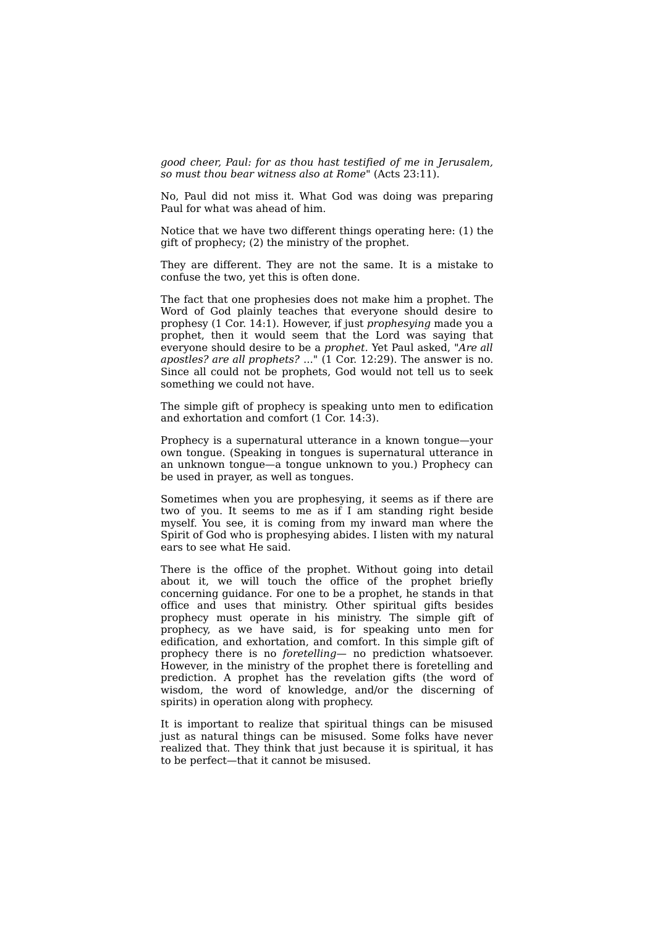*good cheer, Paul: for as thou hast testified of me in Jerusalem, so must thou bear witness also at Rome"* (Acts 23:11).

No, Paul did not miss it. What God was doing was preparing Paul for what was ahead of him.

Notice that we have two different things operating here: (1) the gift of prophecy; (2) the ministry of the prophet.

They are different. They are not the same. It is a mistake to confuse the two, yet this is often done.

The fact that one prophesies does not make him a prophet. The Word of God plainly teaches that everyone should desire to prophesy (1 Cor. 14:1). However, if just *prophesying* made you a prophet, then it would seem that the Lord was saying that everyone should desire to be a *prophet.* Yet Paul asked, *"Are all apostles? are all prophets?* ..." (1 Cor. 12:29). The answer is no. Since all could not be prophets, God would not tell us to seek something we could not have.

The simple gift of prophecy is speaking unto men to edification and exhortation and comfort (1 Cor. 14:3).

Prophecy is a supernatural utterance in a known tongue—your own tongue. (Speaking in tongues is supernatural utterance in an unknown tongue—a tongue unknown to you.) Prophecy can be used in prayer, as well as tongues.

Sometimes when you are prophesying, it seems as if there are two of you. It seems to me as if I am standing right beside myself. You see, it is coming from my inward man where the Spirit of God who is prophesying abides. I listen with my natural ears to see what He said.

There is the office of the prophet. Without going into detail about it, we will touch the office of the prophet briefly concerning guidance. For one to be a prophet, he stands in that office and uses that ministry. Other spiritual gifts besides prophecy must operate in his ministry. The simple gift of prophecy, as we have said, is for speaking unto men for edification, and exhortation, and comfort. In this simple gift of prophecy there is no *foretelling—* no prediction whatsoever. However, in the ministry of the prophet there is foretelling and prediction. A prophet has the revelation gifts (the word of wisdom, the word of knowledge, and/or the discerning of spirits) in operation along with prophecy.

It is important to realize that spiritual things can be misused just as natural things can be misused. Some folks have never realized that. They think that just because it is spiritual, it has to be perfect—that it cannot be misused.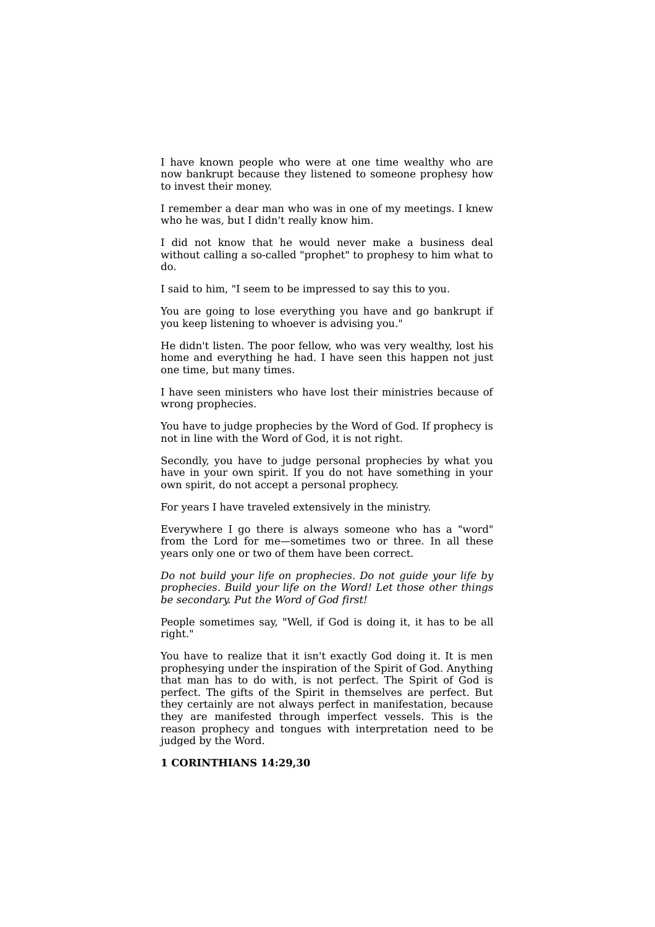I have known people who were at one time wealthy who are now bankrupt because they listened to someone prophesy how to invest their money.

I remember a dear man who was in one of my meetings. I knew who he was, but I didn't really know him.

I did not know that he would never make a business deal without calling a so-called "prophet" to prophesy to him what to do.

I said to him, "I seem to be impressed to say this to you.

You are going to lose everything you have and go bankrupt if you keep listening to whoever is advising you."

He didn't listen. The poor fellow, who was very wealthy, lost his home and everything he had. I have seen this happen not just one time, but many times.

I have seen ministers who have lost their ministries because of wrong prophecies.

You have to judge prophecies by the Word of God. If prophecy is not in line with the Word of God, it is not right.

Secondly, you have to judge personal prophecies by what you have in your own spirit. If you do not have something in your own spirit, do not accept a personal prophecy.

For years I have traveled extensively in the ministry.

Everywhere I go there is always someone who has a "word" from the Lord for me—sometimes two or three. In all these years only one or two of them have been correct.

*Do not build your life on prophecies. Do not guide your life by prophecies. Build your life on the Word! Let those other things be secondary. Put the Word of God first!*

People sometimes say, "Well, if God is doing it, it has to be all right."

You have to realize that it isn't exactly God doing it. It is men prophesying under the inspiration of the Spirit of God. Anything that man has to do with, is not perfect. The Spirit of God is perfect. The gifts of the Spirit in themselves are perfect. But they certainly are not always perfect in manifestation, because they are manifested through imperfect vessels. This is the reason prophecy and tongues with interpretation need to be judged by the Word.

## **1 CORINTHIANS 14:29,30**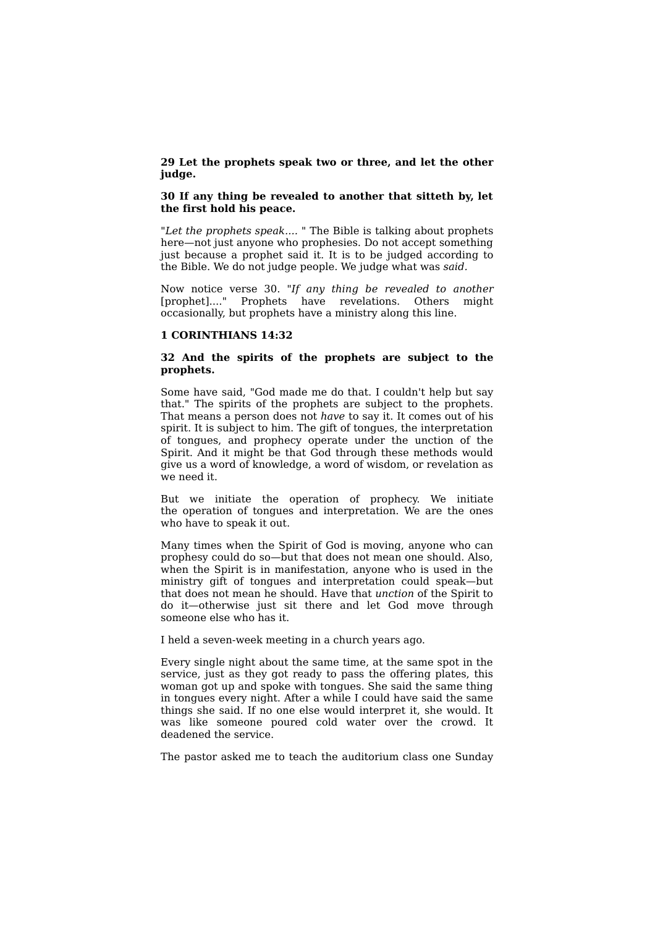**29 Let the prophets speak two or three, and let the other judge.**

### **30 If any thing be revealed to another that sitteth by, let the first hold his peace.**

*"Let the prophets speak....* " The Bible is talking about prophets here—not just anyone who prophesies. Do not accept something just because a prophet said it. It is to be judged according to the Bible. We do not judge people. We judge what was *said.*

Now notice verse 30. *"If any thing be revealed to another* [prophet]...." Prophets have revelations. Others might occasionally, but prophets have a ministry along this line.

## **1 CORINTHIANS 14:32**

## **32 And the spirits of the prophets are subject to the prophets.**

Some have said, "God made me do that. I couldn't help but say that." The spirits of the prophets are subject to the prophets. That means a person does not *have* to say it. It comes out of his spirit. It is subject to him. The gift of tongues, the interpretation of tongues, and prophecy operate under the unction of the Spirit. And it might be that God through these methods would give us a word of knowledge, a word of wisdom, or revelation as we need it.

But we initiate the operation of prophecy. We initiate the operation of tongues and interpretation. We are the ones who have to speak it out.

Many times when the Spirit of God is moving, anyone who can prophesy could do so—but that does not mean one should. Also, when the Spirit is in manifestation, anyone who is used in the ministry gift of tongues and interpretation could speak—but that does not mean he should. Have that *unction* of the Spirit to do it—otherwise just sit there and let God move through someone else who has it.

I held a seven-week meeting in a church years ago.

Every single night about the same time, at the same spot in the service, just as they got ready to pass the offering plates, this woman got up and spoke with tongues. She said the same thing in tongues every night. After a while I could have said the same things she said. If no one else would interpret it, she would. It was like someone poured cold water over the crowd. It deadened the service.

The pastor asked me to teach the auditorium class one Sunday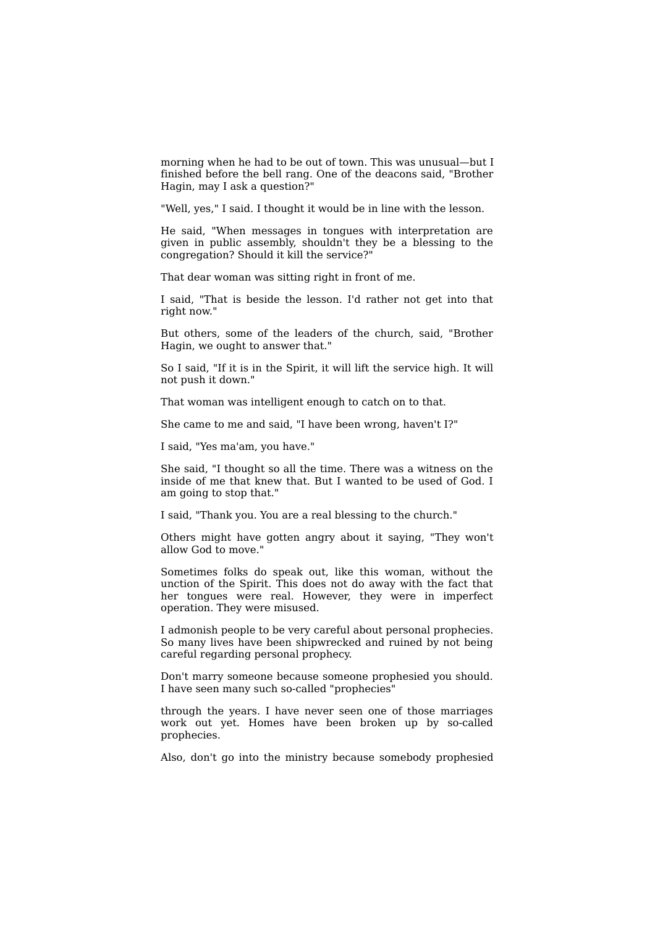morning when he had to be out of town. This was unusual—but I finished before the bell rang. One of the deacons said, "Brother Hagin, may I ask a question?"

"Well, yes," I said. I thought it would be in line with the lesson.

He said, "When messages in tongues with interpretation are given in public assembly, shouldn't they be a blessing to the congregation? Should it kill the service?"

That dear woman was sitting right in front of me.

I said, "That is beside the lesson. I'd rather not get into that right now."

But others, some of the leaders of the church, said, "Brother Hagin, we ought to answer that."

So I said, "If it is in the Spirit, it will lift the service high. It will not push it down."

That woman was intelligent enough to catch on to that.

She came to me and said, "I have been wrong, haven't I?"

I said, "Yes ma'am, you have."

She said, "I thought so all the time. There was a witness on the inside of me that knew that. But I wanted to be used of God. I am going to stop that."

I said, "Thank you. You are a real blessing to the church."

Others might have gotten angry about it saying, "They won't allow God to move.'

Sometimes folks do speak out, like this woman, without the unction of the Spirit. This does not do away with the fact that her tongues were real. However, they were in imperfect operation. They were misused.

I admonish people to be very careful about personal prophecies. So many lives have been shipwrecked and ruined by not being careful regarding personal prophecy.

Don't marry someone because someone prophesied you should. I have seen many such so-called "prophecies"

through the years. I have never seen one of those marriages work out yet. Homes have been broken up by so-called prophecies.

Also, don't go into the ministry because somebody prophesied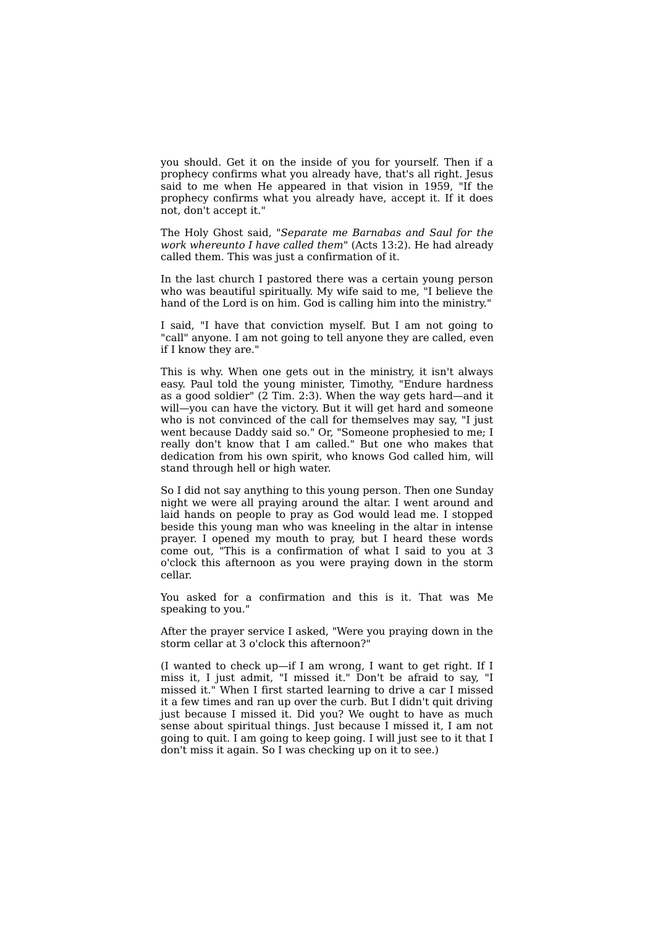you should. Get it on the inside of you for yourself. Then if a prophecy confirms what you already have, that's all right. Jesus said to me when He appeared in that vision in 1959, "If the prophecy confirms what you already have, accept it. If it does not, don't accept it."

The Holy Ghost said, *"Separate me Barnabas and Saul for the work whereunto I have called them"* (Acts 13:2). He had already called them. This was just a confirmation of it.

In the last church I pastored there was a certain young person who was beautiful spiritually. My wife said to me, "I believe the hand of the Lord is on him. God is calling him into the ministry."

I said, "I have that conviction myself. But I am not going to "call" anyone. I am not going to tell anyone they are called, even if I know they are."

This is why. When one gets out in the ministry, it isn't always easy. Paul told the young minister, Timothy, "Endure hardness as a good soldier" (2 Tim. 2:3). When the way gets hard—and it will—you can have the victory. But it will get hard and someone who is not convinced of the call for themselves may say, "I just went because Daddy said so." Or, "Someone prophesied to me; I really don't know that I am called." But one who makes that dedication from his own spirit, who knows God called him, will stand through hell or high water.

So I did not say anything to this young person. Then one Sunday night we were all praying around the altar. I went around and laid hands on people to pray as God would lead me. I stopped beside this young man who was kneeling in the altar in intense prayer. I opened my mouth to pray, but I heard these words come out, "This is a confirmation of what I said to you at 3 o'clock this afternoon as you were praying down in the storm cellar.

You asked for a confirmation and this is it. That was Me speaking to you."

After the prayer service I asked, "Were you praying down in the storm cellar at 3 o'clock this afternoon?"

(I wanted to check up—if I am wrong, I want to get right. If I miss it, I just admit, "I missed it." Don't be afraid to say, "I missed it." When I first started learning to drive a car I missed it a few times and ran up over the curb. But I didn't quit driving just because I missed it. Did you? We ought to have as much sense about spiritual things. Just because I missed it, I am not going to quit. I am going to keep going. I will just see to it that I don't miss it again. So I was checking up on it to see.)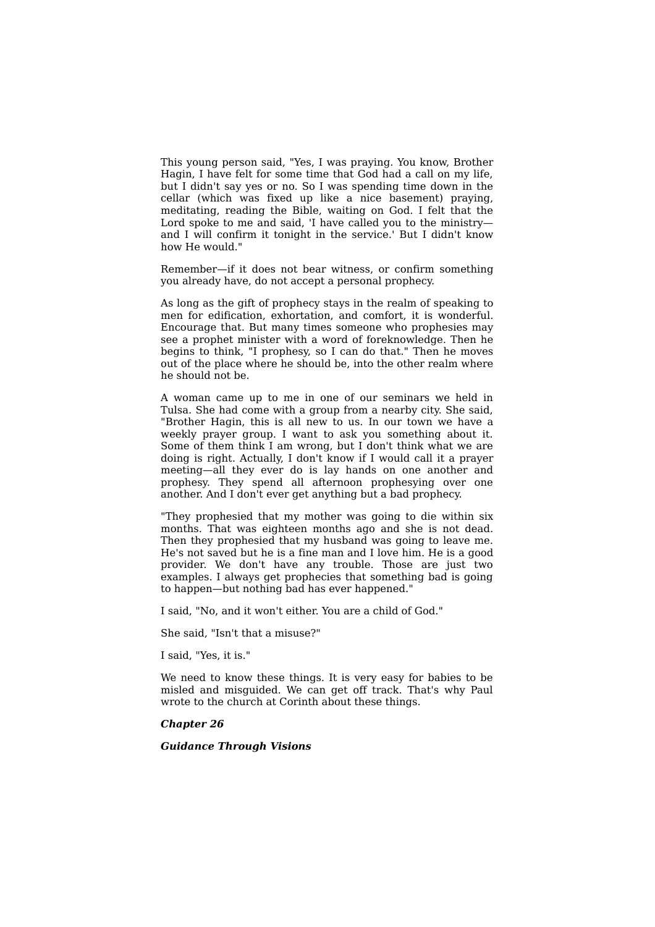This young person said, "Yes, I was praying. You know, Brother Hagin, I have felt for some time that God had a call on my life, but I didn't say yes or no. So I was spending time down in the cellar (which was fixed up like a nice basement) praying, meditating, reading the Bible, waiting on God. I felt that the Lord spoke to me and said, 'I have called you to the ministry and I will confirm it tonight in the service.' But I didn't know how He would."

Remember—if it does not bear witness, or confirm something you already have, do not accept a personal prophecy.

As long as the gift of prophecy stays in the realm of speaking to men for edification, exhortation, and comfort, it is wonderful. Encourage that. But many times someone who prophesies may see a prophet minister with a word of foreknowledge. Then he begins to think, "I prophesy, so I can do that." Then he moves out of the place where he should be, into the other realm where he should not be.

A woman came up to me in one of our seminars we held in Tulsa. She had come with a group from a nearby city. She said, "Brother Hagin, this is all new to us. In our town we have a weekly prayer group. I want to ask you something about it. Some of them think I am wrong, but I don't think what we are doing is right. Actually, I don't know if I would call it a prayer meeting—all they ever do is lay hands on one another and prophesy. They spend all afternoon prophesying over one another. And I don't ever get anything but a bad prophecy.

"They prophesied that my mother was going to die within six months. That was eighteen months ago and she is not dead. Then they prophesied that my husband was going to leave me. He's not saved but he is a fine man and I love him. He is a good provider. We don't have any trouble. Those are just two examples. I always get prophecies that something bad is going to happen—but nothing bad has ever happened."

I said, "No, and it won't either. You are a child of God."

She said, "Isn't that a misuse?"

I said, "Yes, it is."

We need to know these things. It is very easy for babies to be misled and misguided. We can get off track. That's why Paul wrote to the church at Corinth about these things.

### *Chapter 26*

### *Guidance Through Visions*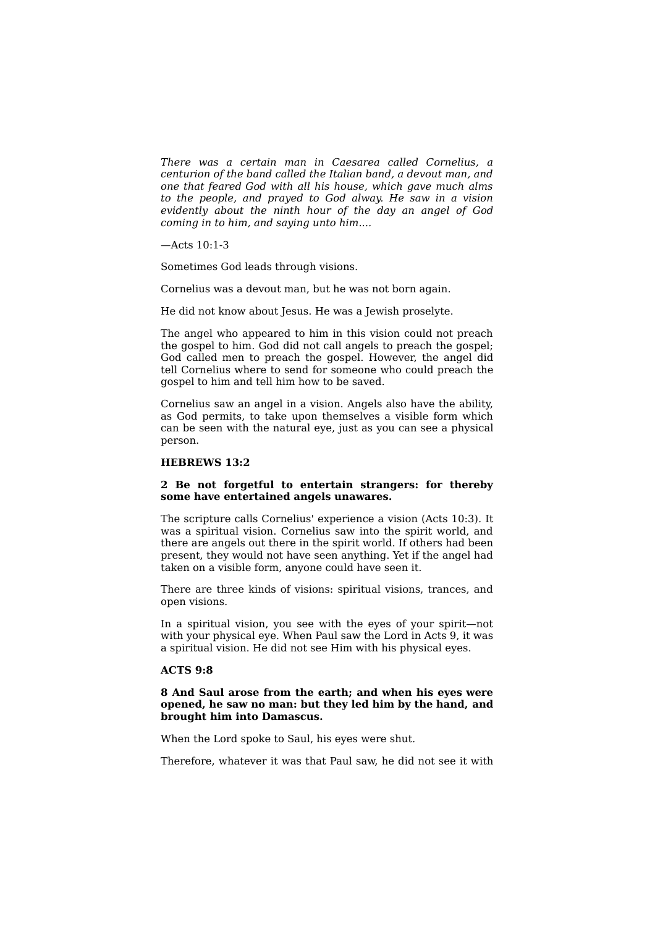*There was a certain man in Caesarea called Cornelius, a centurion of the band called the Italian band, a devout man, and one that feared God with all his house, which gave much alms to the people, and prayed to God alway. He saw in a vision evidently about the ninth hour of the day an angel of God coming in to him, and saying unto him....*

—Acts 10:1-3

Sometimes God leads through visions.

Cornelius was a devout man, but he was not born again.

He did not know about Jesus. He was a Jewish proselyte.

The angel who appeared to him in this vision could not preach the gospel to him. God did not call angels to preach the gospel; God called men to preach the gospel. However, the angel did tell Cornelius where to send for someone who could preach the gospel to him and tell him how to be saved.

Cornelius saw an angel in a vision. Angels also have the ability, as God permits, to take upon themselves a visible form which can be seen with the natural eye, just as you can see a physical person.

## **HEBREWS 13:2**

#### **2 Be not forgetful to entertain strangers: for thereby some have entertained angels unawares.**

The scripture calls Cornelius' experience a vision (Acts 10:3). It was a spiritual vision. Cornelius saw into the spirit world, and there are angels out there in the spirit world. If others had been present, they would not have seen anything. Yet if the angel had taken on a visible form, anyone could have seen it.

There are three kinds of visions: spiritual visions, trances, and open visions.

In a spiritual vision, you see with the eyes of your spirit—not with your physical eye. When Paul saw the Lord in Acts 9, it was a spiritual vision. He did not see Him with his physical eyes.

#### **ACTS 9:8**

## **8 And Saul arose from the earth; and when his eyes were opened, he saw no man: but they led him by the hand, and brought him into Damascus.**

When the Lord spoke to Saul, his eyes were shut.

Therefore, whatever it was that Paul saw, he did not see it with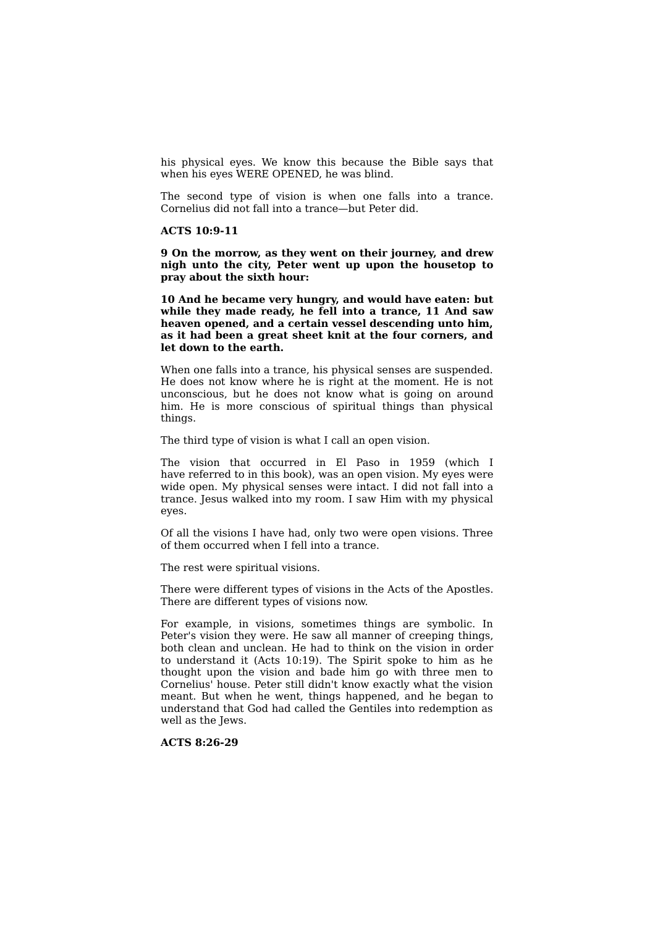his physical eyes. We know this because the Bible says that when his eyes WERE OPENED, he was blind.

The second type of vision is when one falls into a trance. Cornelius did not fall into a trance—but Peter did.

# **ACTS 10:9-11**

**9 On the morrow, as they went on their journey, and drew nigh unto the city, Peter went up upon the housetop to pray about the sixth hour:**

**10 And he became very hungry, and would have eaten: but while they made ready, he fell into a trance, 11 And saw heaven opened, and a certain vessel descending unto him, as it had been a great sheet knit at the four corners, and let down to the earth.**

When one falls into a trance, his physical senses are suspended. He does not know where he is right at the moment. He is not unconscious, but he does not know what is going on around him. He is more conscious of spiritual things than physical things.

The third type of vision is what I call an open vision.

The vision that occurred in El Paso in 1959 (which I have referred to in this book), was an open vision. My eyes were wide open. My physical senses were intact. I did not fall into a trance. Jesus walked into my room. I saw Him with my physical eyes.

Of all the visions I have had, only two were open visions. Three of them occurred when I fell into a trance.

The rest were spiritual visions.

There were different types of visions in the Acts of the Apostles. There are different types of visions now.

For example, in visions, sometimes things are symbolic. In Peter's vision they were. He saw all manner of creeping things, both clean and unclean. He had to think on the vision in order to understand it (Acts 10:19). The Spirit spoke to him as he thought upon the vision and bade him go with three men to Cornelius' house. Peter still didn't know exactly what the vision meant. But when he went, things happened, and he began to understand that God had called the Gentiles into redemption as well as the Jews.

# **ACTS 8:26-29**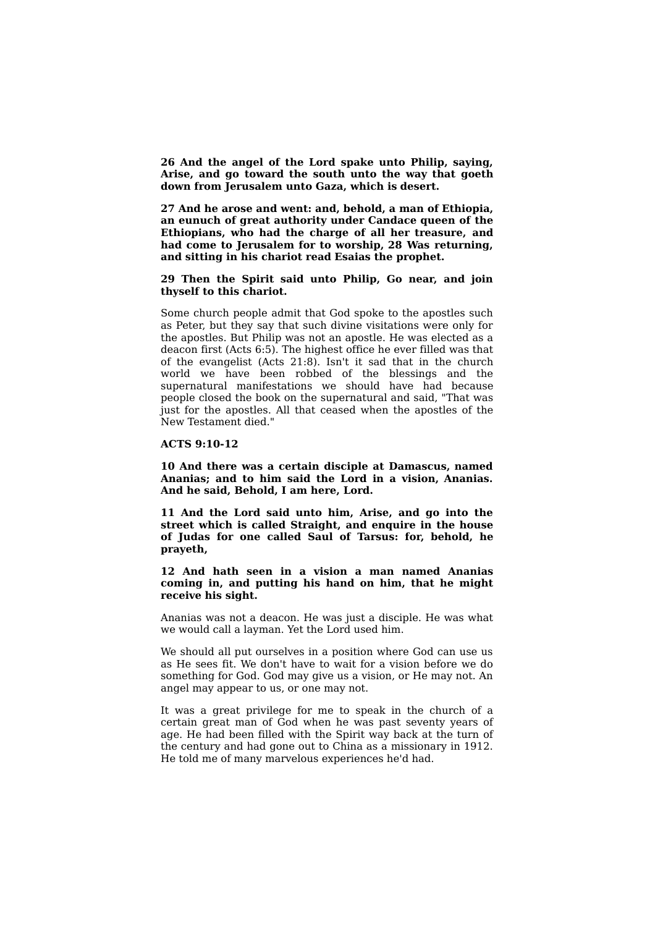**26 And the angel of the Lord spake unto Philip, saying, Arise, and go toward the south unto the way that goeth down from Jerusalem unto Gaza, which is desert.**

**27 And he arose and went: and, behold, a man of Ethiopia, an eunuch of great authority under Candace queen of the Ethiopians, who had the charge of all her treasure, and had come to Jerusalem for to worship, 28 Was returning, and sitting in his chariot read Esaias the prophet.**

### **29 Then the Spirit said unto Philip, Go near, and join thyself to this chariot.**

Some church people admit that God spoke to the apostles such as Peter, but they say that such divine visitations were only for the apostles. But Philip was not an apostle. He was elected as a deacon first (Acts 6:5). The highest office he ever filled was that of the evangelist (Acts 21:8). Isn't it sad that in the church world we have been robbed of the blessings and the supernatural manifestations we should have had because people closed the book on the supernatural and said, "That was just for the apostles. All that ceased when the apostles of the New Testament died."

### **ACTS 9:10-12**

**10 And there was a certain disciple at Damascus, named Ananias; and to him said the Lord in a vision, Ananias. And he said, Behold, I am here, Lord.**

**11 And the Lord said unto him, Arise, and go into the street which is called Straight, and enquire in the house of Judas for one called Saul of Tarsus: for, behold, he prayeth,**

**12 And hath seen in a vision a man named Ananias coming in, and putting his hand on him, that he might receive his sight.**

Ananias was not a deacon. He was just a disciple. He was what we would call a layman. Yet the Lord used him.

We should all put ourselves in a position where God can use us as He sees fit. We don't have to wait for a vision before we do something for God. God may give us a vision, or He may not. An angel may appear to us, or one may not.

It was a great privilege for me to speak in the church of a certain great man of God when he was past seventy years of age. He had been filled with the Spirit way back at the turn of the century and had gone out to China as a missionary in 1912. He told me of many marvelous experiences he'd had.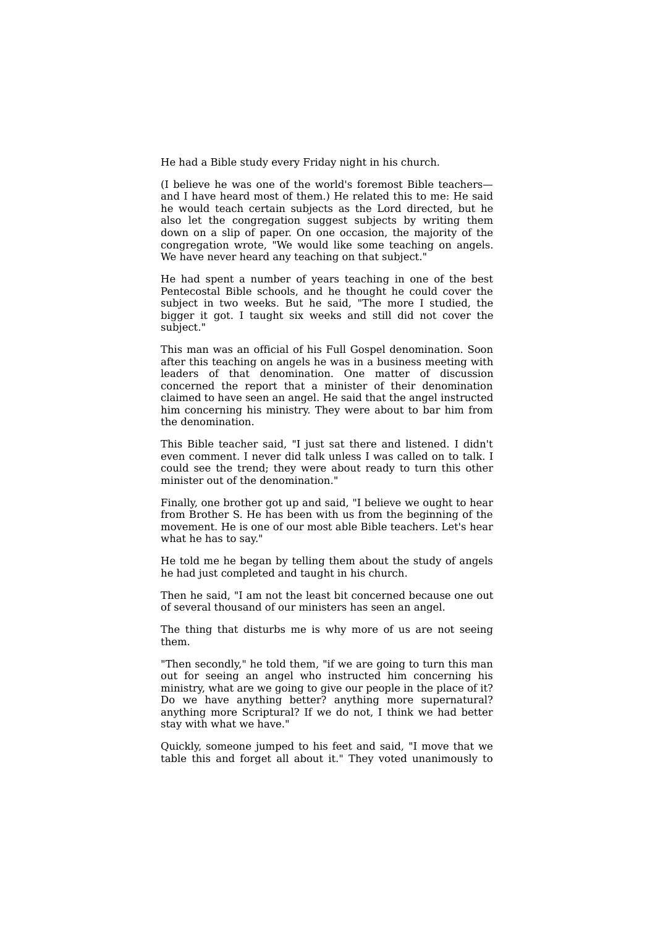He had a Bible study every Friday night in his church.

(I believe he was one of the world's foremost Bible teachers and I have heard most of them.) He related this to me: He said he would teach certain subjects as the Lord directed, but he also let the congregation suggest subjects by writing them down on a slip of paper. On one occasion, the majority of the congregation wrote, "We would like some teaching on angels. We have never heard any teaching on that subject."

He had spent a number of years teaching in one of the best Pentecostal Bible schools, and he thought he could cover the subject in two weeks. But he said, "The more I studied, the bigger it got. I taught six weeks and still did not cover the subject."

This man was an official of his Full Gospel denomination. Soon after this teaching on angels he was in a business meeting with leaders of that denomination. One matter of discussion concerned the report that a minister of their denomination claimed to have seen an angel. He said that the angel instructed him concerning his ministry. They were about to bar him from the denomination.

This Bible teacher said, "I just sat there and listened. I didn't even comment. I never did talk unless I was called on to talk. I could see the trend; they were about ready to turn this other minister out of the denomination."

Finally, one brother got up and said, "I believe we ought to hear from Brother S. He has been with us from the beginning of the movement. He is one of our most able Bible teachers. Let's hear what he has to say."

He told me he began by telling them about the study of angels he had just completed and taught in his church.

Then he said, "I am not the least bit concerned because one out of several thousand of our ministers has seen an angel.

The thing that disturbs me is why more of us are not seeing them.

"Then secondly," he told them, "if we are going to turn this man out for seeing an angel who instructed him concerning his ministry, what are we going to give our people in the place of it? Do we have anything better? anything more supernatural? anything more Scriptural? If we do not, I think we had better stay with what we have."

Quickly, someone jumped to his feet and said, "I move that we table this and forget all about it." They voted unanimously to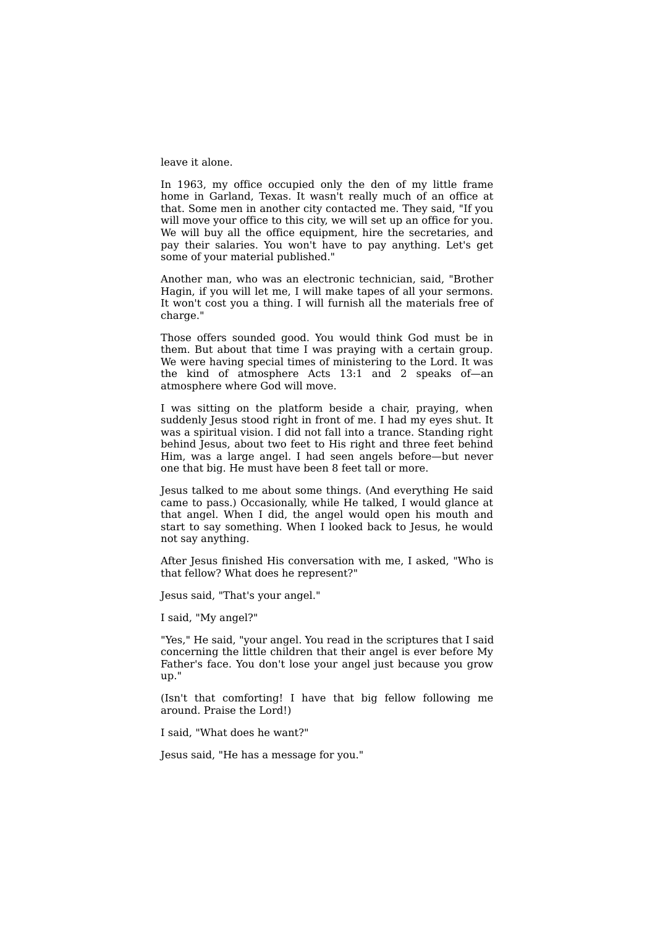leave it alone.

In 1963, my office occupied only the den of my little frame home in Garland, Texas. It wasn't really much of an office at that. Some men in another city contacted me. They said, "If you will move your office to this city, we will set up an office for you. We will buy all the office equipment, hire the secretaries, and pay their salaries. You won't have to pay anything. Let's get some of your material published."

Another man, who was an electronic technician, said, "Brother Hagin, if you will let me, I will make tapes of all your sermons. It won't cost you a thing. I will furnish all the materials free of charge."

Those offers sounded good. You would think God must be in them. But about that time I was praying with a certain group. We were having special times of ministering to the Lord. It was the kind of atmosphere Acts 13:1 and 2 speaks of—an atmosphere where God will move.

I was sitting on the platform beside a chair, praying, when suddenly Jesus stood right in front of me. I had my eyes shut. It was a spiritual vision. I did not fall into a trance. Standing right behind Jesus, about two feet to His right and three feet behind Him, was a large angel. I had seen angels before—but never one that big. He must have been 8 feet tall or more.

Jesus talked to me about some things. (And everything He said came to pass.) Occasionally, while He talked, I would glance at that angel. When I did, the angel would open his mouth and start to say something. When I looked back to Jesus, he would not say anything.

After Jesus finished His conversation with me, I asked, "Who is that fellow? What does he represent?"

Jesus said, "That's your angel."

I said, "My angel?"

"Yes," He said, "your angel. You read in the scriptures that I said concerning the little children that their angel is ever before My Father's face. You don't lose your angel just because you grow up."

(Isn't that comforting! I have that big fellow following me around. Praise the Lord!)

I said, "What does he want?"

Jesus said, "He has a message for you."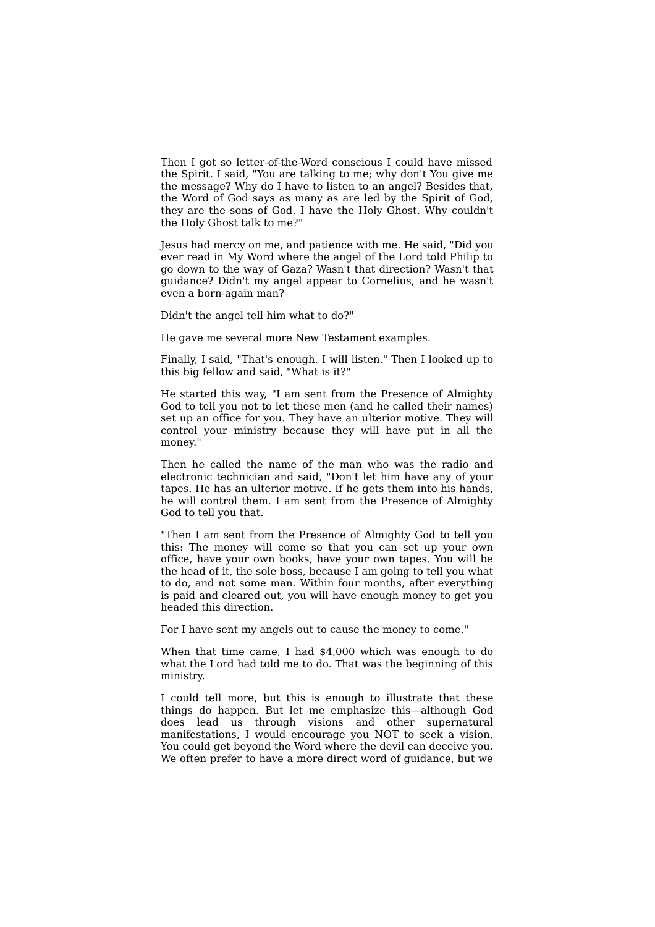Then I got so letter-of-the-Word conscious I could have missed the Spirit. I said, "You are talking to me; why don't You give me the message? Why do I have to listen to an angel? Besides that, the Word of God says as many as are led by the Spirit of God, they are the sons of God. I have the Holy Ghost. Why couldn't the Holy Ghost talk to me?"

Jesus had mercy on me, and patience with me. He said, "Did you ever read in My Word where the angel of the Lord told Philip to go down to the way of Gaza? Wasn't that direction? Wasn't that guidance? Didn't my angel appear to Cornelius, and he wasn't even a born-again man?

Didn't the angel tell him what to do?"

He gave me several more New Testament examples.

Finally, I said, "That's enough. I will listen." Then I looked up to this big fellow and said, "What is it?"

He started this way, "I am sent from the Presence of Almighty God to tell you not to let these men (and he called their names) set up an office for you. They have an ulterior motive. They will control your ministry because they will have put in all the money."

Then he called the name of the man who was the radio and electronic technician and said, "Don't let him have any of your tapes. He has an ulterior motive. If he gets them into his hands, he will control them. I am sent from the Presence of Almighty God to tell you that.

"Then I am sent from the Presence of Almighty God to tell you this: The money will come so that you can set up your own office, have your own books, have your own tapes. You will be the head of it, the sole boss, because I am going to tell you what to do, and not some man. Within four months, after everything is paid and cleared out, you will have enough money to get you headed this direction.

For I have sent my angels out to cause the money to come."

When that time came, I had \$4,000 which was enough to do what the Lord had told me to do. That was the beginning of this ministry.

I could tell more, but this is enough to illustrate that these things do happen. But let me emphasize this—although God does lead us through visions and other supernatural manifestations, I would encourage you NOT to seek a vision. You could get beyond the Word where the devil can deceive you. We often prefer to have a more direct word of guidance, but we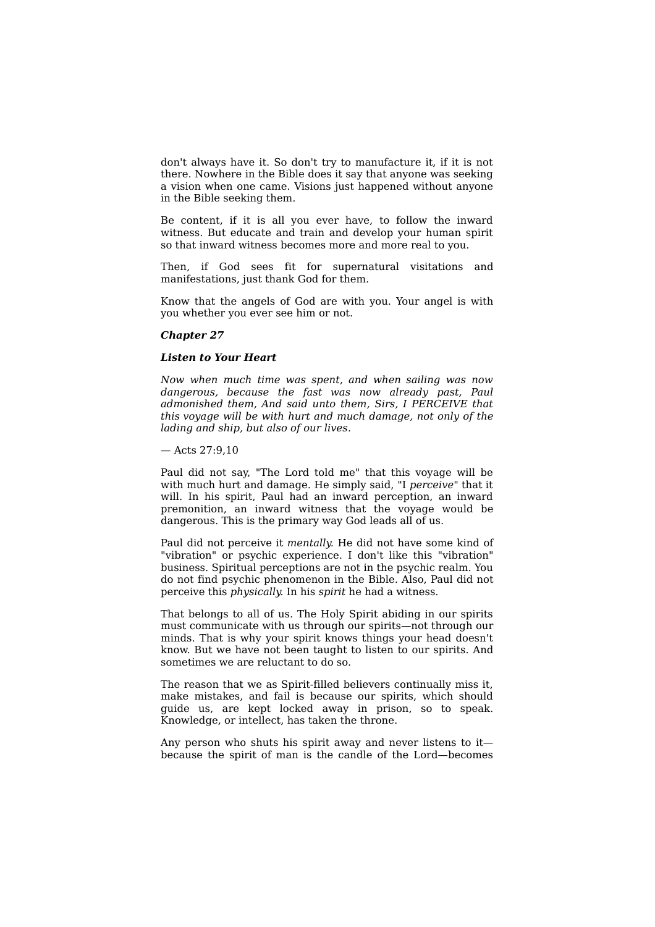don't always have it. So don't try to manufacture it, if it is not there. Nowhere in the Bible does it say that anyone was seeking a vision when one came. Visions just happened without anyone in the Bible seeking them.

Be content, if it is all you ever have, to follow the inward witness. But educate and train and develop your human spirit so that inward witness becomes more and more real to you.

Then, if God sees fit for supernatural visitations and manifestations, just thank God for them.

Know that the angels of God are with you. Your angel is with you whether you ever see him or not.

## *Chapter 27*

#### *Listen to Your Heart*

*Now when much time was spent, and when sailing was now dangerous, because the fast was now already past, Paul admonished them, And said unto them, Sirs, I PERCEIVE that this voyage will be with hurt and much damage, not only of the lading and ship, but also of our lives.*

#### *—* Acts 27:9,10

Paul did not say, "The Lord told me" that this voyage will be with much hurt and damage. He simply said, "I *perceive"* that it will. In his spirit, Paul had an inward perception, an inward premonition, an inward witness that the voyage would be dangerous. This is the primary way God leads all of us.

Paul did not perceive it *mentally.* He did not have some kind of "vibration" or psychic experience. I don't like this "vibration" business. Spiritual perceptions are not in the psychic realm. You do not find psychic phenomenon in the Bible. Also, Paul did not perceive this *physically.* In his *spirit* he had a witness.

That belongs to all of us. The Holy Spirit abiding in our spirits must communicate with us through our spirits—not through our minds. That is why your spirit knows things your head doesn't know. But we have not been taught to listen to our spirits. And sometimes we are reluctant to do so.

The reason that we as Spirit-filled believers continually miss it, make mistakes, and fail is because our spirits, which should guide us, are kept locked away in prison, so to speak. Knowledge, or intellect, has taken the throne.

Any person who shuts his spirit away and never listens to it because the spirit of man is the candle of the Lord—becomes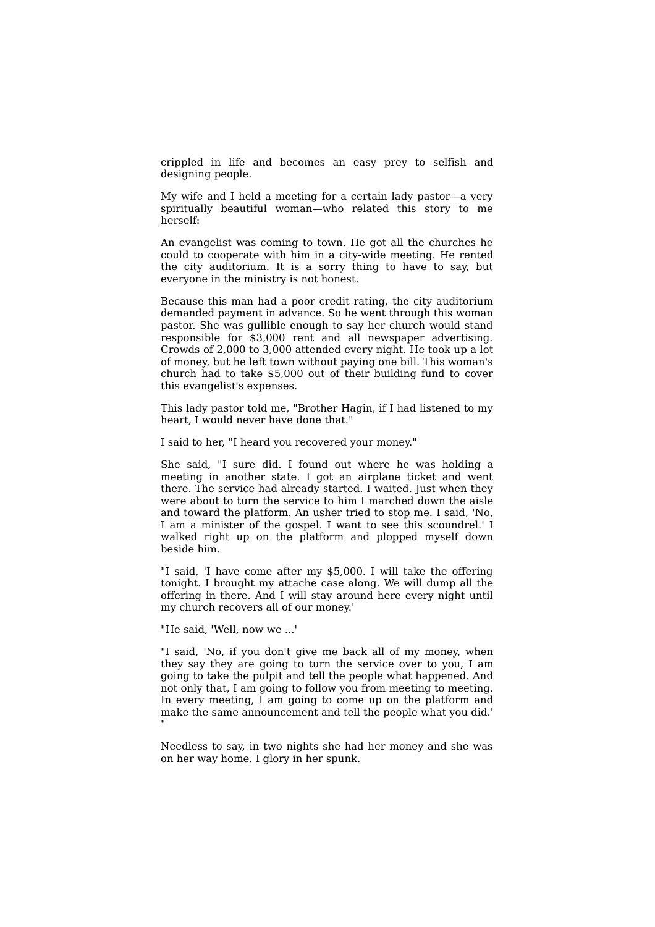crippled in life and becomes an easy prey to selfish and designing people.

My wife and I held a meeting for a certain lady pastor—a very spiritually beautiful woman—who related this story to me herself:

An evangelist was coming to town. He got all the churches he could to cooperate with him in a city-wide meeting. He rented the city auditorium. It is a sorry thing to have to say, but everyone in the ministry is not honest.

Because this man had a poor credit rating, the city auditorium demanded payment in advance. So he went through this woman pastor. She was gullible enough to say her church would stand responsible for \$3,000 rent and all newspaper advertising. Crowds of 2,000 to 3,000 attended every night. He took up a lot of money, but he left town without paying one bill. This woman's church had to take \$5,000 out of their building fund to cover this evangelist's expenses.

This lady pastor told me, "Brother Hagin, if I had listened to my heart, I would never have done that."

I said to her, "I heard you recovered your money."

She said, "I sure did. I found out where he was holding a meeting in another state. I got an airplane ticket and went there. The service had already started. I waited. Just when they were about to turn the service to him I marched down the aisle and toward the platform. An usher tried to stop me. I said, 'No, I am a minister of the gospel. I want to see this scoundrel.' I walked right up on the platform and plopped myself down beside him.

"I said, 'I have come after my \$5,000. I will take the offering tonight. I brought my attache case along. We will dump all the offering in there. And I will stay around here every night until my church recovers all of our money.'

"He said, 'Well, now we ...'

"I said, 'No, if you don't give me back all of my money, when they say they are going to turn the service over to you, I am going to take the pulpit and tell the people what happened. And not only that, I am going to follow you from meeting to meeting. In every meeting, I am going to come up on the platform and make the same announcement and tell the people what you did.' "

Needless to say, in two nights she had her money and she was on her way home. I glory in her spunk.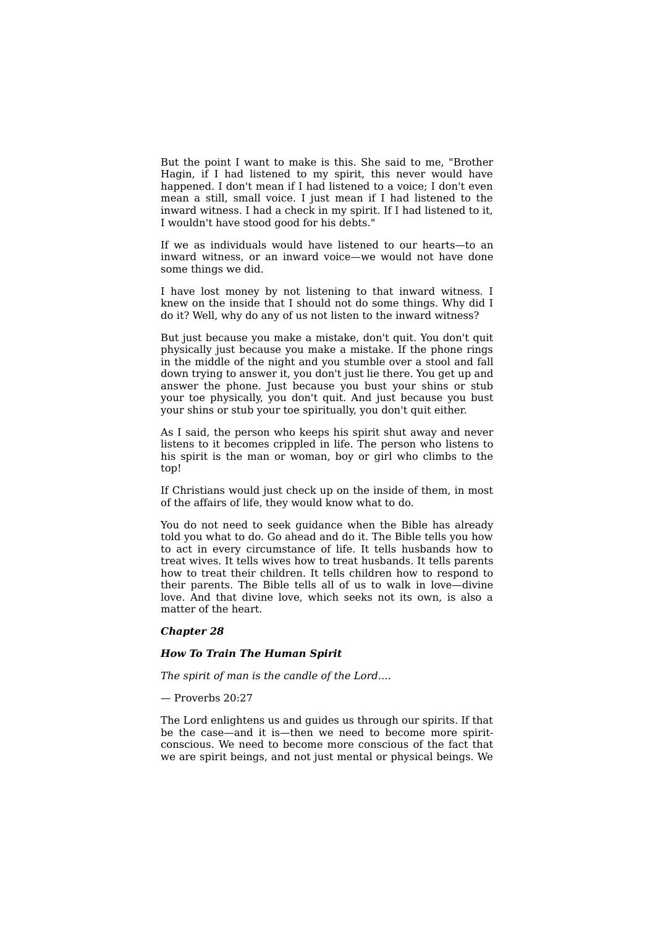But the point I want to make is this. She said to me, "Brother Hagin, if I had listened to my spirit, this never would have happened. I don't mean if I had listened to a voice; I don't even mean a still, small voice. I just mean if I had listened to the inward witness. I had a check in my spirit. If I had listened to it, I wouldn't have stood good for his debts."

If we as individuals would have listened to our hearts—to an inward witness, or an inward voice—we would not have done some things we did.

I have lost money by not listening to that inward witness. I knew on the inside that I should not do some things. Why did I do it? Well, why do any of us not listen to the inward witness?

But just because you make a mistake, don't quit. You don't quit physically just because you make a mistake. If the phone rings in the middle of the night and you stumble over a stool and fall down trying to answer it, you don't just lie there. You get up and answer the phone. Just because you bust your shins or stub your toe physically, you don't quit. And just because you bust your shins or stub your toe spiritually, you don't quit either.

As I said, the person who keeps his spirit shut away and never listens to it becomes crippled in life. The person who listens to his spirit is the man or woman, boy or girl who climbs to the top!

If Christians would just check up on the inside of them, in most of the affairs of life, they would know what to do.

You do not need to seek guidance when the Bible has already told you what to do. Go ahead and do it. The Bible tells you how to act in every circumstance of life. It tells husbands how to treat wives. It tells wives how to treat husbands. It tells parents how to treat their children. It tells children how to respond to their parents. The Bible tells all of us to walk in love—divine love. And that divine love, which seeks not its own, is also a matter of the heart.

# *Chapter 28*

#### *How To Train The Human Spirit*

*The spirit of man is the candle of the Lord....*

*—* Proverbs 20:27

The Lord enlightens us and guides us through our spirits. If that be the case—and it is—then we need to become more spiritconscious. We need to become more conscious of the fact that we are spirit beings, and not just mental or physical beings. We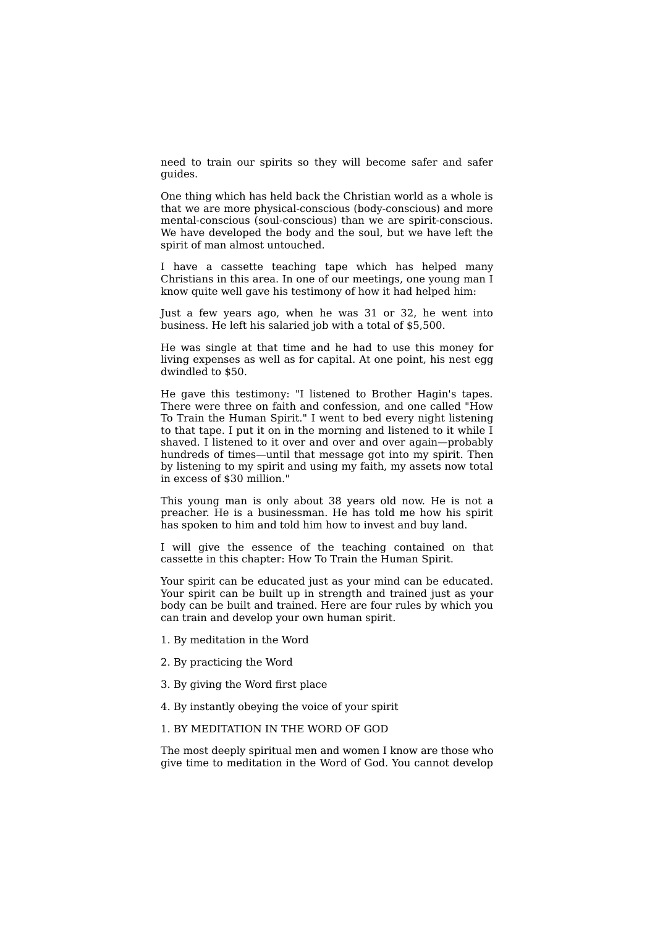need to train our spirits so they will become safer and safer guides.

One thing which has held back the Christian world as a whole is that we are more physical-conscious (body-conscious) and more mental-conscious (soul-conscious) than we are spirit-conscious. We have developed the body and the soul, but we have left the spirit of man almost untouched.

I have a cassette teaching tape which has helped many Christians in this area. In one of our meetings, one young man I know quite well gave his testimony of how it had helped him:

Just a few years ago, when he was 31 or 32, he went into business. He left his salaried job with a total of \$5,500.

He was single at that time and he had to use this money for living expenses as well as for capital. At one point, his nest egg dwindled to \$50.

He gave this testimony: "I listened to Brother Hagin's tapes. There were three on faith and confession, and one called "How To Train the Human Spirit." I went to bed every night listening to that tape. I put it on in the morning and listened to it while I shaved. I listened to it over and over and over again—probably hundreds of times—until that message got into my spirit. Then by listening to my spirit and using my faith, my assets now total in excess of \$30 million."

This young man is only about 38 years old now. He is not a preacher. He is a businessman. He has told me how his spirit has spoken to him and told him how to invest and buy land.

I will give the essence of the teaching contained on that cassette in this chapter: How To Train the Human Spirit.

Your spirit can be educated just as your mind can be educated. Your spirit can be built up in strength and trained just as your body can be built and trained. Here are four rules by which you can train and develop your own human spirit.

- 1. By meditation in the Word
- 2. By practicing the Word
- 3. By giving the Word first place
- 4. By instantly obeying the voice of your spirit

# 1. BY MEDITATION IN THE WORD OF GOD

The most deeply spiritual men and women I know are those who give time to meditation in the Word of God. You cannot develop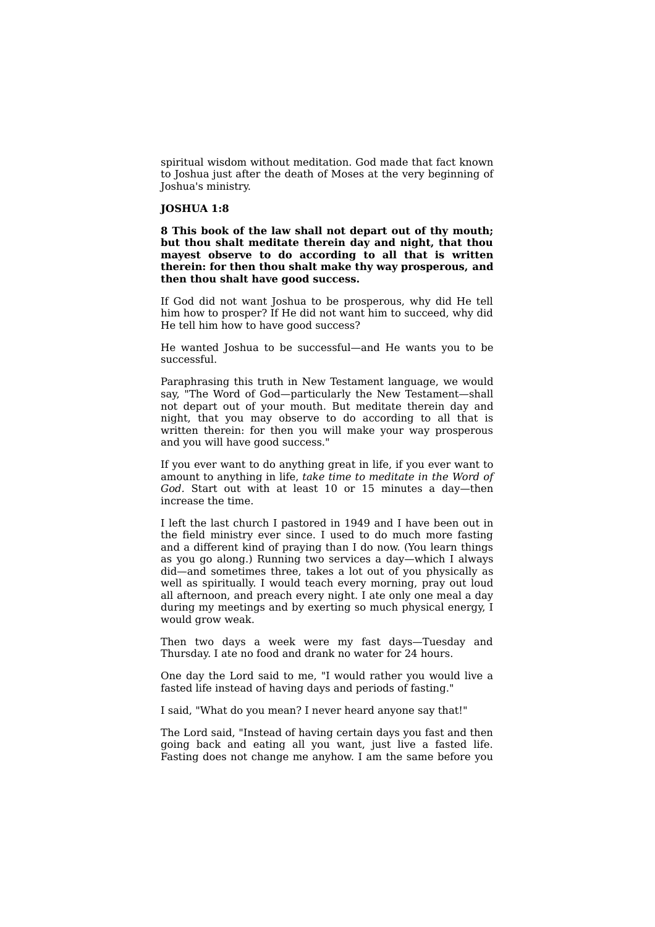spiritual wisdom without meditation. God made that fact known to Joshua just after the death of Moses at the very beginning of Joshua's ministry.

#### **JOSHUA 1:8**

**8 This book of the law shall not depart out of thy mouth; but thou shalt meditate therein day and night, that thou mayest observe to do according to all that is written therein: for then thou shalt make thy way prosperous, and then thou shalt have good success.**

If God did not want Joshua to be prosperous, why did He tell him how to prosper? If He did not want him to succeed, why did He tell him how to have good success?

He wanted Joshua to be successful—and He wants you to be successful.

Paraphrasing this truth in New Testament language, we would say, "The Word of God—particularly the New Testament—shall not depart out of your mouth. But meditate therein day and night, that you may observe to do according to all that is written therein: for then you will make your way prosperous and you will have good success."

If you ever want to do anything great in life, if you ever want to amount to anything in life, *take time to meditate in the Word of God.* Start out with at least 10 or 15 minutes a day—then increase the time.

I left the last church I pastored in 1949 and I have been out in the field ministry ever since. I used to do much more fasting and a different kind of praying than I do now. (You learn things as you go along.) Running two services a day—which I always did—and sometimes three, takes a lot out of you physically as well as spiritually. I would teach every morning, pray out loud all afternoon, and preach every night. I ate only one meal a day during my meetings and by exerting so much physical energy, I would grow weak.

Then two days a week were my fast days—Tuesday and Thursday. I ate no food and drank no water for 24 hours.

One day the Lord said to me, "I would rather you would live a fasted life instead of having days and periods of fasting."

I said, "What do you mean? I never heard anyone say that!"

The Lord said, "Instead of having certain days you fast and then going back and eating all you want, just live a fasted life. Fasting does not change me anyhow. I am the same before you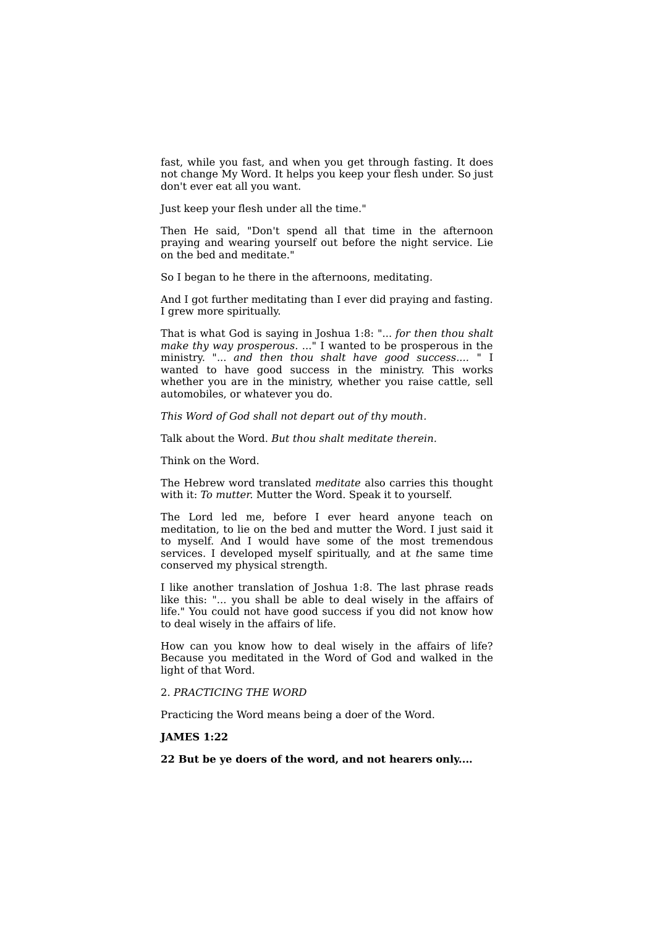fast, while you fast, and when you get through fasting. It does not change My Word. It helps you keep your flesh under. So just don't ever eat all you want.

Just keep your flesh under all the time."

Then He said, "Don't spend all that time in the afternoon praying and wearing yourself out before the night service. Lie on the bed and meditate."

So I began to he there in the afternoons, meditating.

And I got further meditating than I ever did praying and fasting. I grew more spiritually.

That is what God is saying in Joshua 1:8: "... *for then thou shalt make thy way prosperous.* ..." I wanted to be prosperous in the ministry. "... *and then thou shalt have good success....* " I wanted to have good success in the ministry. This works whether you are in the ministry, whether you raise cattle, sell automobiles, or whatever you do.

*This Word of God shall not depart out of thy mouth.*

Talk about the Word. *But thou shalt meditate therein.*

Think on the Word.

The Hebrew word translated *meditate* also carries this thought with it: *To mutter.* Mutter the Word. Speak it to yourself.

The Lord led me, before I ever heard anyone teach on meditation, to lie on the bed and mutter the Word. I just said it to myself. And I would have some of the most tremendous services. I developed myself spiritually, and at *t*he same time conserved my physical strength.

I like another translation of Joshua 1:8. The last phrase reads like this: "... you shall be able to deal wisely in the affairs of life." You could not have good success if you did not know how to deal wisely in the affairs of life.

How can you know how to deal wisely in the affairs of life? Because you meditated in the Word of God and walked in the light of that Word.

2. *PRACTICING THE WORD*

Practicing the Word means being a doer of the Word.

# **JAMES 1:22**

**22 But be ye doers of the word, and not hearers only....**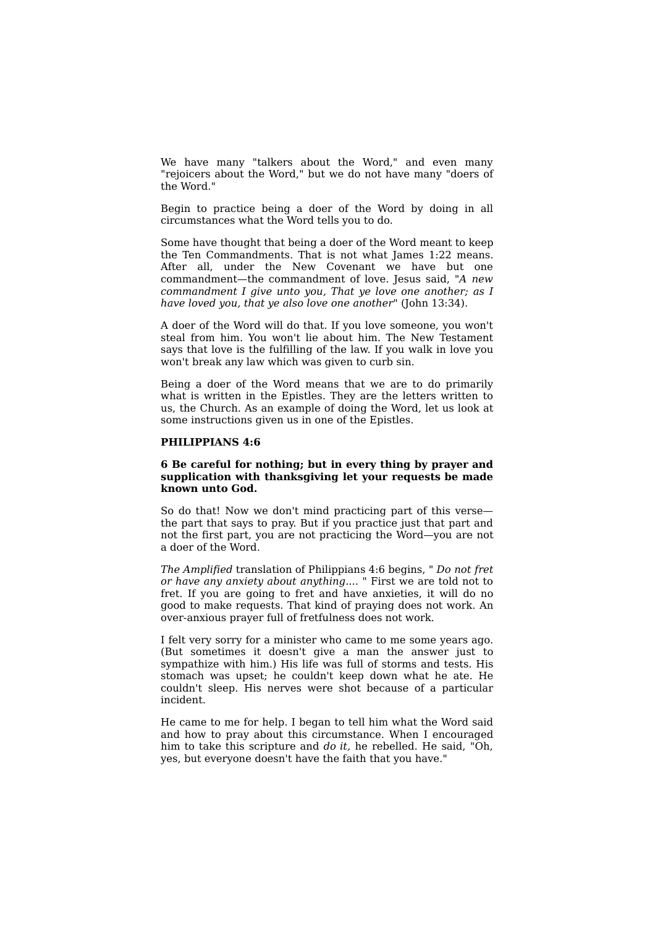We have many "talkers about the Word," and even many "rejoicers about the Word," but we do not have many "doers of the Word."

Begin to practice being a doer of the Word by doing in all circumstances what the Word tells you to do.

Some have thought that being a doer of the Word meant to keep the Ten Commandments. That is not what James 1:22 means. After all, under the New Covenant we have but one commandment—the commandment of love. Jesus said, *"A new commandment I give unto you, That ye love one another; as I have loved you, that ye also love one another"* (John 13:34).

A doer of the Word will do that. If you love someone, you won't steal from him. You won't lie about him. The New Testament says that love is the fulfilling of the law. If you walk in love you won't break any law which was given to curb sin.

Being a doer of the Word means that we are to do primarily what is written in the Epistles. They are the letters written to us, the Church. As an example of doing the Word, let us look at some instructions given us in one of the Epistles.

### **PHILIPPIANS 4:6**

# **6 Be careful for nothing; but in every thing by prayer and supplication with thanksgiving let your requests be made known unto God.**

So do that! Now we don't mind practicing part of this verse the part that says to pray. But if you practice just that part and not the first part, you are not practicing the Word—you are not a doer of the Word.

*The Amplified* translation of Philippians 4:6 begins, " *Do not fret or have any anxiety about anything....* " First we are told not to fret. If you are going to fret and have anxieties, it will do no good to make requests. That kind of praying does not work. An over-anxious prayer full of fretfulness does not work.

I felt very sorry for a minister who came to me some years ago. (But sometimes it doesn't give a man the answer just to sympathize with him.) His life was full of storms and tests. His stomach was upset; he couldn't keep down what he ate. He couldn't sleep. His nerves were shot because of a particular incident.

He came to me for help. I began to tell him what the Word said and how to pray about this circumstance. When I encouraged him to take this scripture and *do it,* he rebelled. He said, "Oh, yes, but everyone doesn't have the faith that you have."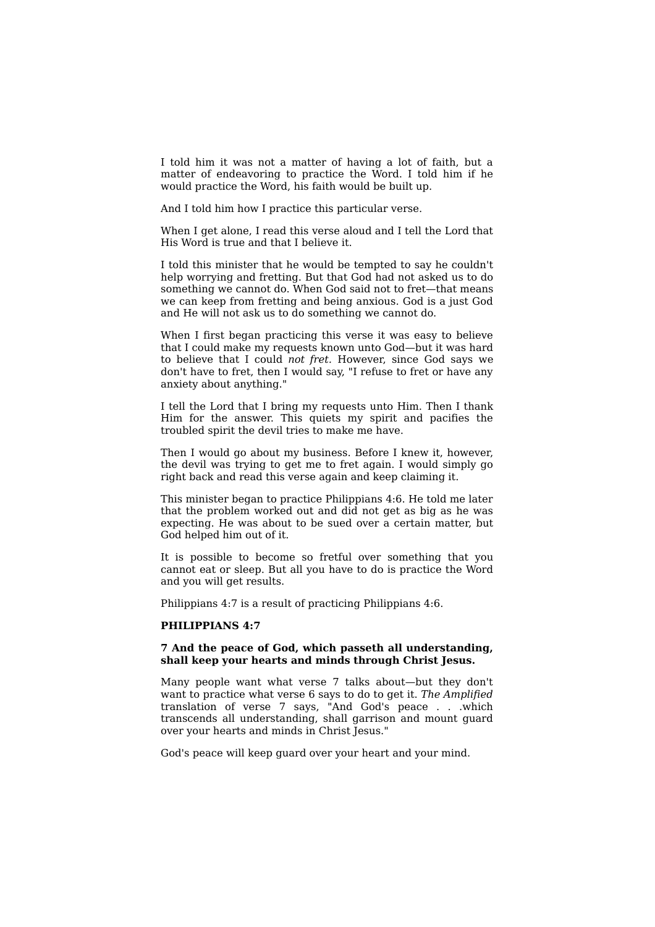I told him it was not a matter of having a lot of faith, but a matter of endeavoring to practice the Word. I told him if he would practice the Word, his faith would be built up.

And I told him how I practice this particular verse.

When I get alone, I read this verse aloud and I tell the Lord that His Word is true and that I believe it.

I told this minister that he would be tempted to say he couldn't help worrying and fretting. But that God had not asked us to do something we cannot do. When God said not to fret—that means we can keep from fretting and being anxious. God is a just God and He will not ask us to do something we cannot do.

When I first began practicing this verse it was easy to believe that I could make my requests known unto God—but it was hard to believe that I could *not fret.* However, since God says we don't have to fret, then I would say, "I refuse to fret or have any anxiety about anything."

I tell the Lord that I bring my requests unto Him. Then I thank Him for the answer. This quiets my spirit and pacifies the troubled spirit the devil tries to make me have.

Then I would go about my business. Before I knew it, however, the devil was trying to get me to fret again. I would simply go right back and read this verse again and keep claiming it.

This minister began to practice Philippians 4:6. He told me later that the problem worked out and did not get as big as he was expecting. He was about to be sued over a certain matter, but God helped him out of it.

It is possible to become so fretful over something that you cannot eat or sleep. But all you have to do is practice the Word and you will get results.

Philippians 4:7 is a result of practicing Philippians 4:6.

# **PHILIPPIANS 4:7**

# **7 And the peace of God, which passeth all understanding, shall keep your hearts and minds through Christ Jesus.**

Many people want what verse 7 talks about—but they don't want to practice what verse 6 says to do to get it. *The Amplified* translation of verse 7 says, "And God's peace . . .which transcends all understanding, shall garrison and mount guard over your hearts and minds in Christ Jesus."

God's peace will keep guard over your heart and your mind.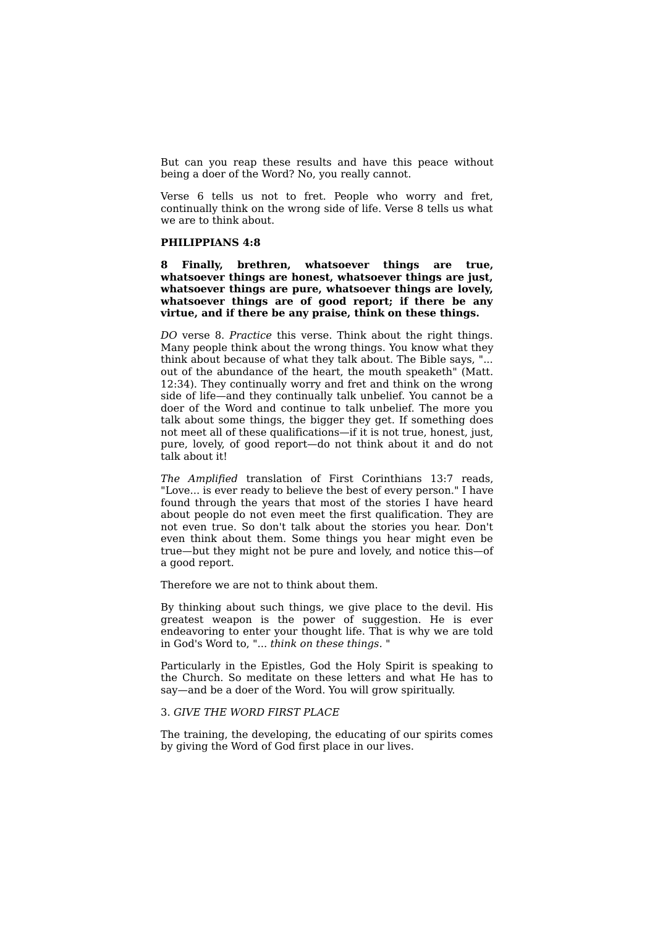But can you reap these results and have this peace without being a doer of the Word? No, you really cannot.

Verse 6 tells us not to fret. People who worry and fret, continually think on the wrong side of life. Verse 8 tells us what we are to think about.

### **PHILIPPIANS 4:8**

**8 Finally, brethren, whatsoever things are true, whatsoever things are honest, whatsoever things are just, whatsoever things are pure, whatsoever things are lovely, whatsoever things are of good report; if there be any virtue, and if there be any praise, think on these things.**

*DO* verse 8. *Practice* this verse. Think about the right things. Many people think about the wrong things. You know what they think about because of what they talk about. The Bible says, "... out of the abundance of the heart, the mouth speaketh" (Matt. 12:34). They continually worry and fret and think on the wrong side of life—and they continually talk unbelief. You cannot be a doer of the Word and continue to talk unbelief. The more you talk about some things, the bigger they get. If something does not meet all of these qualifications—if it is not true, honest, just, pure, lovely, of good report—do not think about it and do not talk about it!

*The Amplified* translation of First Corinthians 13:7 reads, "Love... is ever ready to believe the best of every person." I have found through the years that most of the stories I have heard about people do not even meet the first qualification. They are not even true. So don't talk about the stories you hear. Don't even think about them. Some things you hear might even be true—but they might not be pure and lovely, and notice this—of a good report.

Therefore we are not to think about them.

By thinking about such things, we give place to the devil. His greatest weapon is the power of suggestion. He is ever endeavoring to enter your thought life. That is why we are told in God's Word to, "... *think on these things.* "

Particularly in the Epistles, God the Holy Spirit is speaking to the Church. So meditate on these letters and what He has to say—and be a doer of the Word. You will grow spiritually.

# 3. *GIVE THE WORD FIRST PLACE*

The training, the developing, the educating of our spirits comes by giving the Word of God first place in our lives.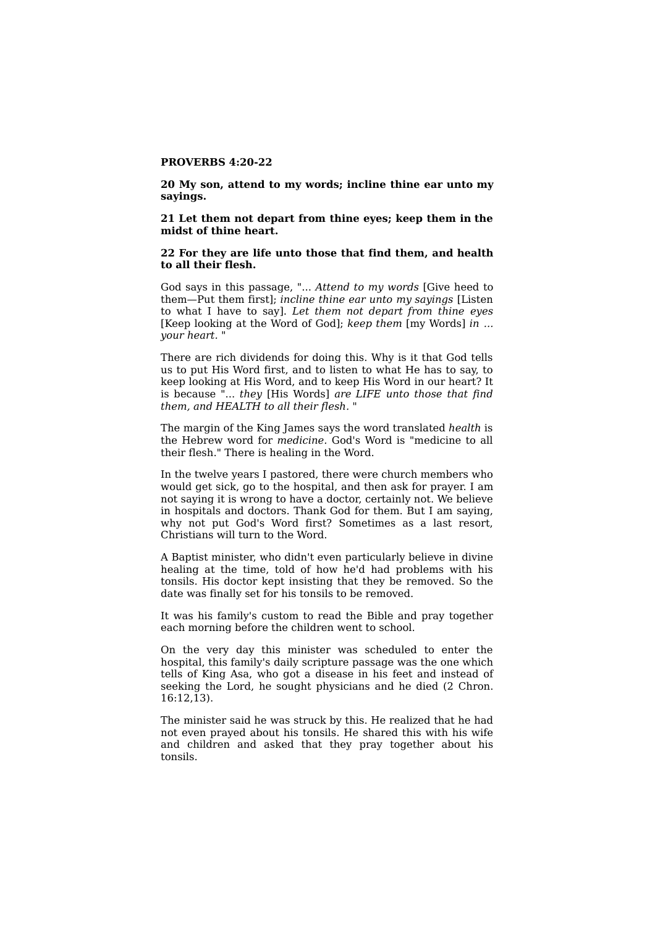# **PROVERBS 4:20-22**

**20 My son, attend to my words; incline thine ear unto my sayings.**

**21 Let them not depart from thine eyes; keep them in the midst of thine heart.**

### **22 For they are life unto those that find them, and health to all their flesh.**

God says in this passage, "... *Attend to my words* [Give heed to them—Put them first]; *incline thine ear unto my sayings* [Listen to what I have to say]. *Let them not depart from thine eyes* [Keep looking at the Word of God]; *keep them* [my Words] *in ... your heart.* "

There are rich dividends for doing this. Why is it that God tells us to put His Word first, and to listen to what He has to say, to keep looking at His Word, and to keep His Word in our heart? It is because "... *they* [His Words] *are LIFE unto those that find them, and HEALTH to all their flesh.* "

The margin of the King James says the word translated *health* is the Hebrew word for *medicine.* God's Word is "medicine to all their flesh." There is healing in the Word.

In the twelve years I pastored, there were church members who would get sick, go to the hospital, and then ask for prayer. I am not saying it is wrong to have a doctor, certainly not. We believe in hospitals and doctors. Thank God for them. But I am saying, why not put God's Word first? Sometimes as a last resort, Christians will turn to the Word.

A Baptist minister, who didn't even particularly believe in divine healing at the time, told of how he'd had problems with his tonsils. His doctor kept insisting that they be removed. So the date was finally set for his tonsils to be removed.

It was his family's custom to read the Bible and pray together each morning before the children went to school.

On the very day this minister was scheduled to enter the hospital, this family's daily scripture passage was the one which tells of King Asa, who got a disease in his feet and instead of seeking the Lord, he sought physicians and he died (2 Chron.  $16:12,\overline{1}3$ ).

The minister said he was struck by this. He realized that he had not even prayed about his tonsils. He shared this with his wife and children and asked that they pray together about his tonsils.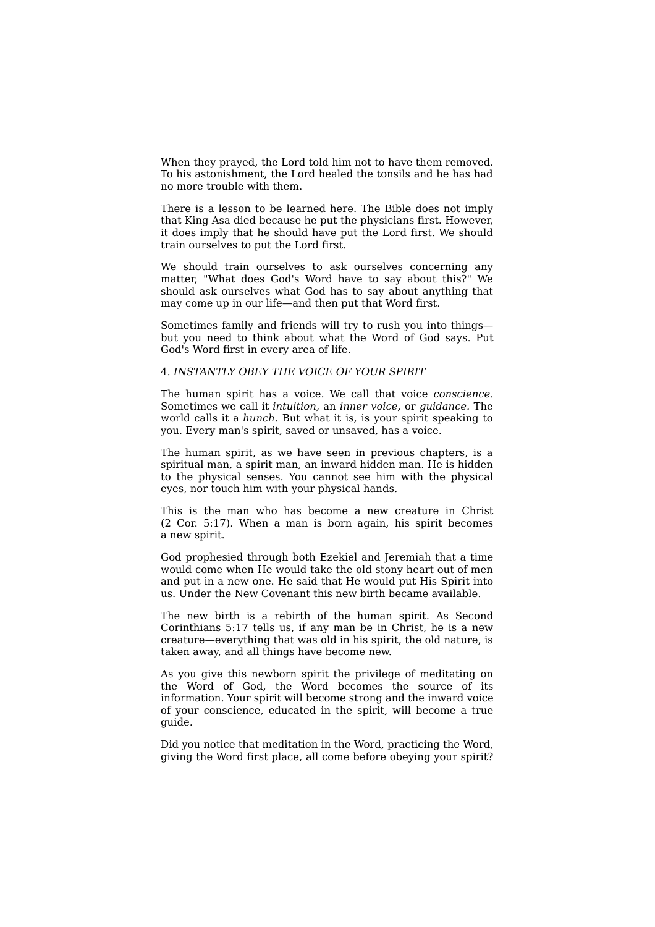When they prayed, the Lord told him not to have them removed. To his astonishment, the Lord healed the tonsils and he has had no more trouble with them.

There is a lesson to be learned here. The Bible does not imply that King Asa died because he put the physicians first. However, it does imply that he should have put the Lord first. We should train ourselves to put the Lord first.

We should train ourselves to ask ourselves concerning any matter, "What does God's Word have to say about this?" We should ask ourselves what God has to say about anything that may come up in our life—and then put that Word first.

Sometimes family and friends will try to rush you into things but you need to think about what the Word of God says. Put God's Word first in every area of life.

## 4. *INSTANTLY OBEY THE VOICE OF YOUR SPIRIT*

The human spirit has a voice. We call that voice *conscience.* Sometimes we call it *intuition,* an *inner voice,* or *guidance.* The world calls it a *hunch.* But what it is, is your spirit speaking to you. Every man's spirit, saved or unsaved, has a voice.

The human spirit, as we have seen in previous chapters, is a spiritual man, a spirit man, an inward hidden man. He is hidden to the physical senses. You cannot see him with the physical eyes, nor touch him with your physical hands.

This is the man who has become a new creature in Christ (2 Cor. 5:17). When a man is born again, his spirit becomes a new spirit.

God prophesied through both Ezekiel and Jeremiah that a time would come when He would take the old stony heart out of men and put in a new one. He said that He would put His Spirit into us. Under the New Covenant this new birth became available.

The new birth is a rebirth of the human spirit. As Second Corinthians 5:17 tells us, if any man be in Christ, he is a new creature—everything that was old in his spirit, the old nature, is taken away, and all things have become new.

As you give this newborn spirit the privilege of meditating on the Word of God, the Word becomes the source of its information. Your spirit will become strong and the inward voice of your conscience, educated in the spirit, will become a true guide.

Did you notice that meditation in the Word, practicing the Word, giving the Word first place, all come before obeying your spirit?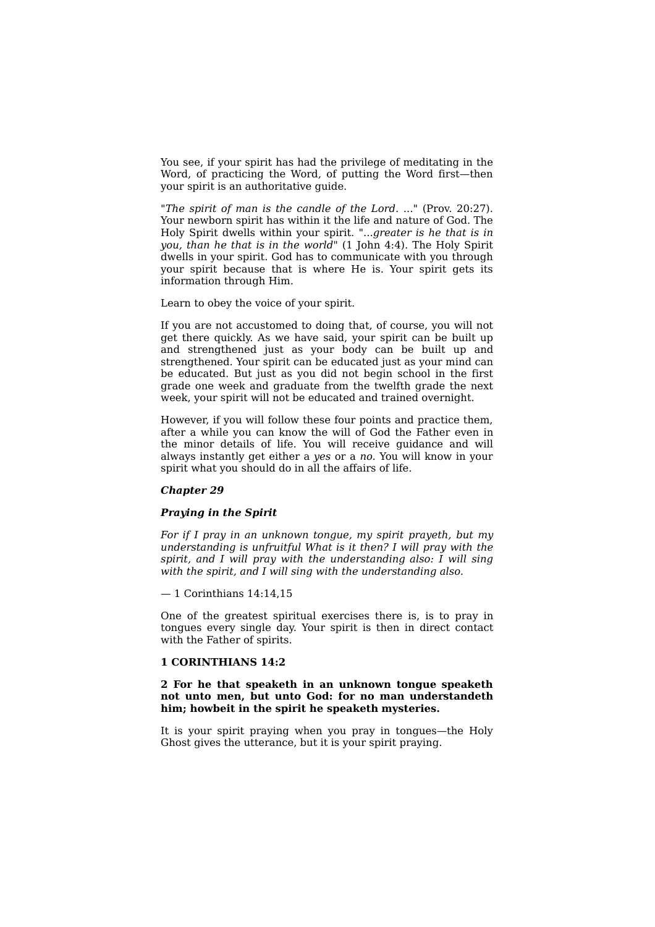You see, if your spirit has had the privilege of meditating in the Word, of practicing the Word, of putting the Word first—then your spirit is an authoritative guide.

*"The spirit of man is the candle of the Lord.* ..." (Prov. 20:27). Your newborn spirit has within it the life and nature of God. The Holy Spirit dwells within your spirit. "...*greater is he that is in you, than he that is in the world"* (1 John 4:4). The Holy Spirit dwells in your spirit. God has to communicate with you through your spirit because that is where He is. Your spirit gets its information through Him.

Learn to obey the voice of your spirit.

If you are not accustomed to doing that, of course, you will not get there quickly. As we have said, your spirit can be built up and strengthened just as your body can be built up and strengthened. Your spirit can be educated just as your mind can be educated. But just as you did not begin school in the first grade one week and graduate from the twelfth grade the next week, your spirit will not be educated and trained overnight.

However, if you will follow these four points and practice them, after a while you can know the will of God the Father even in the minor details of life. You will receive guidance and will always instantly get either a *yes* or a *no.* You will know in your spirit what you should do in all the affairs of life.

#### *Chapter 29*

## *Praying in the Spirit*

*For if I pray in an unknown tongue, my spirit prayeth, but my understanding is unfruitful What is it then? I will pray with the spirit, and I will pray with the understanding also: I will sing with the spirit, and I will sing with the understanding also.*

*—* 1 Corinthians 14:14,15

One of the greatest spiritual exercises there is, is to pray in tongues every single day. Your spirit is then in direct contact with the Father of spirits.

# **1 CORINTHIANS 14:2**

## **2 For he that speaketh in an unknown tongue speaketh not unto men, but unto God: for no man understandeth him; howbeit in the spirit he speaketh mysteries.**

It is your spirit praying when you pray in tongues—the Holy Ghost gives the utterance, but it is your spirit praying.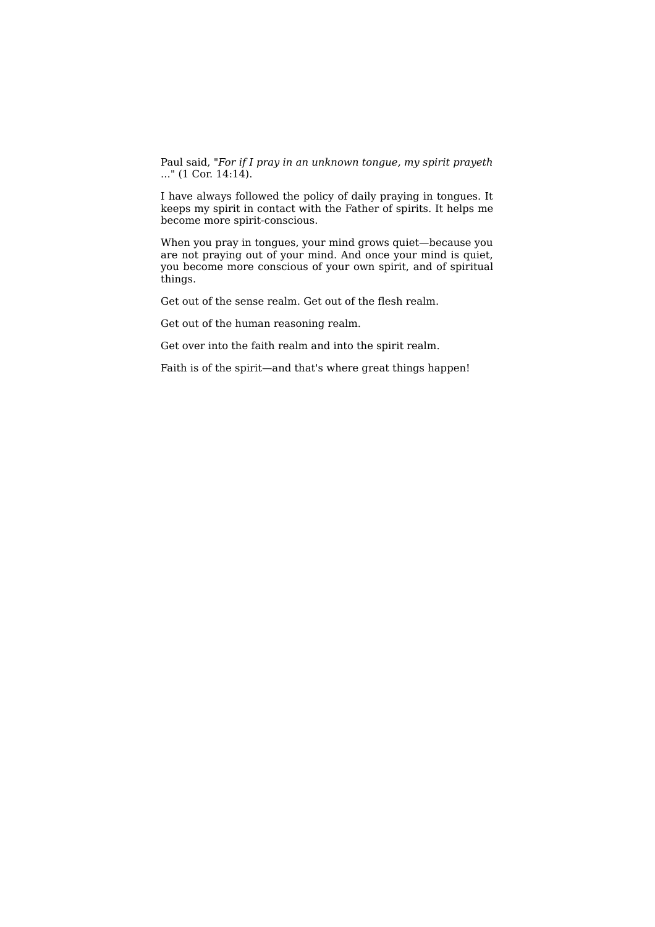Paul said, *"For if I pray in an unknown tongue, my spirit prayeth* ..." (1 Cor. 14:14).

I have always followed the policy of daily praying in tongues. It keeps my spirit in contact with the Father of spirits. It helps me become more spirit-conscious.

When you pray in tongues, your mind grows quiet—because you are not praying out of your mind. And once your mind is quiet, you become more conscious of your own spirit, and of spiritual things.

Get out of the sense realm. Get out of the flesh realm.

Get out of the human reasoning realm.

Get over into the faith realm and into the spirit realm.

Faith is of the spirit—and that's where great things happen!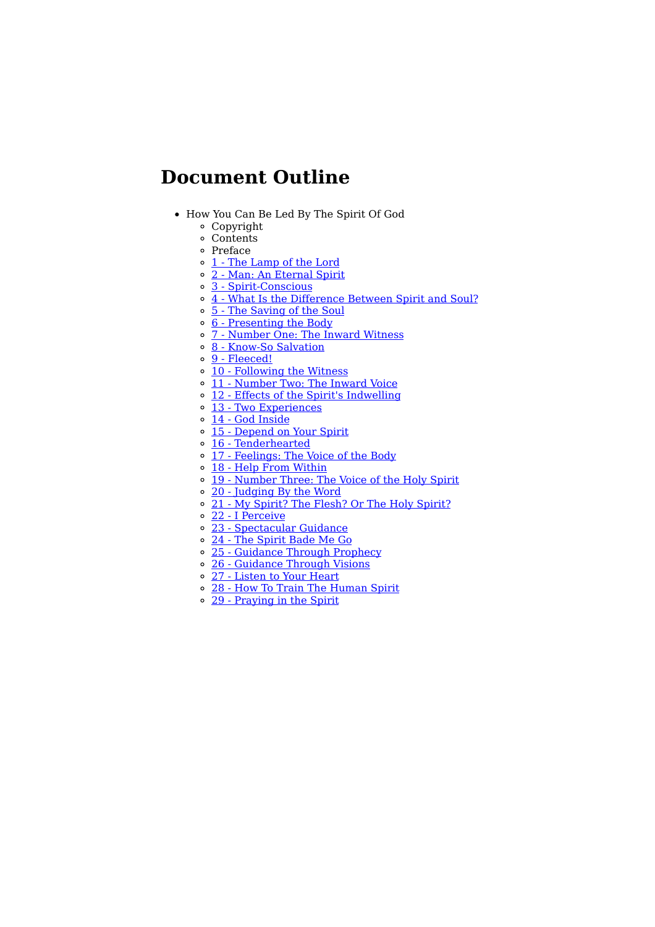# **Document Outline**

- How You Can Be Led By The Spirit Of God
	- Copyright
	- Contents
	- Preface
	- The Lamp of the Lord
	- Man: An Eternal Spirit
	- Spirit-Conscious
	- What Is the Difference Between Spirit and Soul?
	- The Saving of the Soul
	- <sup>o</sup> 6 Presenting the Body
	- Number One: The Inward Witness
	- Know-So Salvation
	- Fleeced!
	- o 10 Following the Witness
	- Number Two: The Inward Voice
	- Effects of the Spirit's Indwelling
	- Two Experiences
	- God Inside
	- o 15 Depend on Your Spirit
	- <sup>o</sup> 16 Tenderhearted
	- Feelings: The Voice of the Body
	- Help From Within
	- o 19 Number Three: The Voice of the Holy Spirit
	- Judging By the Word
	- My Spirit? The Flesh? Or The Holy Spirit?
	- I Perceive
	- Spectacular Guidance
	- The Spirit Bade Me Go
	- Guidance Through Prophecy
	- Guidance Through Visions
	- o 27 Listen to Your Heart
	- How To Train The Human Spirit
	- Praying in the Spirit